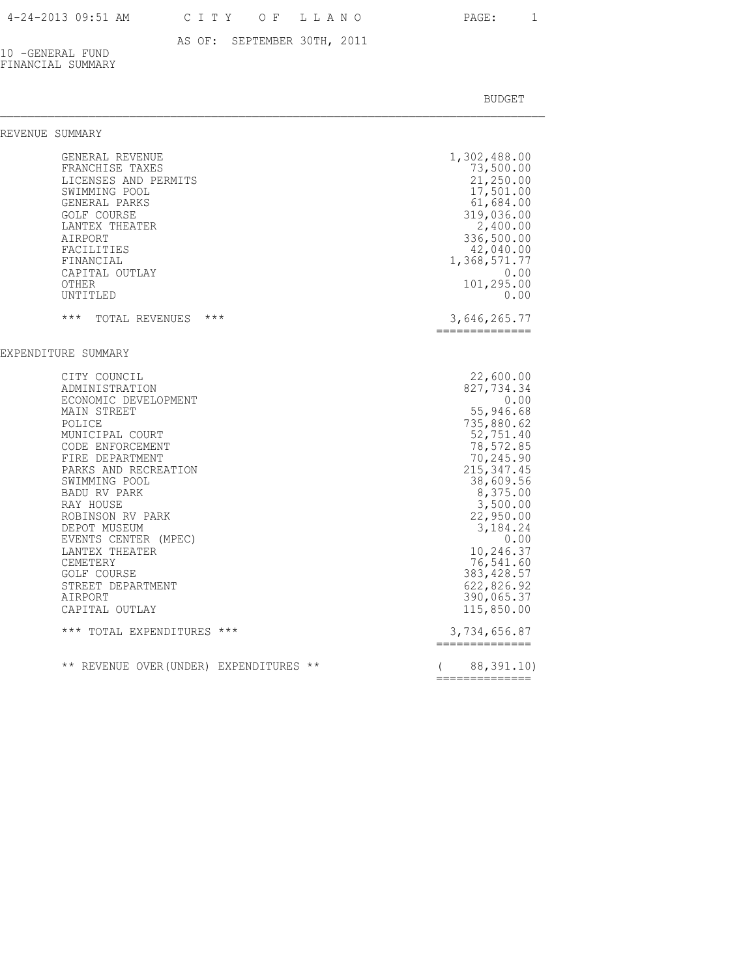AS OF: SEPTEMBER 30TH, 2011

10 -GENERAL FUND FINANCIAL SUMMARY

| REVENUE SUMMARY |                                                                                                                                                                                                                                                                                                                                                                                                          |       |                                                                                                                                                                                                                                                                                                             |
|-----------------|----------------------------------------------------------------------------------------------------------------------------------------------------------------------------------------------------------------------------------------------------------------------------------------------------------------------------------------------------------------------------------------------------------|-------|-------------------------------------------------------------------------------------------------------------------------------------------------------------------------------------------------------------------------------------------------------------------------------------------------------------|
|                 | GENERAL REVENUE<br>FRANCHISE TAXES<br>LICENSES AND PERMITS<br>SWIMMING POOL<br>GENERAL PARKS<br><b>GOLF COURSE</b><br>LANTEX THEATER<br>AIRPORT<br>FACILITIES<br>FINANCIAL<br>CAPITAL OUTLAY<br>OTHER<br>UNTITLED                                                                                                                                                                                        |       | 1,302,488.00<br>73,500.00<br>21,250.00<br>17,501.00<br>61,684.00<br>319,036.00<br>2,400.00<br>336,500.00<br>42,040.00<br>1,368,571.77<br>0.00<br>101,295.00<br>0.00                                                                                                                                         |
|                 | $***$<br>TOTAL REVENUES                                                                                                                                                                                                                                                                                                                                                                                  | $***$ | 3,646,265.77<br>==============                                                                                                                                                                                                                                                                              |
|                 | EXPENDITURE SUMMARY                                                                                                                                                                                                                                                                                                                                                                                      |       |                                                                                                                                                                                                                                                                                                             |
|                 | CITY COUNCIL<br>ADMINISTRATION<br>ECONOMIC DEVELOPMENT<br>MAIN STREET<br>POLICE<br>MUNICIPAL COURT<br>CODE ENFORCEMENT<br>FIRE DEPARTMENT<br>PARKS AND RECREATION<br>SWIMMING POOL<br>BADU RV PARK<br>RAY HOUSE<br>ROBINSON RV PARK<br>DEPOT MUSEUM<br>EVENTS CENTER (MPEC)<br>LANTEX THEATER<br>CEMETERY<br>GOLF COURSE<br>STREET DEPARTMENT<br>AIRPORT<br>CAPITAL OUTLAY<br>*** TOTAL EXPENDITURES *** |       | 22,600.00<br>827,734.34<br>0.00<br>55,946.68<br>735,880.62<br>52,751.40<br>78,572.85<br>70,245.90<br>215, 347.45<br>38,609.56<br>8,375.00<br>3,500.00<br>22,950.00<br>3,184.24<br>0.00<br>10,246.37<br>76,541.60<br>383, 428.57<br>622,826.92<br>390,065.37<br>115,850.00<br>3,734,656.87<br>============== |
|                 | ** REVENUE OVER (UNDER) EXPENDITURES **                                                                                                                                                                                                                                                                                                                                                                  |       | 88,391.10)<br>$\sqrt{2}$<br>==============                                                                                                                                                                                                                                                                  |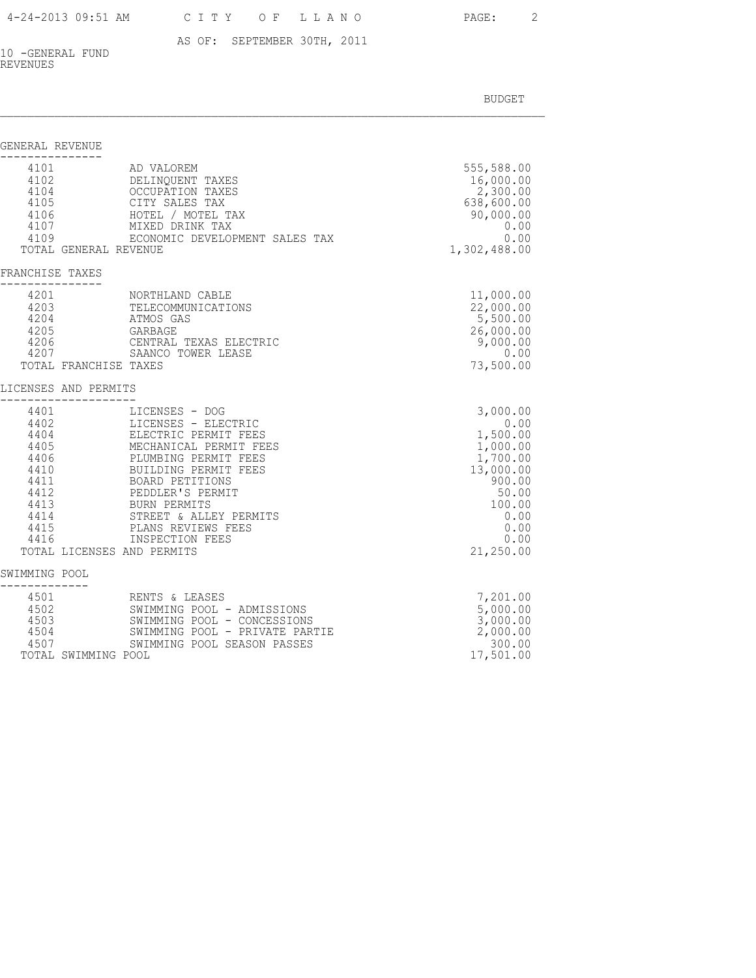AS OF: SEPTEMBER 30TH, 2011

10 -GENERAL FUND REVENUES

| GENERAL REVENUE                              |                                                                                                                                                                                                                                                                                                                                                                                                                |                                                                                                                                     |
|----------------------------------------------|----------------------------------------------------------------------------------------------------------------------------------------------------------------------------------------------------------------------------------------------------------------------------------------------------------------------------------------------------------------------------------------------------------------|-------------------------------------------------------------------------------------------------------------------------------------|
| 4101<br>4109                                 | AD VALOREM<br>4101<br>4102<br>4104<br>AD VALOKEM<br>DELINQUENT TAXES<br>OCCUPATION TAXES<br>4105<br>4106<br>CITY SALES TAX<br>HOTEL / MOTEL TAX<br>4107<br>MIXED DRINK TAX<br>ECONOMIC DEVELOPMENT SALES TAX<br>TOTAL GENERAL REVENUE                                                                                                                                                                          | 555,588.00<br>16,000.00<br>2,300.00<br>638,600.00<br>90,000.00<br>0.00<br>0.00<br>1,302,488.00                                      |
| FRANCHISE TAXES                              |                                                                                                                                                                                                                                                                                                                                                                                                                |                                                                                                                                     |
| 4201<br>4201<br>4203<br>4205<br>4206<br>4207 | NORTHLAND CABLE<br>TELECOMMUNICATIONS<br>4204<br>ATMOS GAS<br>GARBAGE<br>CENTRAL TEXAS ELECTRIC<br>SAANCO TOWER LEASE<br>TOTAL FRANCHISE TAXES                                                                                                                                                                                                                                                                 | 11,000.00<br>22,000.00<br>5,500.00<br>26,000.00<br>9,000.00<br>0.00<br>73,500.00                                                    |
|                                              | LICENSES AND PERMITS                                                                                                                                                                                                                                                                                                                                                                                           |                                                                                                                                     |
| 4401<br>4416                                 | LICENSES - DOG<br>4402<br>4404<br>LICENSES - ELECTRIC<br>ELECTRIC PERMIT FEES<br>4405<br>MECHANICAL PERMIT FEES<br>$4406$<br>$4410$<br>$4411$<br>$4412$<br>PLUMBING PERMIT FEES<br>BUILDING PERMIT FEES<br>BOARD PETITIONS<br>BOAKD FEILLE.<br>PEDDLER'S PERMIT<br>4413 BURN PERMITS<br>4414<br>4415<br>STREET & ALLEY PERMITS<br>PLANS REVIEWS FEES<br>INSPECTION FEES<br>TOTAL LICENSES AND PERMITS          | 3,000.00<br>0.00<br>1,500.00<br>1,000.00<br>1,700.00<br>13,000.00<br>900.00<br>50.00<br>100.00<br>0.00<br>0.00<br>0.00<br>21,250.00 |
| SWIMMING POOL                                |                                                                                                                                                                                                                                                                                                                                                                                                                |                                                                                                                                     |
| 4503<br>4504                                 | RENTS & LEASES<br>4502<br>SWIMMING POOL - ADMISSIONS<br>SWIMMING POOL - CONCESSIONS<br>SWIMMING POOL - PRIVATE PARTIE<br>SWIMMING POOL SEASON PASSES<br>4507 and 1500 and 1600 and 1600 and 1600 and 1600 and 1600 and 1600 and 1600 and 1600 and 1600 and 1600 and 1600 and 1600 and 1600 and 1600 and 1600 and 1600 and 1600 and 1600 and 1600 and 1600 and 1600 and 1600 and 1600 an<br>TOTAL SWIMMING POOL | 7,201.00<br>5,000.00<br>3,000.00<br>2,000.00<br>300.00<br>17,501.00                                                                 |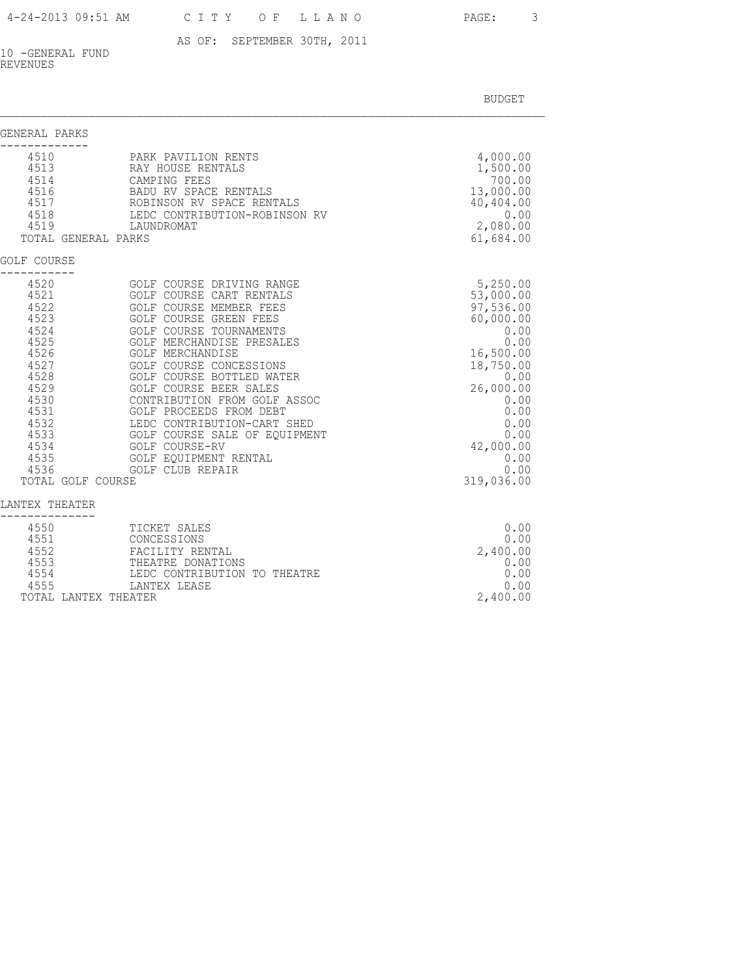AS OF: SEPTEMBER 30TH, 2011

10 -GENERAL FUND REVENUES

BUDGET AND RESERVE AND RESERVE AND RESERVE AND RESERVE AND RESERVE AND RESERVE AND RESERVE AND RESERVE AND RESERVE AND RESERVE AND RESERVE AND RESERVE AND RESERVE AND RESERVE AND RESPONDING A REPORT OF A REPORT OF A REPORT

| GENERAL PARKS                                                                                                                                             |                                                                                                                                                                                                                                                                                                                                                                                                                                                                                  |                                                                                                                                                                                           |
|-----------------------------------------------------------------------------------------------------------------------------------------------------------|----------------------------------------------------------------------------------------------------------------------------------------------------------------------------------------------------------------------------------------------------------------------------------------------------------------------------------------------------------------------------------------------------------------------------------------------------------------------------------|-------------------------------------------------------------------------------------------------------------------------------------------------------------------------------------------|
| 4510<br>4513<br>4514<br>4516<br>4517<br>4518<br>4519<br>TOTAL GENERAL PARKS                                                                               | PARK PAVILION RENTS<br>RAY HOUSE RENTALS<br>CAMPING FEES<br>BADU RV SPACE RENTALS<br>ROBINSON RV SPACE RENTALS<br>LEDC CONTRIBUTION-ROBINSON RV<br>LAUNDROMAT                                                                                                                                                                                                                                                                                                                    | 4,000.00<br>1,500.00<br>700.00<br>13,000.00<br>40,404.00<br>0.00<br>2,080.00<br>61,684.00                                                                                                 |
| <b>GOLF COURSE</b>                                                                                                                                        |                                                                                                                                                                                                                                                                                                                                                                                                                                                                                  |                                                                                                                                                                                           |
| 4520<br>4521<br>4522<br>4523<br>4524<br>4525<br>4526<br>4527<br>4528<br>4529<br>4530<br>4531<br>4532<br>4533<br>4534<br>4535<br>4536<br>TOTAL GOLF COURSE | GOLF COURSE DRIVING RANGE<br>GOLF COURSE CART RENTALS<br>GOLF COURSE MEMBER FEES<br>GOLF COURSE GREEN FEES<br>GOLF COURSE TOURNAMENTS<br>GOLF MERCHANDISE PRESALES<br><b>GOLF MERCHANDISE</b><br>GOLF COURSE CONCESSIONS<br>GOLF COURSE BOTTLED WATER<br>GOLF COURSE BEER SALES<br>CONTRIBUTION FROM GOLF ASSOC<br>GOLF PROCEEDS FROM DEBT<br>LEDC CONTRIBUTION-CART SHED<br>GOLF COURSE SALE OF EQUIPMENT<br>GOLF COURSE-RV<br>GOLF EOUIPMENT RENTAL<br><b>GOLF CLUB REPAIR</b> | 5,250.00<br>53,000.00<br>97,536.00<br>60,000.00<br>0.00<br>0.00<br>16,500.00<br>18,750.00<br>0.00<br>26,000.00<br>0.00<br>0.00<br>0.00<br>0.00<br>42,000.00<br>0.00<br>0.00<br>319,036.00 |
| LANTEX THEATER                                                                                                                                            |                                                                                                                                                                                                                                                                                                                                                                                                                                                                                  |                                                                                                                                                                                           |
| 4550<br>4551<br>4552<br>4553<br>4554<br>4555                                                                                                              | TICKET SALES<br>CONCESSIONS<br>FACILITY RENTAL<br>THEATRE DONATIONS<br>LEDC CONTRIBUTION TO THEATRE<br>LANTEX LEASE                                                                                                                                                                                                                                                                                                                                                              | 0.00<br>0.00<br>2,400.00<br>0.00<br>0.00<br>0.00                                                                                                                                          |

TOTAL LANTEX THEATER 2,400.00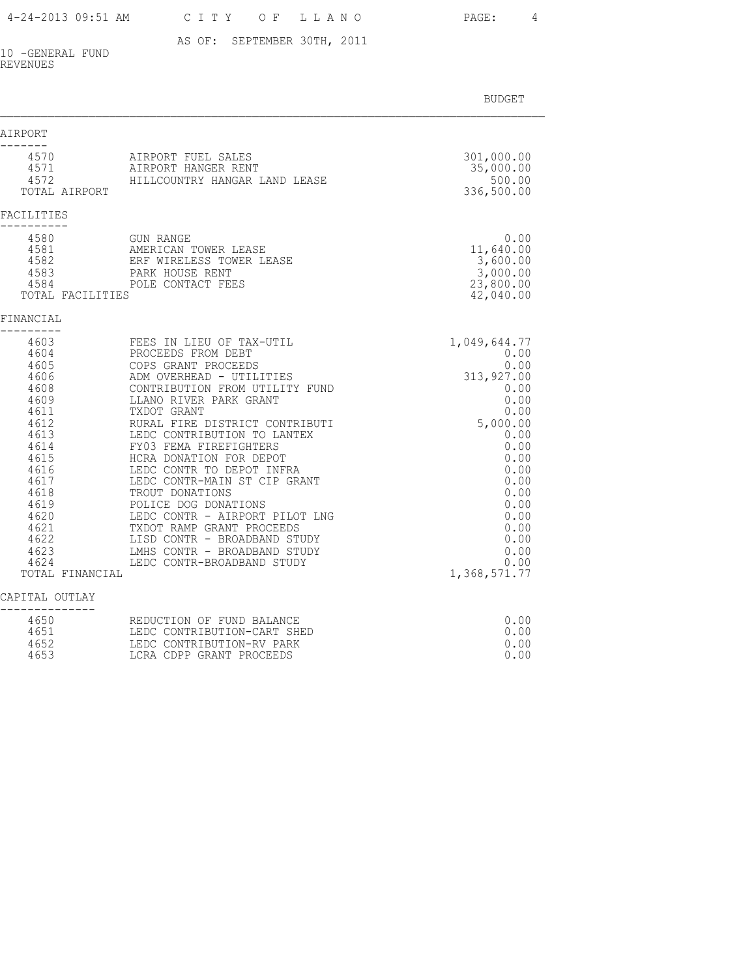AS OF: SEPTEMBER 30TH, 2011

10 -GENERAL FUND REVENUES

BUDGET AND RESERVE AND RESERVE AND RESERVE AND RESERVE AND RESERVE AND RESERVE AND RESERVE AND RESERVE AND RESERVE AND RESERVE AND RESERVE AND RESERVE AND RESERVE AND RESERVE AND RESPONDING A REPORT OF A REPORT OF A REPORT

| AIRPORT                                                                                                                                                                                           |                                                                                                                                                                                                                                                                                                                                                                                                                                                                                                                                                                         |                                                                                                                                                                                                |
|---------------------------------------------------------------------------------------------------------------------------------------------------------------------------------------------------|-------------------------------------------------------------------------------------------------------------------------------------------------------------------------------------------------------------------------------------------------------------------------------------------------------------------------------------------------------------------------------------------------------------------------------------------------------------------------------------------------------------------------------------------------------------------------|------------------------------------------------------------------------------------------------------------------------------------------------------------------------------------------------|
| 4570<br>4571<br>4572<br>TOTAL AIRPORT                                                                                                                                                             | AIRPORT FUEL SALES<br>AIRPORT HANGER RENT<br>HILLCOUNTRY HANGAR LAND LEASE                                                                                                                                                                                                                                                                                                                                                                                                                                                                                              | 301,000.00<br>35,000.00<br>500.00<br>336,500.00                                                                                                                                                |
| FACILITIES                                                                                                                                                                                        |                                                                                                                                                                                                                                                                                                                                                                                                                                                                                                                                                                         |                                                                                                                                                                                                |
| 4580<br>4581<br>4582<br>4583<br>4584<br>TOTAL FACILITIES                                                                                                                                          | <b>GUN RANGE</b><br>AMERICAN TOWER LEASE<br>ERF WIRELESS TOWER LEASE<br>PARK HOUSE RENT<br>POLE CONTACT FEES                                                                                                                                                                                                                                                                                                                                                                                                                                                            | 0.00<br>11,640.00<br>3,600.00<br>3,000.00<br>23,800.00<br>42,040.00                                                                                                                            |
| FINANCIAL                                                                                                                                                                                         |                                                                                                                                                                                                                                                                                                                                                                                                                                                                                                                                                                         |                                                                                                                                                                                                |
| 4603<br>4604<br>4605<br>4606<br>4608<br>4609<br>4611<br>4612<br>4613<br>4614<br>4615<br>4616<br>4617<br>4618<br>4619<br>4620<br>4621<br>4622<br>4623<br>4624<br>TOTAL FINANCIAL<br>CAPITAL OUTLAY | FEES IN LIEU OF TAX-UTIL<br>PROCEEDS FROM DEBT<br>COPS GRANT PROCEEDS<br>ADM OVERHEAD - UTILITIES<br>CONTRIBUTION FROM UTILITY FUND<br>LLANO RIVER PARK GRANT<br>TXDOT GRANT<br>RURAL FIRE DISTRICT CONTRIBUTI<br>LEDC CONTRIBUTION TO LANTEX<br>FY03 FEMA FIREFIGHTERS<br>HCRA DONATION FOR DEPOT<br>LEDC CONTR TO DEPOT INFRA<br>LEDC CONTR-MAIN ST CIP GRANT<br>TROUT DONATIONS<br>POLICE DOG DONATIONS<br>LEDC CONTR - AIRPORT PILOT LNG<br>TXDOT RAMP GRANT PROCEEDS<br>LISD CONTR - BROADBAND STUDY<br>LMHS CONTR - BROADBAND STUDY<br>LEDC CONTR-BROADBAND STUDY | 1,049,644.77<br>0.00<br>0.00<br>313,927.00<br>0.00<br>0.00<br>0.00<br>5,000.00<br>0.00<br>0.00<br>0.00<br>0.00<br>0.00<br>0.00<br>0.00<br>0.00<br>0.00<br>0.00<br>0.00<br>0.00<br>1,368,571.77 |
|                                                                                                                                                                                                   |                                                                                                                                                                                                                                                                                                                                                                                                                                                                                                                                                                         |                                                                                                                                                                                                |
| 4650<br>4651<br>4652                                                                                                                                                                              | REDUCTION OF FUND BALANCE<br>LEDC CONTRIBUTION-CART SHED<br>LEDC CONTRIBUTION-RV PARK                                                                                                                                                                                                                                                                                                                                                                                                                                                                                   | 0.00<br>0.00<br>0.00                                                                                                                                                                           |

4653 LCRA CDPP GRANT PROCEEDS 0.00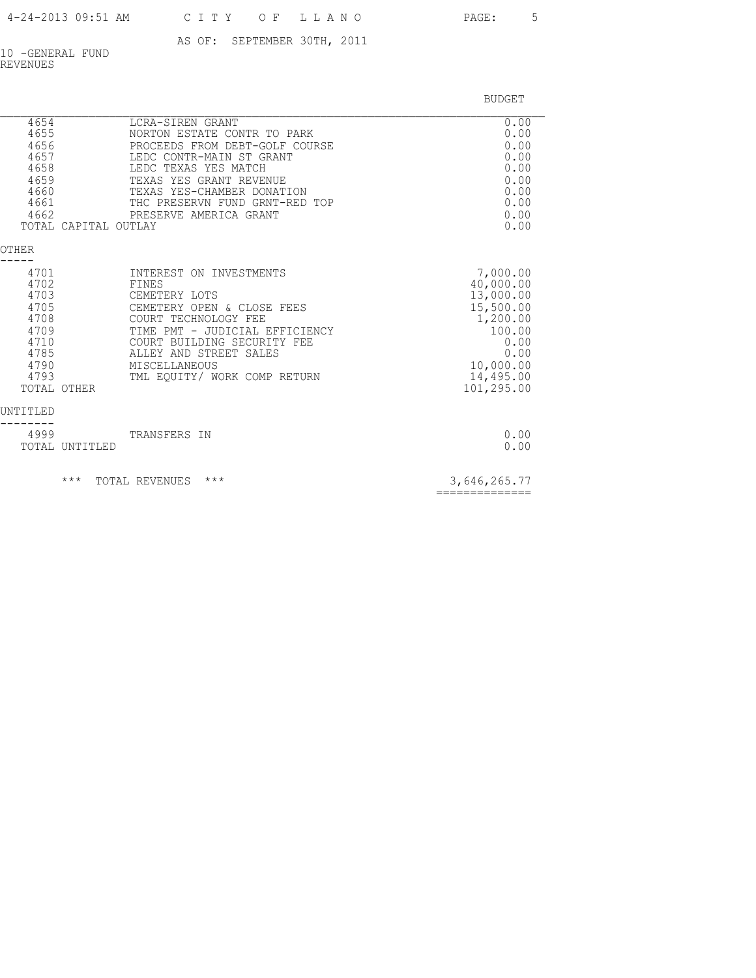| 4-24-2013 09:51 AM |  |  | CITY OF LLANO |
|--------------------|--|--|---------------|
|--------------------|--|--|---------------|

PAGE: 5

AS OF: SEPTEMBER 30TH, 2011

10 -GENERAL FUND REVENUES

BUDGET

| 4654<br>4655<br>4656<br>4657<br>4658<br>4659<br>4660<br>4661<br>4662<br>TOTAL CAPITAL       | LCRA-SIREN GRANT<br>NORTON ESTATE CONTR TO PARK<br>PROCEEDS FROM DEBT-GOLF COURSE<br>LEDC CONTR-MAIN ST GRANT<br>LEDC TEXAS YES MATCH<br>TEXAS YES GRANT REVENUE<br>TEXAS YES-CHAMBER DONATION<br>THC PRESERVN FUND GRNT-RED TOP<br>PRESERVE AMERICA GRANT<br>OUTLAY | 0.00<br>0.00<br>0.00<br>0.00<br>0.00<br>0.00<br>0.00<br>0.00<br>0.00<br>0.00                                                  |
|---------------------------------------------------------------------------------------------|----------------------------------------------------------------------------------------------------------------------------------------------------------------------------------------------------------------------------------------------------------------------|-------------------------------------------------------------------------------------------------------------------------------|
| OTHER                                                                                       |                                                                                                                                                                                                                                                                      |                                                                                                                               |
| 4701<br>4702<br>4703<br>4705<br>4708<br>4709<br>4710<br>4785<br>4790<br>4793<br>TOTAL OTHER | INTEREST ON INVESTMENTS<br>FINES<br>CEMETERY LOTS<br>CEMETERY OPEN & CLOSE FEES<br>COURT TECHNOLOGY FEE<br>TIME PMT - JUDICIAL EFFICIENCY<br>COURT BUILDING SECURITY FEE<br>ALLEY AND STREET SALES<br>MISCELLANEOUS<br>TML EQUITY/ WORK COMP RETURN                  | 7,000.00<br>40,000.00<br>13,000.00<br>15,500.00<br>1,200.00<br>100.00<br>0.00<br>0.00<br>10,000.00<br>14,495.00<br>101,295.00 |
| UNTITLED<br>4999<br>TOTAL UNTITLED                                                          | TRANSFERS IN                                                                                                                                                                                                                                                         | 0.00<br>0.00                                                                                                                  |
| $***$                                                                                       | $***$<br>TOTAL REVENUES                                                                                                                                                                                                                                              | 3,646,265.77<br>==============                                                                                                |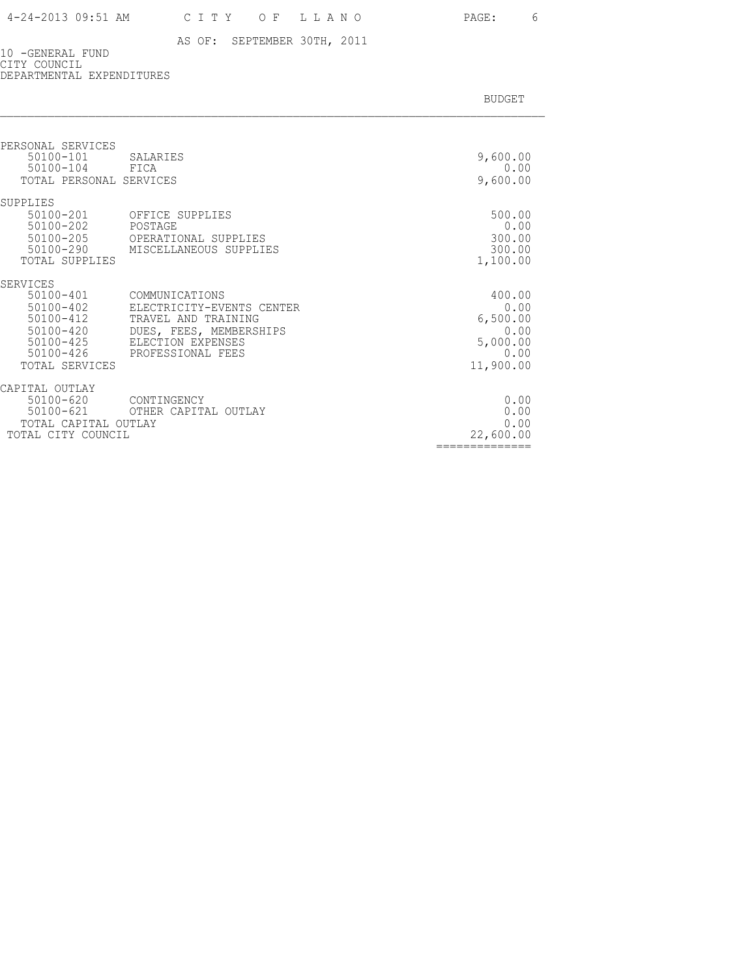==============

# AS OF: SEPTEMBER 30TH, 2011

BUDGET AND RESERVE AND RESERVE AND RESERVE AND RESERVE AND RESERVE AND RESERVE AND RESERVE AND RESERVE AND RESERVE AND RESERVE AND RESERVE AND RESERVE AND RESERVE AND RESERVE AND RESPONDING A REPORT OF A REPORT OF A REPORT

10 -GENERAL FUND CITY COUNCIL DEPARTMENTAL EXPENDITURES

| PERSONAL SERVICES<br>50100-101<br>50100-104<br>TOTAL PERSONAL SERVICES                                           | SALARIES<br>FICA                                                                                                                        | 9,600.00<br>0.00<br>9,600.00                                        |
|------------------------------------------------------------------------------------------------------------------|-----------------------------------------------------------------------------------------------------------------------------------------|---------------------------------------------------------------------|
| SUPPLIES                                                                                                         |                                                                                                                                         |                                                                     |
| 50100-201<br>50100-202<br>$50100 - 205$<br>50100-290<br>TOTAL SUPPLIES                                           | OFFICE SUPPLIES<br>POSTAGE<br>OPERATIONAL SUPPLIES<br>MISCELLANEOUS SUPPLIES                                                            | 500.00<br>0.00<br>300.00<br>300.00<br>1,100.00                      |
| SERVICES                                                                                                         |                                                                                                                                         |                                                                     |
| 50100-401<br>$50100 - 402$<br>$50100 - 412$<br>$50100 - 420$<br>$50100 - 425$<br>$50100 - 426$<br>TOTAL SERVICES | COMMUNICATIONS<br>ELECTRICITY-EVENTS CENTER<br>TRAVEL AND TRAINING<br>DUES, FEES, MEMBERSHIPS<br>ELECTION EXPENSES<br>PROFESSIONAL FEES | 400.00<br>0.00<br>6,500.00<br>0.00<br>5,000.00<br>0.00<br>11,900.00 |
| CAPITAL OUTLAY                                                                                                   |                                                                                                                                         |                                                                     |
| $50100 - 620$<br>$50100 - 621$                                                                                   | CONTINGENCY<br>OTHER CAPITAL OUTLAY                                                                                                     | 0.00<br>0.00                                                        |
| TOTAL CAPITAL OUTLAY<br>TOTAL CITY COUNCIL                                                                       |                                                                                                                                         | 0.00<br>22,600.00                                                   |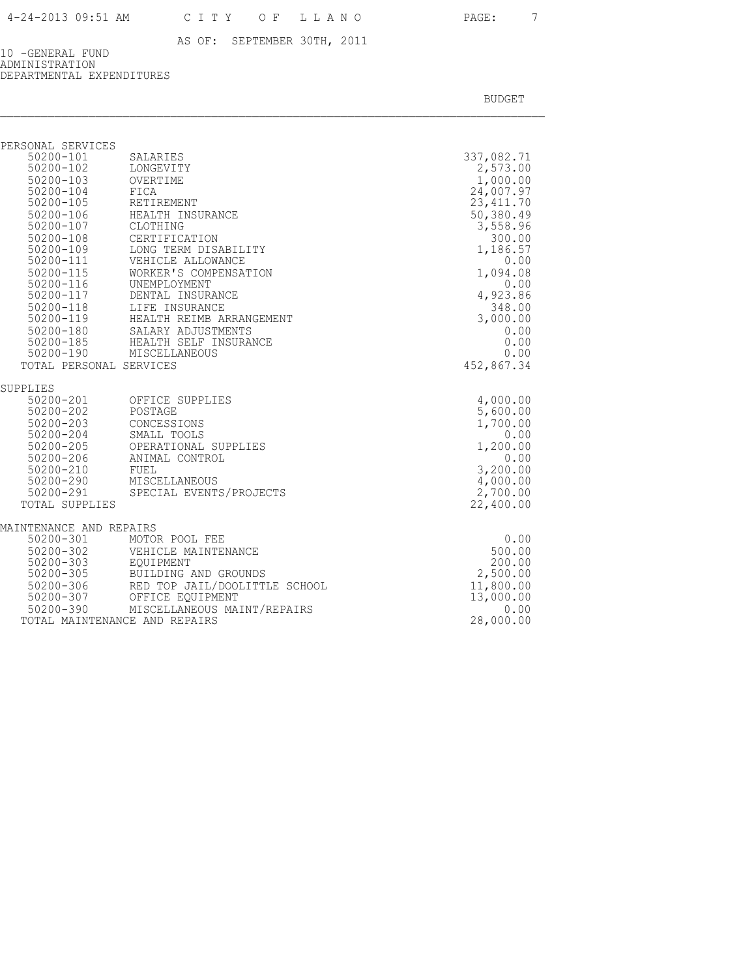10 -GENERAL FUND ADMINISTRATION DEPARTMENTAL EXPENDITURES

| PERSONAL SERVICES                   |                                                                                              |            |
|-------------------------------------|----------------------------------------------------------------------------------------------|------------|
| 50200-101                           | SALARIES                                                                                     | 337,082.71 |
| 50200-102                           | LONGEVITY                                                                                    | 2,573.00   |
| 50200-103                           | OVERTIME                                                                                     | 1,000.00   |
| 50200-104<br>⊃∪∠∪∪-104<br>50200-105 | FICA                                                                                         | 24,007.97  |
|                                     | RETIREMENT                                                                                   | 23, 411.70 |
|                                     | 50200-106 HEALTH INSURANCE                                                                   | 50,380.49  |
| 50200-107                           | CLOTHING                                                                                     | 3,558.96   |
| 50200-108                           | CERTIFICATION                                                                                | 300.00     |
| 50200-109                           | LONG TERM DISABILITY                                                                         | 1,186.57   |
| 50200-111                           | VEHICLE ALLOWANCE                                                                            | 0.00       |
| 50200-115                           | WORKER'S COMPENSATION                                                                        | 1,094.08   |
| 50200-116                           | UNEMPLOYMENT                                                                                 | 0.00       |
|                                     |                                                                                              | 4,923.86   |
|                                     | 50200-117 DENTAL INSURANCE<br>50200-118 LIFE INSURANCE<br>50200-119 HEALTH REIMB ARRANGEMENT | 348.00     |
|                                     |                                                                                              | 3,000.00   |
|                                     | 50200-180 SALARY ADJUSTMENTS                                                                 | 0.00       |
|                                     | 50200-185 HEALTH SELF INSURANCE                                                              | 0.00       |
| 50200-190                           | MISCELLANEOUS                                                                                | 0.00       |
| TOTAL PERSONAL SERVICES             |                                                                                              | 452,867.34 |
| SUPPLIES                            |                                                                                              |            |
| 50200-201<br>50200-202              | OFFICE SUPPLIES                                                                              | 4,000.00   |
|                                     | POSTAGE                                                                                      | 5,600.00   |
| 50200-203                           | CONCESSIONS                                                                                  | 1,700.00   |
| 50200-204                           | SMALL TOOLS                                                                                  | 0.00       |
| 50200-205                           | OPERATIONAL SUPPLIES                                                                         | 1,200.00   |
| 50200-206 ANIMA<br>50200-210 FUEL   | ANIMAL CONTROL                                                                               | 0.00       |
|                                     |                                                                                              | 3,200.00   |
|                                     | 50200-290 MISCELLANEOUS                                                                      | 4,000.00   |
|                                     | 50200-291 SPECIAL EVENTS/PROJECTS                                                            | 2,700.00   |
| TOTAL SUPPLIES                      |                                                                                              | 22,400.00  |
| MAINTENANCE AND REPAIRS             |                                                                                              |            |
| 50200-301                           | MOTOR POOL FEE                                                                               | 0.00       |
|                                     | 50200-302 VEHICLE MAINTENANCE                                                                | 500.00     |
|                                     | 50200-303 EQUIPMENT<br>50200-305 BUILDING AND GROUNDS                                        | 200.00     |
|                                     |                                                                                              | 2,500.00   |
|                                     | 50200-306 RED TOP JAIL/DOOLITTLE SCHOOL                                                      | 11,800.00  |
| $50200 - 307$                       | OFFICE EQUIPMENT                                                                             | 13,000.00  |
|                                     | 50200-390 MISCELLANEOUS MAINT/REPAIRS                                                        | 0.00       |
| TOTAL MAINTENANCE AND REPAIRS       |                                                                                              | 28,000.00  |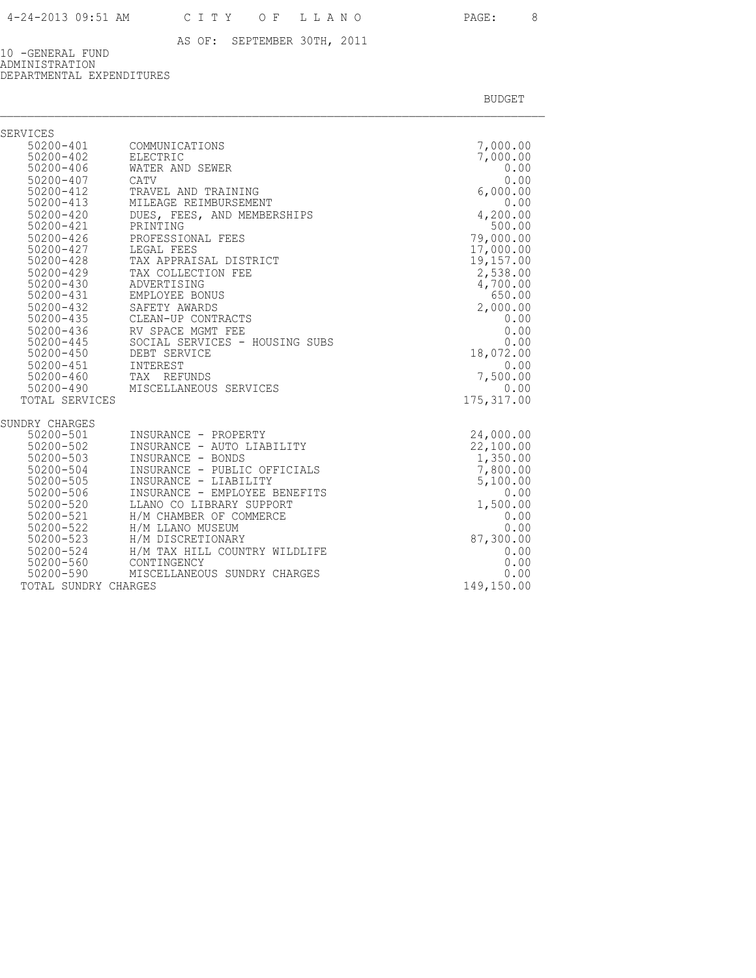10 -GENERAL FUND ADMINISTRATION DEPARTMENTAL EXPENDITURES

| SERVICES               |                                                 |                       |
|------------------------|-------------------------------------------------|-----------------------|
|                        | 50200-401 COMMUNICATIONS                        | 7,000.00              |
| 50200-402              | ELECTRIC                                        | 7,000.00              |
| $50200 - 406$          | WATER AND SEWER                                 | 0.00                  |
| 50200-407              | CATV                                            | 0.00                  |
| $50200 - 412$          | TRAVEL AND TRAINING                             | 6,000.00              |
| $50200 - 413$          | MILEAGE REIMBURSEMENT                           | 0.00                  |
| $50200 - 420$          | DUES, FEES, AND MEMBERSHIPS                     | 4,200.00              |
| 50200-421              | PRINTING                                        | 500.00                |
| $50200 - 426$          | PROFESSIONAL FEES                               | 79,000.00             |
| 50200-427              | LEGAL FEES                                      | 17,000.00             |
| 50200-428              | TAX APPRAISAL DISTRICT                          | 19,157.00             |
| 50200-429              | TAX COLLECTION FEE                              | 2,538.00              |
| 50200-430              | ADVERTISING                                     | 4,700.00              |
| 50200-431              | EMPLOYEE BONUS                                  | 650.00                |
| 50200-432              | SAFETY AWARDS                                   | 2,000.00              |
| $50200 - 435$          | CLEAN-UP CONTRACTS                              | 0.00                  |
| $50200 - 436$          | RV SPACE MGMT FEE                               | 0.00                  |
| $50200 - 445$          | SOCIAL SERVICES - HOUSING SUBS                  | 0.00                  |
| 50200-450              | DEBT SERVICE                                    | 18,072.00             |
| 50200-451              | INTEREST                                        | 0.00                  |
| 50200-460              | TAX REFUNDS<br>50200-490 MISCELLANEOUS SERVICES | 7,500.00<br>0.00      |
|                        |                                                 |                       |
| TOTAL SERVICES         |                                                 | 175, 317.00           |
| SUNDRY CHARGES         |                                                 |                       |
| 50200-501<br>50200-502 | INSURANCE - PROPERTY                            | 24,000.00             |
| $50200 - 503$          | INSURANCE - AUTO LIABILITY<br>INSURANCE - BONDS | 22,100.00<br>1,350.00 |
| 50200-504              | INSURANCE - PUBLIC OFFICIALS                    | 7,800.00              |
| 50200-505              | INSURANCE - LIABILITY                           | 5,100.00              |
| 50200-506              | INSURANCE - EMPLOYEE BENEFITS                   | 0.00                  |
| 50200-520              | LLANO CO LIBRARY SUPPORT                        | 1,500.00              |
| 50200-521              | H/M CHAMBER OF COMMERCE                         | 0.00                  |
| 50200-522              | H/M LLANO MUSEUM                                | 0.00                  |
| 50200-523              | H/M DISCRETIONARY                               | 87,300.00             |
| 50200-524              | H/M TAX HILL COUNTRY WILDLIFE                   | 0.00                  |
| 50200-560              | CONTINGENCY                                     | 0.00                  |
|                        | 50200-590 MISCELLANEOUS SUNDRY CHARGES          | 0.00                  |
| TOTAL SUNDRY CHARGES   |                                                 | 149,150.00            |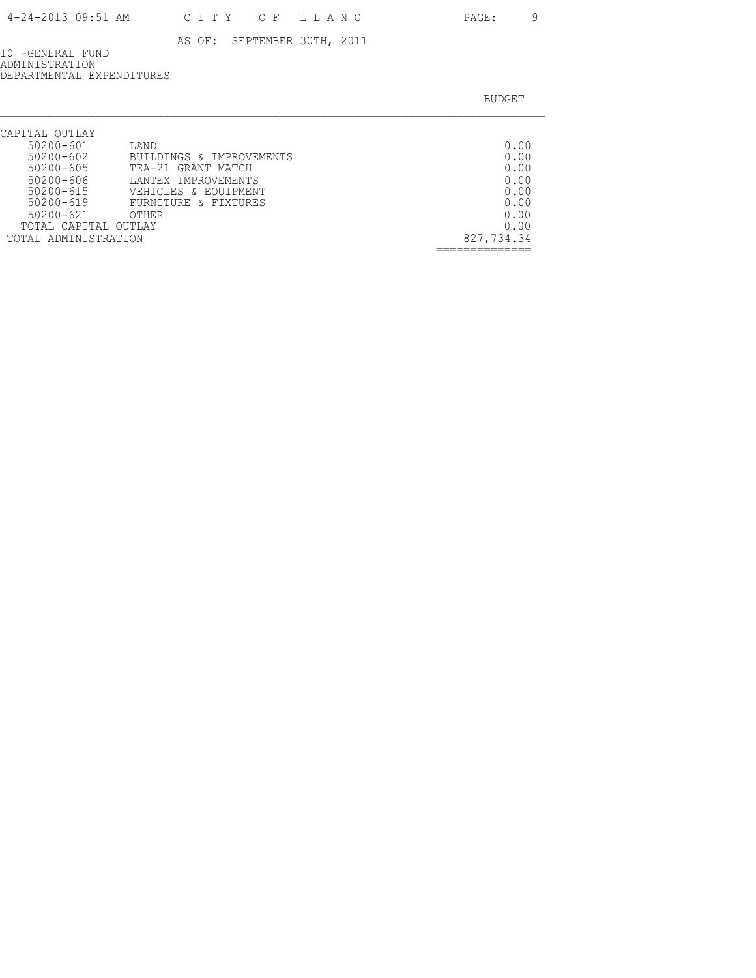10 -GENERAL FUND ADMINISTRATION DEPARTMENTAL EXPENDITURES

| CAPITAL OUTLAY       |                          |            |
|----------------------|--------------------------|------------|
| 50200-601            | LAND                     | 0.00       |
| $50200 - 602$        | BUILDINGS & IMPROVEMENTS | 0.00       |
| 50200-605            | TEA-21 GRANT MATCH       | 0.00       |
| $50200 - 606$        | LANTEX IMPROVEMENTS      | 0.00       |
| $50200 - 615$        | VEHICLES & EQUIPMENT     | 0.00       |
| $50200 - 619$        | FURNITURE & FIXTURES     | 0.00       |
| $50200 - 621$        | <b>OTHER</b>             | 0.00       |
| TOTAL CAPITAL OUTLAY |                          | 0.00       |
| TOTAL ADMINISTRATION |                          | 827,734.34 |
|                      |                          |            |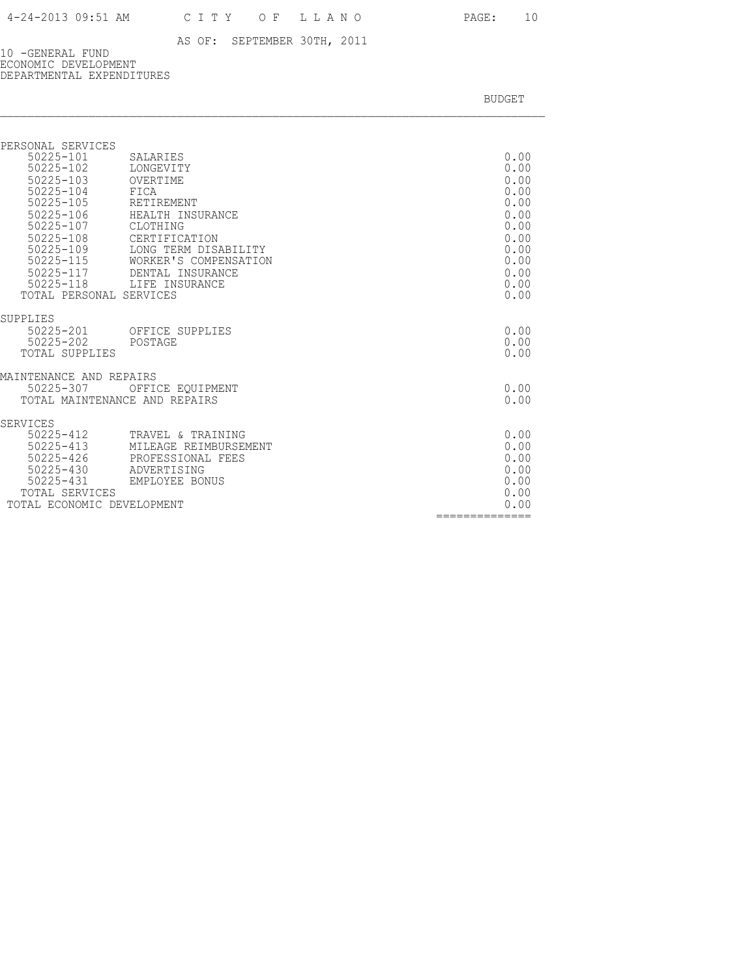10 -GENERAL FUND ECONOMIC DEVELOPMENT DEPARTMENTAL EXPENDITURES

| PERSONAL SERVICES<br>SALARIES<br>LONGEVITY<br>OVERTIME<br>FICA<br>RETIREMENT<br>HEALTH INSURANCE<br>CLOTHING<br>CERTIFICATION<br>LONG TERM DISABILITY<br>WORKER'S COMPENSATION<br>50225-117<br>DENTAL INSURANCE<br>50225-118 LIFE INSURANCE<br>TOTAL PERSONAL SERVICES | 0.00<br>0.00<br>0.00<br>0.00<br>0.00<br>0.00<br>0.00<br>0.00<br>0.00<br>0.00<br>0.00<br>0.00<br>0.00 |
|------------------------------------------------------------------------------------------------------------------------------------------------------------------------------------------------------------------------------------------------------------------------|------------------------------------------------------------------------------------------------------|
|                                                                                                                                                                                                                                                                        |                                                                                                      |
| 50225-201<br>OFFICE SUPPLIES<br>POSTAGE<br>TOTAL SUPPLIES                                                                                                                                                                                                              | 0.00<br>0.00<br>0.00                                                                                 |
| MAINTENANCE AND REPAIRS                                                                                                                                                                                                                                                |                                                                                                      |
| OFFICE EQUIPMENT<br>TOTAL MAINTENANCE AND REPAIRS                                                                                                                                                                                                                      | 0.00<br>0.00                                                                                         |
|                                                                                                                                                                                                                                                                        |                                                                                                      |
| 50225-412<br>TRAVEL & TRAINING<br>MILEAGE REIMBURSEMENT<br>PROFESSIONAL FEES<br>50225-430<br>ADVERTISING<br>EMPLOYEE BONUS<br>TOTAL SERVICES<br>TOTAL ECONOMIC DEVELOPMENT                                                                                             | 0.00<br>0.00<br>0.00<br>0.00<br>0.00<br>0.00<br>0.00<br>==============                               |
|                                                                                                                                                                                                                                                                        |                                                                                                      |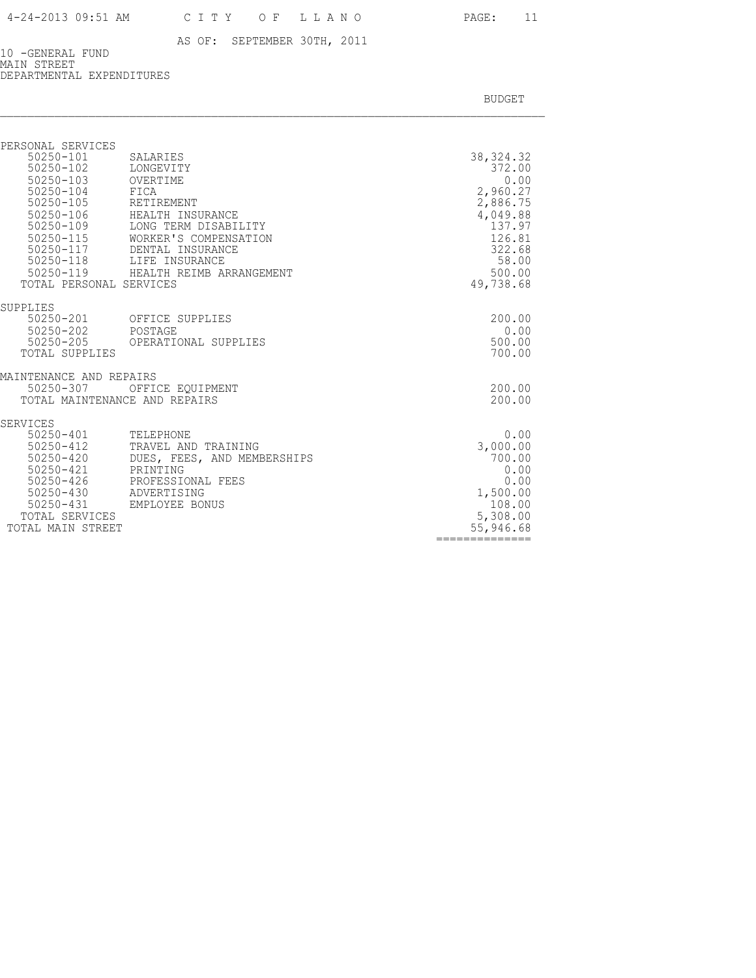10 -GENERAL FUND MAIN STREET DEPARTMENTAL EXPENDITURES

| PERSONAL SERVICES                          |                                          |                               |
|--------------------------------------------|------------------------------------------|-------------------------------|
| 50250-101<br>50250-102<br>$50250 - 103$    | SALARIES<br>LONGEVITY<br>OVERTIME        | 38, 324. 32<br>372.00<br>0.00 |
| $50250 - 104$<br>$50250 - 105$             | FICA<br>RETIREMENT                       | 2,960.27<br>2,886.75          |
| $50250 - 106$<br>50250-109                 | HEALTH INSURANCE<br>LONG TERM DISABILITY | 4,049.88<br>137.97            |
| $50250 - 115$                              | WORKER'S COMPENSATION                    | 126.81                        |
| 50250-117<br>50250-118                     | DENTAL INSURANCE<br>LIFE INSURANCE       | 322.68<br>58.00               |
| TOTAL PERSONAL SERVICES                    | 50250-119 HEALTH REIMB ARRANGEMENT       | 500.00<br>49,738.68           |
| SUPPLIES                                   |                                          |                               |
| 50250-201<br>50250-202                     | OFFICE SUPPLIES<br>POSTAGE               | 200.00<br>0.00                |
| 50250-205<br>TOTAL SUPPLIES                | OPERATIONAL SUPPLIES                     | 500.00<br>700.00              |
| MAINTENANCE AND REPAIRS                    |                                          |                               |
| 50250-307<br>TOTAL MAINTENANCE AND REPAIRS | OFFICE EOUIPMENT                         | 200.00<br>200.00              |
| SERVICES                                   |                                          |                               |
| 50250-401<br>50250-412                     | TELEPHONE<br>TRAVEL AND TRAINING         | 0.00<br>3,000.00              |
| 50250-420<br>50250-421                     | DUES, FEES, AND MEMBERSHIPS<br>PRINTING  | 700.00<br>0.00                |
| 50250-426                                  | PROFESSIONAL FEES                        | 0.00                          |
| 50250-430<br>50250-431                     | ADVERTISING<br>EMPLOYEE BONUS            | 1,500.00<br>108.00            |
| TOTAL SERVICES<br>TOTAL MAIN STREET        |                                          | 5,308.00<br>55,946.68         |
|                                            |                                          | ============                  |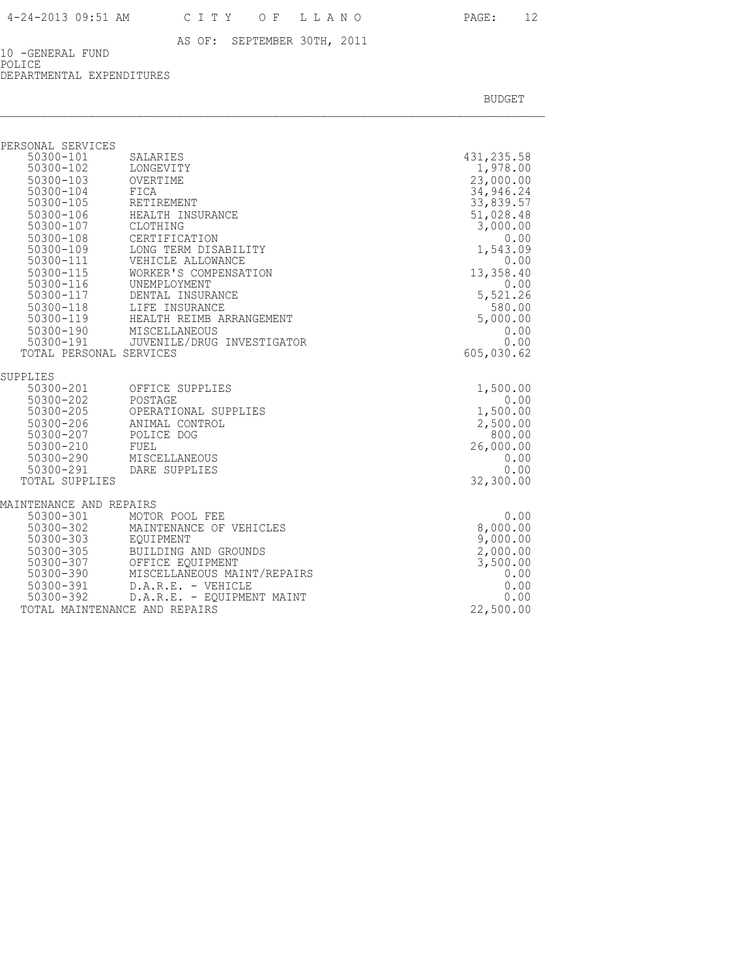10 -GENERAL FUND POLICE DEPARTMENTAL EXPENDITURES

| PERSONAL SERVICES                                                   |                                                                                                                       |                  |
|---------------------------------------------------------------------|-----------------------------------------------------------------------------------------------------------------------|------------------|
| 50300-101                                                           | SALARIES                                                                                                              | 431, 235.58      |
| 50300-102                                                           | LONGEVITY                                                                                                             | 1,978.00         |
| 50300-103 OVERTIME                                                  |                                                                                                                       | 23,000.00        |
| 50300-104                                                           | FICA                                                                                                                  | 34,946.24        |
| 50300-105                                                           | RETIREMENT                                                                                                            | 33,839.57        |
| $50300 - 106$                                                       | HEALTH INSURANCE                                                                                                      | 51,028.48        |
| 50300-107 CLOTHING                                                  |                                                                                                                       | 3,000.00         |
| 50300-108                                                           | CERTIFICATION                                                                                                         | 0.00             |
| 50300-109                                                           | LONG TERM DISABILITY                                                                                                  | 1,543.09         |
|                                                                     |                                                                                                                       | 0.00             |
|                                                                     |                                                                                                                       | 13,358.40        |
|                                                                     |                                                                                                                       | 0.00             |
|                                                                     | 50300-117 DENTAL INSURANCE                                                                                            | 5,521.26         |
|                                                                     | 50300-118 LIFE INSURANCE                                                                                              | 580.00           |
|                                                                     | 50300-119 HEALTH REIMB ARRANGEMENT                                                                                    | 5,000.00         |
|                                                                     | 50300-190 MISCELLANEOUS<br>50300-191 JUVENILE/DRUG INVESTIGATOR                                                       | 0.00             |
| TOTAL PERSONAL SERVICES                                             |                                                                                                                       | 0.00             |
|                                                                     |                                                                                                                       | 605,030.62       |
| SUPPLIES                                                            |                                                                                                                       |                  |
|                                                                     | 50300-201 OFFICE SUPPLIES                                                                                             | 1,500.00         |
| 50300-202                                                           | POSTAGE                                                                                                               | 0.00             |
| $50300 - 205$                                                       | OPERATIONAL SUPPLIES                                                                                                  | 1,500.00         |
|                                                                     | 50300-206 ANIMAL CONTROL                                                                                              | 2,500.00         |
| 50300-207                                                           | POLICE DOG                                                                                                            | 800.00           |
|                                                                     | 50300-210 FUEL<br>50300-290 MISCELLANEOUS<br>50300-291 DARE SUPPLIES                                                  | 26,000.00        |
|                                                                     |                                                                                                                       | 0.00             |
|                                                                     |                                                                                                                       | 0.00             |
| TOTAL SUPPLIES                                                      |                                                                                                                       | 32,300.00        |
|                                                                     |                                                                                                                       |                  |
| MAINTENANCE AND REPAIRS                                             |                                                                                                                       |                  |
|                                                                     | MOTOR POOL FEE                                                                                                        | 0.00<br>8,000.00 |
| 50300-301 MOTOR POOI<br>50300-302 MAINTENANG<br>50300-303 EQUIPMENT | MAINTENANCE OF VEHICLES                                                                                               | 9,000.00         |
| 50300-305                                                           | BUILDING AND GROUNDS                                                                                                  | 2,000.00         |
|                                                                     |                                                                                                                       | 3,500.00         |
|                                                                     | 50300-307 OFFICE EQUIPMENT<br>50300-390 MISCELLANEOUS MA<br>50300-391 D.A.R.E. - VEHIC<br>MISCELLANEOUS MAINT/REPAIRS | 0.00             |
|                                                                     | D.A.R.E. - VEHICLE                                                                                                    | 0.00             |
|                                                                     | 50300-391 D.A.R.E. - VEHICLE<br>50300-392 D.A.R.E. - EQUIPMENT MAINT                                                  | 0.00             |
|                                                                     | TOTAL MAINTENANCE AND REPAIRS                                                                                         | 22,500.00        |
|                                                                     |                                                                                                                       |                  |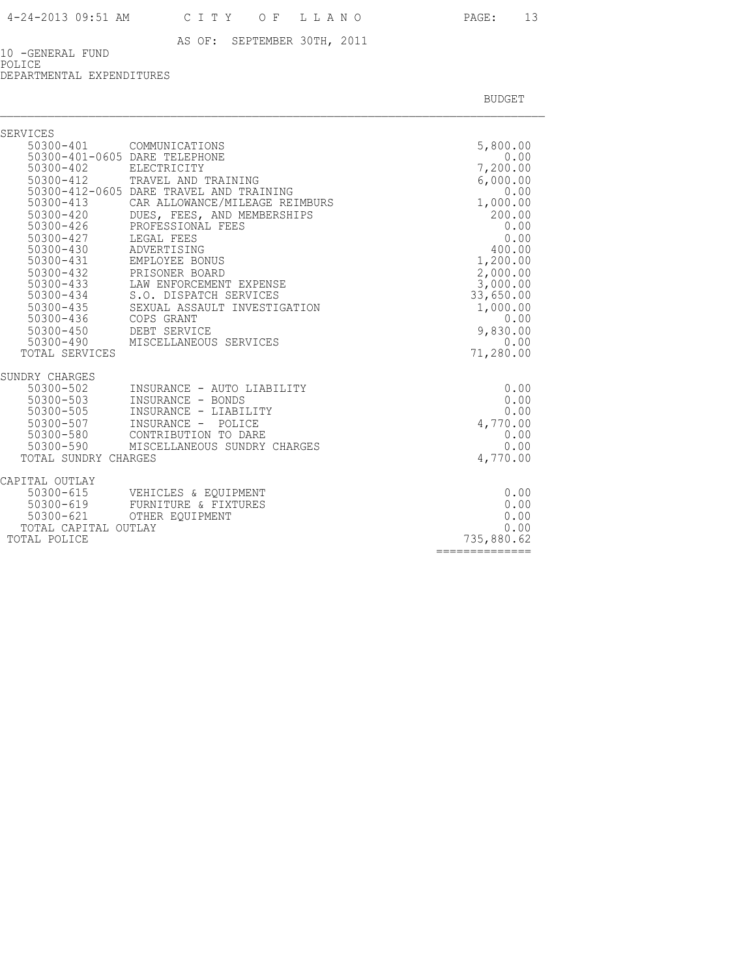10 -GENERAL FUND POLICE

DEPARTMENTAL EXPENDITURES

| SERVICES               |                                           |                       |
|------------------------|-------------------------------------------|-----------------------|
|                        | 50300-401 COMMUNICATIONS                  | 5,800.00              |
|                        | 50300-401-0605 DARE TELEPHONE             | 0.00                  |
| 50300-402              | ELECTRICITY                               | 7,200.00              |
| 50300-412              | TRAVEL AND TRAINING                       | 6,000.00              |
|                        | 50300-412-0605 DARE TRAVEL AND TRAINING   | 0.00                  |
| 50300-413              | CAR ALLOWANCE/MILEAGE REIMBURS            | 1,000.00              |
| 50300-420              | DUES, FEES, AND MEMBERSHIPS               | 200.00                |
| 50300-426              | PROFESSIONAL FEES                         | 0.00                  |
| 50300-427              | LEGAL FEES                                | 0.00                  |
| 50300-430              | ADVERTISING                               | 400.00                |
| 50300-431<br>50300-432 | EMPLOYEE BONUS                            | 1,200.00              |
| 50300-433              | PRISONER BOARD<br>LAW ENFORCEMENT EXPENSE | 2,000.00              |
| 50300-434              | S.O. DISPATCH SERVICES                    | 3,000.00<br>33,650.00 |
| 50300-435              | SEXUAL ASSAULT INVESTIGATION              | 1,000.00              |
| 50300-436              | COPS GRANT                                | 0.00                  |
|                        | DEBT SERVICE                              | 9,830.00              |
| 50300-450<br>50300-490 | MISCELLANEOUS SERVICES                    | 0.00                  |
| TOTAL SERVICES         |                                           | 71,280.00             |
| SUNDRY CHARGES         |                                           |                       |
| 50300-502              | INSURANCE - AUTO LIABILITY                | 0.00                  |
| 50300-503              | INSURANCE - BONDS                         | 0.00                  |
| 50300-505              | INSURANCE - LIABILITY                     | 0.00                  |
| 50300-507              | INSURANCE - POLICE                        | 4,770.00              |
| 50300-580              | CONTRIBUTION TO DARE                      | 0.00                  |
| $50300 - 590$          | MISCELLANEOUS SUNDRY CHARGES              | 0.00                  |
| TOTAL SUNDRY CHARGES   |                                           | 4,770.00              |
| CAPITAL OUTLAY         |                                           |                       |
|                        | 50300-615 VEHICLES & EQUIPMENT            | 0.00                  |
| 50300-619              | FURNITURE & FIXTURES                      | 0.00                  |
|                        | 50300-621 OTHER EQUIPMENT                 | 0.00                  |
| TOTAL CAPITAL OUTLAY   |                                           | 0.00                  |
| TOTAL POLICE           |                                           | 735,880.62            |
|                        |                                           | ==============        |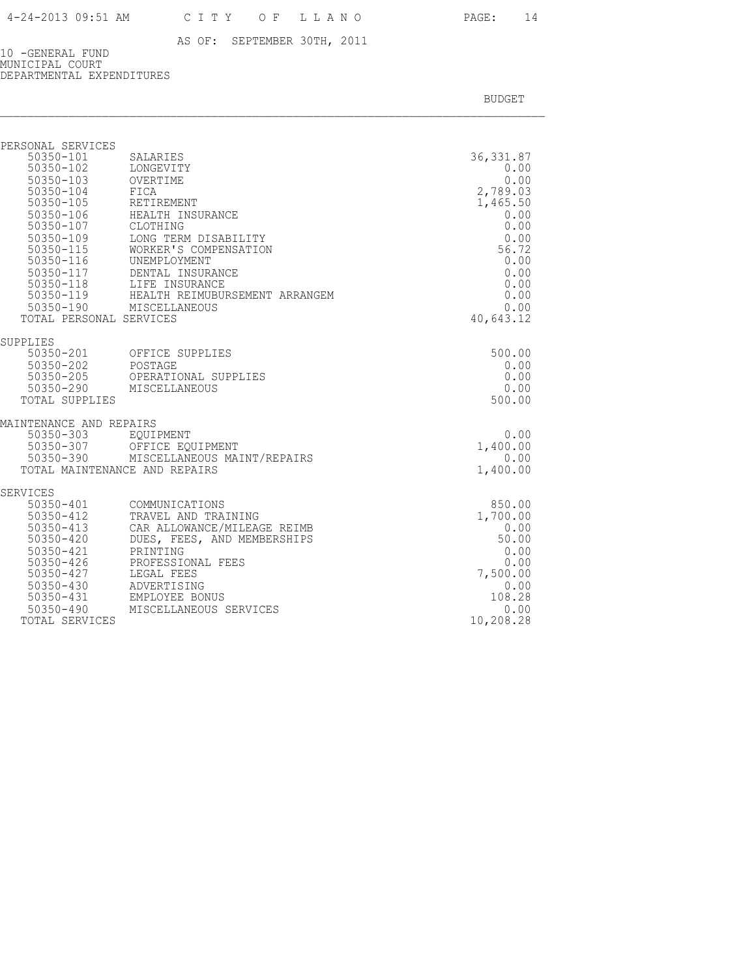10 -GENERAL FUND MUNICIPAL COURT DEPARTMENTAL EXPENDITURES

| PERSONAL SERVICES<br>50350-101<br>50350-102<br>50350-103<br>50350-104<br>$50350 - 105$<br>$50350 - 106$<br>$50350 - 107$<br>50350-109<br>50350-115<br>50350-116<br>50350-117<br>50350-118<br>50350-119<br>TOTAL PERSONAL SERVICES | SALARIES<br>LONGEVITY<br>OVERTIME<br>FICA<br>RETIREMENT<br>HEALTH INSURANCE<br>CLOTHING<br>LONG TERM DISABILITY<br>WORKER'S COMPENSATION<br>UNEMPLOYMENT<br>DENTAL INSURANCE<br>LIFE INSURANCE<br>HEALTH REIMUBURSEMENT ARRANGEM<br>50350-190 MISCELLANEOUS | 36, 331.87<br>0.00<br>0.00<br>2,789.03<br>1,465.50<br>0.00<br>0.00<br>0.00<br>56.72<br>0.00<br>0.00<br>0.00<br>0.00<br>0.00<br>40,643.12 |
|-----------------------------------------------------------------------------------------------------------------------------------------------------------------------------------------------------------------------------------|-------------------------------------------------------------------------------------------------------------------------------------------------------------------------------------------------------------------------------------------------------------|------------------------------------------------------------------------------------------------------------------------------------------|
| SUPPLIES                                                                                                                                                                                                                          |                                                                                                                                                                                                                                                             |                                                                                                                                          |
|                                                                                                                                                                                                                                   | 50350-201 OFFICE SUPPLIES                                                                                                                                                                                                                                   | 500.00                                                                                                                                   |
| 50350-202                                                                                                                                                                                                                         | POSTAGE                                                                                                                                                                                                                                                     | 0.00                                                                                                                                     |
| 50350-205<br>50350-290                                                                                                                                                                                                            | OPERATIONAL SUPPLIES<br>MISCELLANEOUS                                                                                                                                                                                                                       | 0.00<br>0.00                                                                                                                             |
| TOTAL SUPPLIES                                                                                                                                                                                                                    |                                                                                                                                                                                                                                                             | 500.00                                                                                                                                   |
|                                                                                                                                                                                                                                   |                                                                                                                                                                                                                                                             |                                                                                                                                          |
| MAINTENANCE AND REPAIRS                                                                                                                                                                                                           |                                                                                                                                                                                                                                                             |                                                                                                                                          |
| 50350-303<br>$50350 - 307$                                                                                                                                                                                                        | EOUIPMENT                                                                                                                                                                                                                                                   | 0.00                                                                                                                                     |
| 50350-390                                                                                                                                                                                                                         | OFFICE EQUIPMENT<br>MISCELLANEOUS MAINT/REPAIRS                                                                                                                                                                                                             | 1,400.00<br>0.00                                                                                                                         |
|                                                                                                                                                                                                                                   | TOTAL MAINTENANCE AND REPAIRS                                                                                                                                                                                                                               | 1,400.00                                                                                                                                 |
|                                                                                                                                                                                                                                   |                                                                                                                                                                                                                                                             |                                                                                                                                          |
| SERVICES<br>50350-401                                                                                                                                                                                                             | COMMUNICATIONS                                                                                                                                                                                                                                              | 850.00                                                                                                                                   |
| $50350 - 412$                                                                                                                                                                                                                     | TRAVEL AND TRAINING                                                                                                                                                                                                                                         | 1,700.00                                                                                                                                 |
| 50350-413                                                                                                                                                                                                                         | CAR ALLOWANCE/MILEAGE REIMB                                                                                                                                                                                                                                 | 0.00                                                                                                                                     |
| $50350 - 420$                                                                                                                                                                                                                     | DUES, FEES, AND MEMBERSHIPS                                                                                                                                                                                                                                 | 50.00                                                                                                                                    |
| 50350-421                                                                                                                                                                                                                         | PRINTING                                                                                                                                                                                                                                                    | 0.00                                                                                                                                     |
| $50350 - 426$                                                                                                                                                                                                                     | PROFESSIONAL FEES                                                                                                                                                                                                                                           | 0.00                                                                                                                                     |
| 50350-427                                                                                                                                                                                                                         | LEGAL FEES                                                                                                                                                                                                                                                  | 7,500.00                                                                                                                                 |
| $50350 - 430$                                                                                                                                                                                                                     | ADVERTISING                                                                                                                                                                                                                                                 | 0.00                                                                                                                                     |
| 50350-431                                                                                                                                                                                                                         | EMPLOYEE BONUS                                                                                                                                                                                                                                              | 108.28                                                                                                                                   |
| $50350 - 490$                                                                                                                                                                                                                     | MISCELLANEOUS SERVICES                                                                                                                                                                                                                                      | 0.00                                                                                                                                     |
| TOTAL SERVICES                                                                                                                                                                                                                    |                                                                                                                                                                                                                                                             | 10,208.28                                                                                                                                |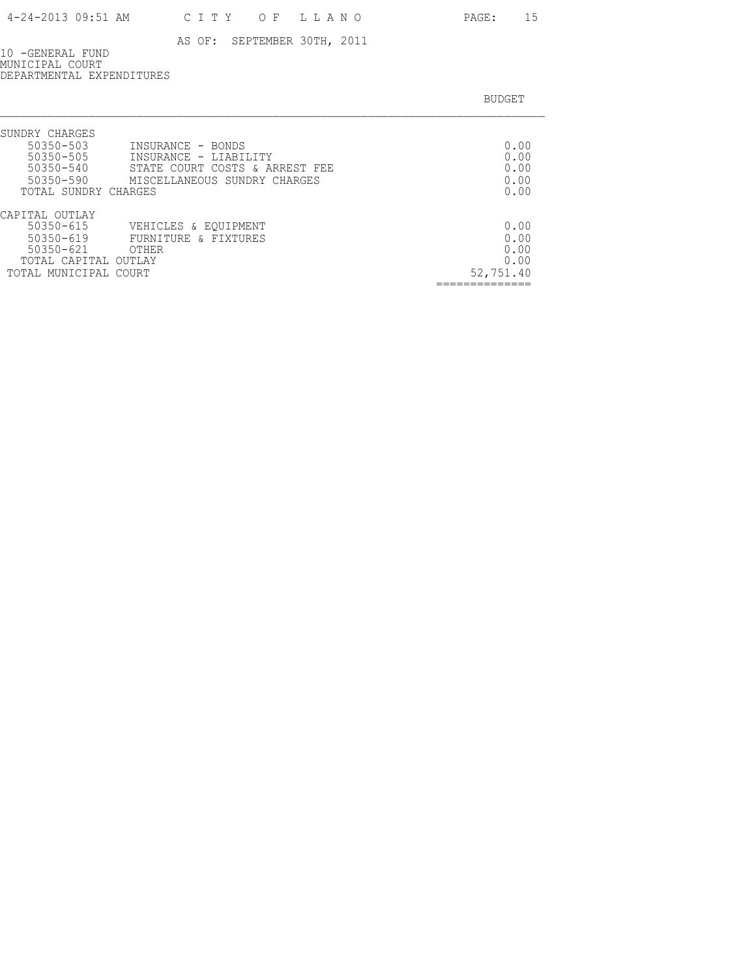10 -GENERAL FUND MUNICIPAL COURT DEPARTMENTAL EXPENDITURES

| SUNDRY CHARGES                              |           |
|---------------------------------------------|-----------|
| 50350-503<br>INSURANCE - BONDS              | 0.00      |
| $50350 - 505$<br>INSURANCE - LIABILITY      | 0.00      |
| 50350-540<br>STATE COURT COSTS & ARREST FEE | 0.00      |
| 50350-590<br>MISCELLANEOUS SUNDRY CHARGES   | 0.00      |
| TOTAL SUNDRY CHARGES                        | 0.00      |
| CAPITAL OUTLAY                              |           |
| $50350 - 615$<br>VEHICLES & EQUIPMENT       | 0.00      |
| $50350 - 619$<br>FURNITURE & FIXTURES       | 0.00      |
| $50350 - 621$<br>OTHER                      | 0.00      |
| TOTAL CAPITAL OUTLAY                        | 0.00      |
| TOTAL MUNICIPAL COURT                       | 52,751.40 |
|                                             |           |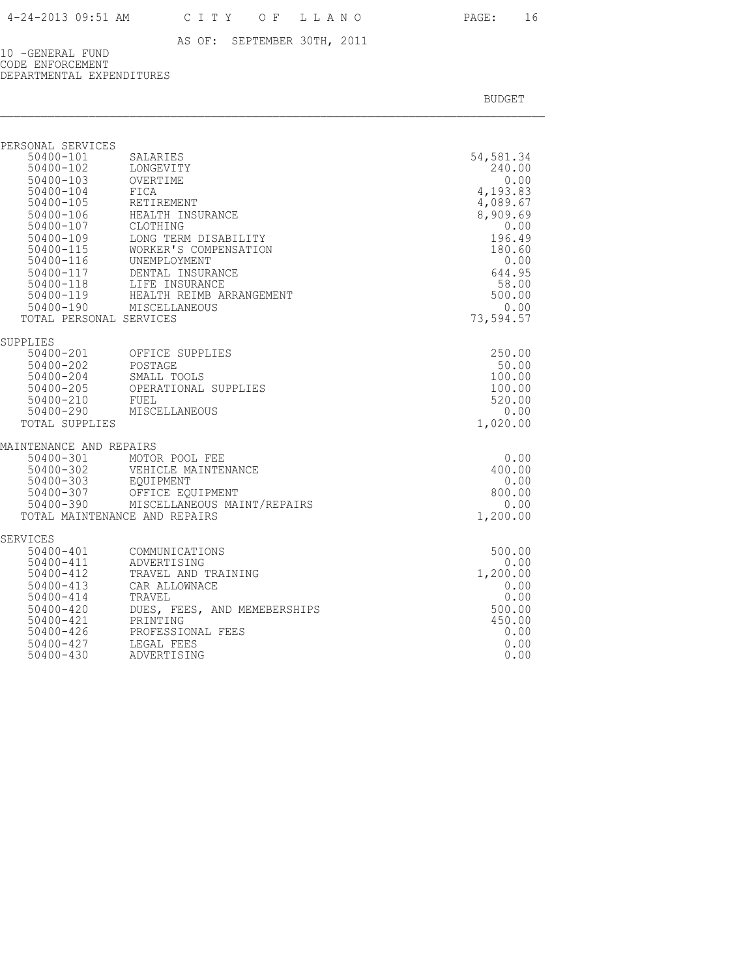10 -GENERAL FUND CODE ENFORCEMENT DEPARTMENTAL EXPENDITURES

| PERSONAL SERVICES                                 |                                                                |                  |
|---------------------------------------------------|----------------------------------------------------------------|------------------|
| 50400-101                                         | SALARIES                                                       | 54,581.34        |
| $50400 - 102$                                     | LONGEVITY                                                      | 240.00           |
| 50400-103 OVERTIME<br>50400-104 FICA<br>50400-104 | FICA                                                           | 0.00<br>4,193.83 |
| $50400 - 105$                                     | RETIREMENT                                                     | 4,089.67         |
| 50400-106                                         | HEALTH INSURANCE                                               | 8,909.69         |
| 50400-107                                         | CLOTHING                                                       | 0.00             |
| 50400-109                                         | LONG TERM DISABILITY                                           | 196.49           |
| 50400-115<br>50400-116                            | WORKER'S COMPENSATION<br>UNEMPLOYMENT                          | 180.60<br>0.00   |
|                                                   | 50400-117 DENTAL INSURANCE                                     | 644.95           |
|                                                   |                                                                | 58.00            |
|                                                   | 50400-118 LIFE INSURANCE<br>50400-119 HEALTH REIMB ARRANGEMENT | 500.00           |
|                                                   | 50400-190 MISCELLANEOUS                                        | 0.00             |
| TOTAL PERSONAL SERVICES                           |                                                                | 73,594.57        |
| SUPPLIES                                          |                                                                |                  |
| 50400-201 OFFICE 3<br>50400-202 POSTAGE           | OFFICE SUPPLIES                                                | 250.00           |
|                                                   | SMALL TOOLS                                                    | 50.00<br>100.00  |
|                                                   | OPERATIONAL SUPPLIES                                           | 100.00           |
| 50400-204<br>50400-205 OPER<br>50400-210 FUEL     |                                                                | 520.00           |
|                                                   | 50400-290 MISCELLANEOUS                                        | 0.00             |
| TOTAL SUPPLIES                                    |                                                                | 1,020.00         |
| MAINTENANCE AND REPAIRS                           |                                                                |                  |
| 50400-301                                         | MOTOR POOL FEE                                                 | 0.00             |
| 50400-302                                         | VEHICLE MAINTENANCE                                            | 400.00<br>0.00   |
| 50400-303<br>50400-307                            | EQUIPMENT<br>OFFICE EQUIPMENT                                  | 800.00           |
| 50400-390                                         | MISCELLANEOUS MAINT/REPAIRS                                    | 0.00             |
|                                                   | TOTAL MAINTENANCE AND REPAIRS                                  | 1,200.00         |
| SERVICES                                          |                                                                |                  |
| $50400 - 401$                                     | COMMUNICATIONS                                                 | 500.00           |
| 50400-411                                         | ADVERTISING                                                    | 0.00             |
| 50400-412                                         | TRAVEL AND TRAINING                                            | 1,200.00         |
| $50400 - 413$<br>50400-414                        | CAR ALLOWNACE<br>TRAVEL                                        | 0.00<br>0.00     |
| $50400 - 420$                                     | DUES, FEES, AND MEMEBERSHIPS                                   | 500.00           |
| 50400-421                                         | PRINTING                                                       | 450.00           |
|                                                   | 50400-421 PRINTING<br>50400-426 PROFESSIONAL FEES              | 0.00             |
| 50400-427                                         | LEGAL FEES                                                     | 0.00             |
| $50400 - 430$                                     | ADVERTISING                                                    | 0.00             |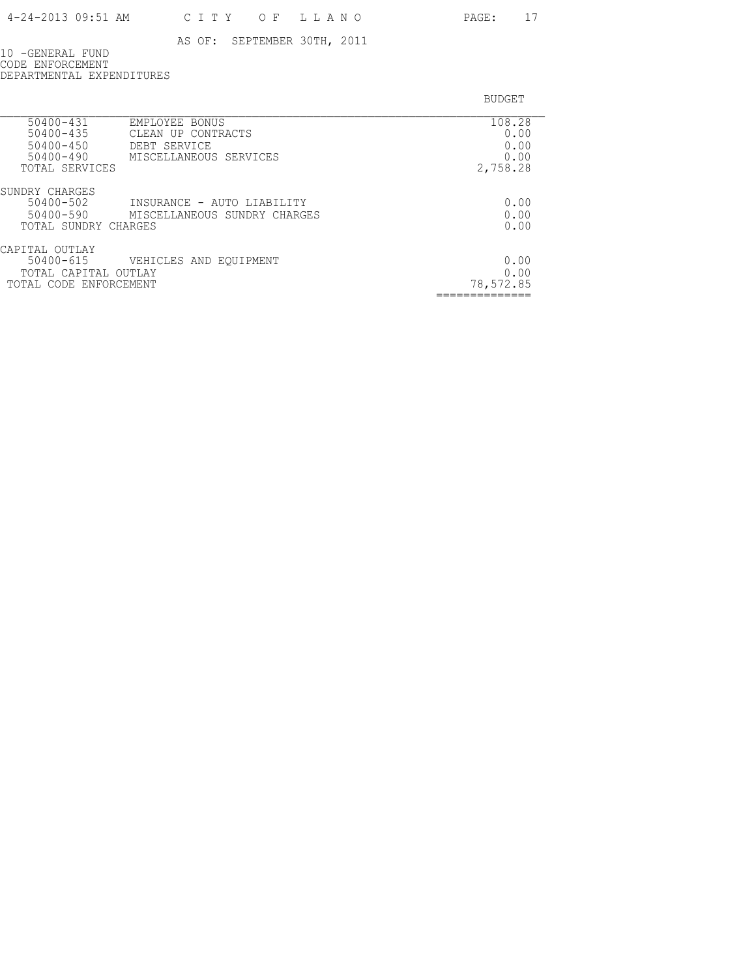10 -GENERAL FUND CODE ENFORCEMENT DEPARTMENTAL EXPENDITURES

| 108.28    |
|-----------|
| 0.00      |
| 0.00      |
| 0.00      |
| 2,758.28  |
|           |
| 0.00      |
| 0.00      |
| 0.00      |
|           |
| 0.00      |
| 0.00      |
| 78,572.85 |
|           |
|           |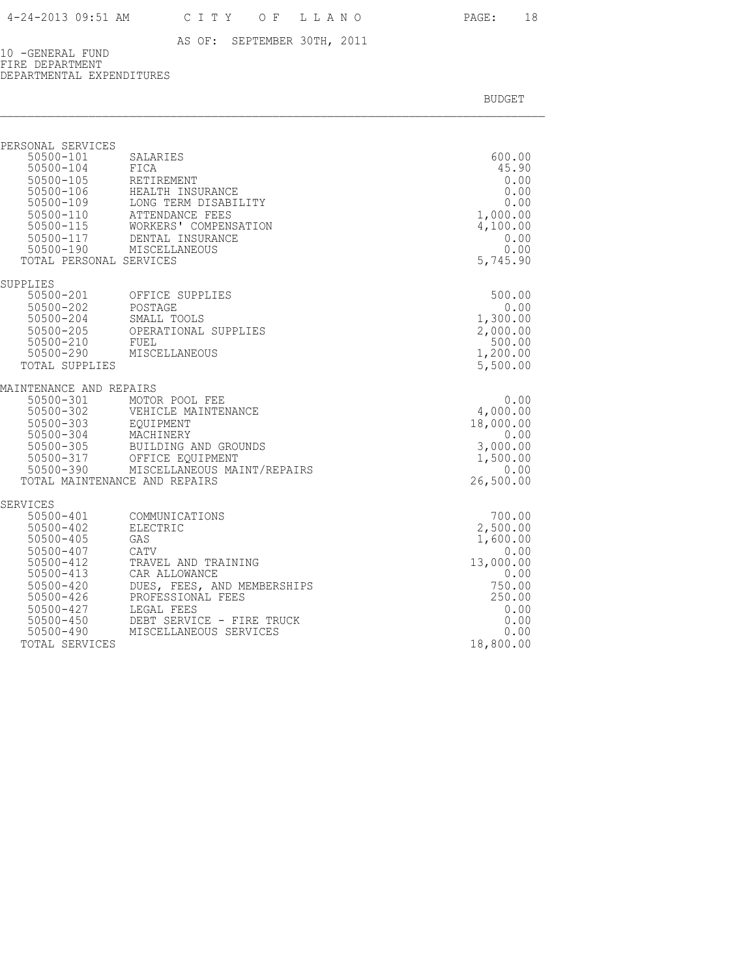10 -GENERAL FUND FIRE DEPARTMENT DEPARTMENTAL EXPENDITURES

| PERSONAL SERVICES                                                                                                                             |                                                                                                                                                                                                                |                                                                                             |
|-----------------------------------------------------------------------------------------------------------------------------------------------|----------------------------------------------------------------------------------------------------------------------------------------------------------------------------------------------------------------|---------------------------------------------------------------------------------------------|
| 50500-101<br>$50500 - 104$<br>50500-105<br>$50500 - 115$<br>50500-117<br>50500-190<br>TOTAL PERSONAL SERVICES                                 | SALARIES<br>FICA<br>RETIREMENT<br>50500-106 HEALTH INSURANCE<br>50500-109 LONG TERM DISABII<br>50500-110 ATTENDANCE FEES<br>LONG TERM DISABILITY<br>WORKERS' COMPENSATION<br>DENTAL INSURANCE<br>MISCELLANEOUS | 600.00<br>45.90<br>0.00<br>0.00<br>0.00<br>1,000.00<br>4,100.00<br>0.00<br>0.00<br>5,745.90 |
| SUPPLIES                                                                                                                                      |                                                                                                                                                                                                                |                                                                                             |
| 50500-202<br>50500-204<br>50500-205<br>50500-210<br>50500-290<br>TOTAL SUPPLIES                                                               | 50500-201 OFFICE SUPPLIES<br>POSTAGE<br>SMALL TOOLS<br>OPERATIONAL SUPPLIES<br>FUEL<br>MISCELLANEOUS                                                                                                           | 500.00<br>0.00<br>1,300.00<br>2,000.00<br>500.00<br>1,200.00<br>5,500.00                    |
| MAINTENANCE AND REPAIRS                                                                                                                       |                                                                                                                                                                                                                |                                                                                             |
| 50500-301<br>50500-302<br>50500-303<br>50500-304<br>50500-305<br>50500-317<br>50500-390                                                       | MOTOR POOL FEE<br>VEHICLE MAINTENANCE<br>EOUIPMENT<br>MACHINERY<br>BUILDING AND GROUNDS<br>OFFICE EOUIPMENT<br>MISCELLANEOUS MAINT/REPAIRS<br>TOTAL MAINTENANCE AND REPAIRS                                    | 0.00<br>4,000.00<br>18,000.00<br>0.00<br>3,000.00<br>1,500.00<br>0.00<br>26,500.00          |
| <b>SERVICES</b>                                                                                                                               |                                                                                                                                                                                                                |                                                                                             |
| 50500-401<br>$50500 - 402$<br>$50500 - 405$<br>$50500 - 407$<br>$50500 - 412$<br>$50500 - 413$<br>$50500 - 420$<br>$50500 - 426$<br>50500-427 | COMMUNICATIONS<br>ELECTRIC<br>GAS<br>CATV<br>TRAVEL AND TRAINING<br>CAR ALLOWANCE<br>DUES, FEES, AND MEMBERSHIPS<br>PROFESSIONAL FEES<br>LEGAL FEES                                                            | 700.00<br>2,500.00<br>1,600.00<br>0.00<br>13,000.00<br>0.00<br>750.00<br>250.00<br>0.00     |
| $50500 - 450$<br>50500-490<br>TOTAL SERVICES                                                                                                  | DEBT SERVICE - FIRE TRUCK<br>MISCELLANEOUS SERVICES                                                                                                                                                            | 0.00<br>0.00<br>18,800.00                                                                   |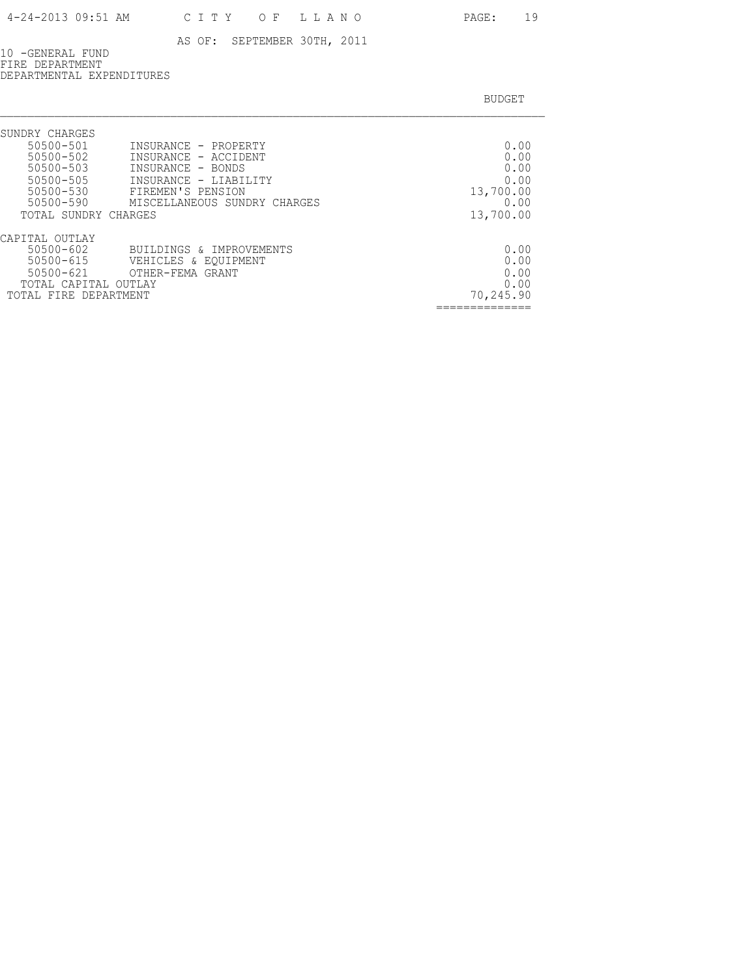10 -GENERAL FUND FIRE DEPARTMENT DEPARTMENTAL EXPENDITURES

| SUNDRY CHARGES<br>50500-501<br>INSURANCE - PROPERTY<br>50500-502<br>INSURANCE - ACCIDENT<br>50500-503<br>INSURANCE - BONDS<br>50500-505<br>INSURANCE - LIABILITY<br>50500-530<br>FIREMEN'S PENSION<br>50500-590<br>MISCELLANEOUS SUNDRY CHARGES<br>TOTAL SUNDRY CHARGES | 0.00<br>0.00<br>0.00<br>0.00<br>13,700.00<br>0.00<br>13,700.00 |
|-------------------------------------------------------------------------------------------------------------------------------------------------------------------------------------------------------------------------------------------------------------------------|----------------------------------------------------------------|
| CAPITAL OUTLAY<br>$50500 - 602$<br>BUILDINGS & IMPROVEMENTS<br>$50500 - 615$<br>VEHICLES & EOUIPMENT<br>$50500 - 621$<br>OTHER-FEMA GRANT<br>TOTAL CAPITAL OUTLAY<br>TOTAL FIRE DEPARTMENT                                                                              | 0.00<br>0.00<br>0.00<br>0.00<br>70,245.90                      |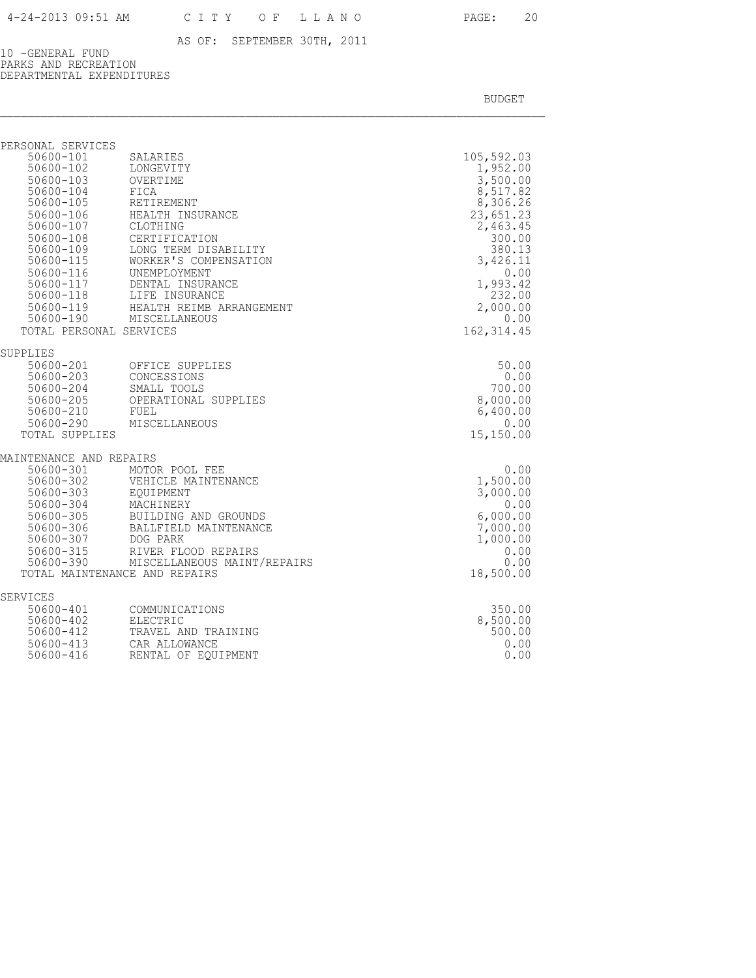10 -GENERAL FUND PARKS AND RECREATION DEPARTMENTAL EXPENDITURES

| PERSONAL SERVICES                   |                                                    |                  |
|-------------------------------------|----------------------------------------------------|------------------|
| 50600-101                           | SALARIES                                           | 105,592.03       |
| 50600-102                           | LONGEVITY                                          | 1,952.00         |
| 50600-103                           | OVERTIME                                           | 3,500.00         |
| 50600-104                           | FICA                                               | 8,517.82         |
| 50600-105                           | RETIREMENT                                         | 8,306.26         |
| 50600-106                           | HEALTH INSURANCE                                   | 23,651.23        |
| 50600-107                           | CLOTHING                                           | 2,463.45         |
| $50600 - 108$<br>50600-109          | CERTIFICATION                                      | 300.00<br>380.13 |
| $50600 - 115$                       | LONG TERM DISABILITY<br>WORKER'S COMPENSATION      | 3,426.11         |
|                                     | UNEMPLOYMENT                                       | 0.00             |
| 50600-116<br>50600-117<br>50600-117 | DENTAL INSURANCE                                   | 1,993.42         |
|                                     | 50600-118 LIFE INSURANCE                           | 232.00           |
|                                     | 50600-119 HEALTH REIMB ARRANGEMENT                 | 2,000.00         |
| 50600-190                           | MISCELLANEOUS                                      | 0.00             |
| TOTAL PERSONAL SERVICES             |                                                    | 162, 314.45      |
| SUPPLIES                            |                                                    |                  |
|                                     | 50600-201 OFFICE SUPPLIES                          | 50.00            |
|                                     | CONCESSIONS                                        | 0.00             |
| 50600-203<br>50600-204              | SMALL TOOLS                                        | 700.00           |
| 50600-205                           | OPERATIONAL SUPPLIES                               | 8,000.00         |
| 50600-210                           | FUEL                                               | 6,400.00         |
| 50600-290                           | MISCELLANEOUS                                      | 0.00             |
| TOTAL SUPPLIES                      |                                                    | 15,150.00        |
| MAINTENANCE AND REPAIRS             |                                                    |                  |
| $\frac{50600 - 301}{50600 - 302}$   | MOTOR POOL FEE                                     | 0.00             |
|                                     | VEHICLE MAINTENANCE                                | 1,500.00         |
| 50600-303                           | EOUIPMENT                                          | 3,000.00         |
| $50600 - 304$                       | MACHINERY                                          | 0.00             |
| 50600-305                           | BUILDING AND GROUNDS                               | 6,000.00         |
| 50600-306                           | BALLFIELD MAINTENANCE                              | 7,000.00         |
| 50600-307                           | DOG PARK                                           | 1,000.00         |
| 50600-315<br>50600-390              | RIVER FLOOD REPAIRS<br>MISCELLANEOUS MAINT/REPAIRS | 0.00<br>0.00     |
|                                     | TOTAL MAINTENANCE AND REPAIRS                      | 18,500.00        |
|                                     |                                                    |                  |
| <b>SERVICES</b>                     |                                                    |                  |
| 50600-401                           | COMMUNICATIONS                                     | 350.00           |
| 50600-402                           | ELECTRIC                                           | 8,500.00         |
| 50600-412<br>$50600 - 413$          | TRAVEL AND TRAINING<br>CAR ALLOWANCE               | 500.00<br>0.00   |
| 50600-416                           | RENTAL OF EQUIPMENT                                | 0.00             |
|                                     |                                                    |                  |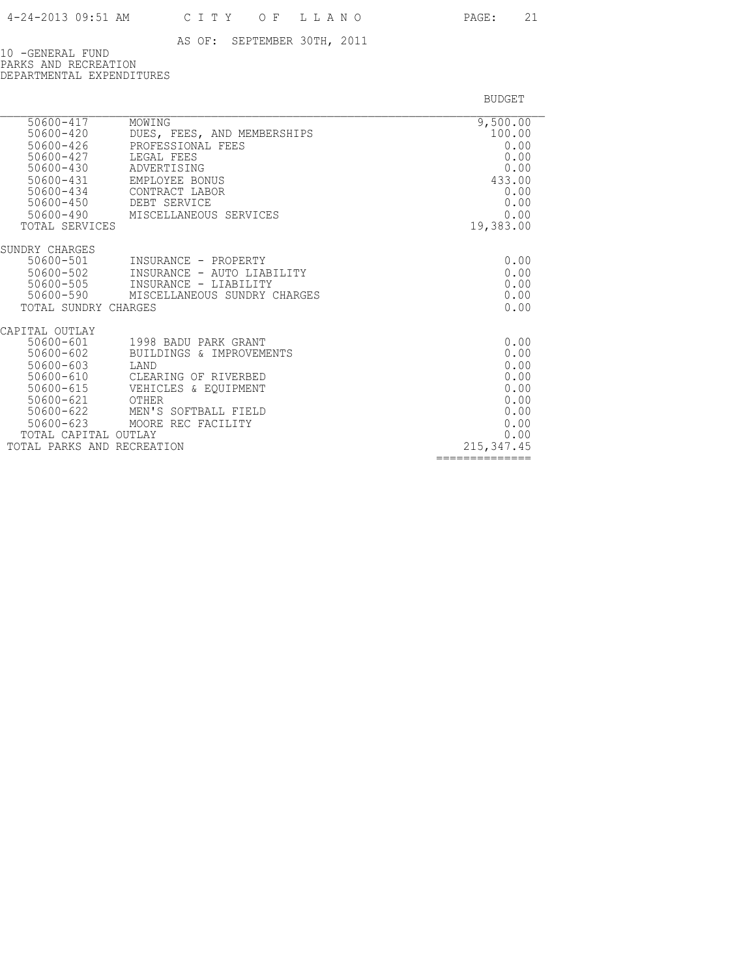10 -GENERAL FUND PARKS AND RECREATION DEPARTMENTAL EXPENDITURES

| 50600-417                      | MOWING                                                | 9,500.00       |
|--------------------------------|-------------------------------------------------------|----------------|
| 50600-420                      | DUES, FEES, AND MEMBERSHIPS                           | 100.00         |
| 50600-426<br>50600-427         | PROFESSIONAL FEES<br>LEGAL FEES                       | 0.00<br>0.00   |
| 50600-430                      | ADVERTISING                                           | 0.00           |
| $50600 - 431$                  | EMPLOYEE BONUS                                        | 433.00         |
| 50600-434                      | CONTRACT LABOR                                        | 0.00           |
| $50600 - 450$                  | DEBT SERVICE                                          | 0.00           |
| 50600-490                      | MISCELLANEOUS SERVICES                                | 0.00           |
| TOTAL SERVICES                 |                                                       | 19,383.00      |
|                                |                                                       |                |
| SUNDRY CHARGES                 |                                                       |                |
| 50600-501                      | INSURANCE - PROPERTY                                  | 0.00           |
| 50600-502                      | INSURANCE - AUTO LIABILITY                            | 0.00           |
| 50600-505<br>50600-590         | INSURANCE - LIABILITY<br>MISCELLANEOUS SUNDRY CHARGES | 0.00<br>0.00   |
| TOTAL SUNDRY CHARGES           |                                                       | 0.00           |
|                                |                                                       |                |
| CAPITAL OUTLAY                 |                                                       |                |
| 50600-601                      | 1998 BADU PARK GRANT                                  | 0.00           |
| 50600-602                      | BUILDINGS & IMPROVEMENTS                              | 0.00           |
| $50600 - 603$                  | LAND                                                  | 0.00           |
| $50600 - 610$                  | CLEARING OF RIVERBED                                  | 0.00           |
| 50600-615                      | VEHICLES & EOUIPMENT                                  | 0.00           |
| $50600 - 621$                  | OTHER                                                 | 0.00           |
| $50600 - 622$                  | MEN'S SOFTBALL FIELD                                  | 0.00           |
| $50600 - 623$<br>TOTAL CAPITAL | MOORE REC FACILITY<br>OUTLAY                          | 0.00<br>0.00   |
| TOTAL PARKS AND RECREATION     |                                                       | 215, 347.45    |
|                                |                                                       | -------------- |
|                                |                                                       |                |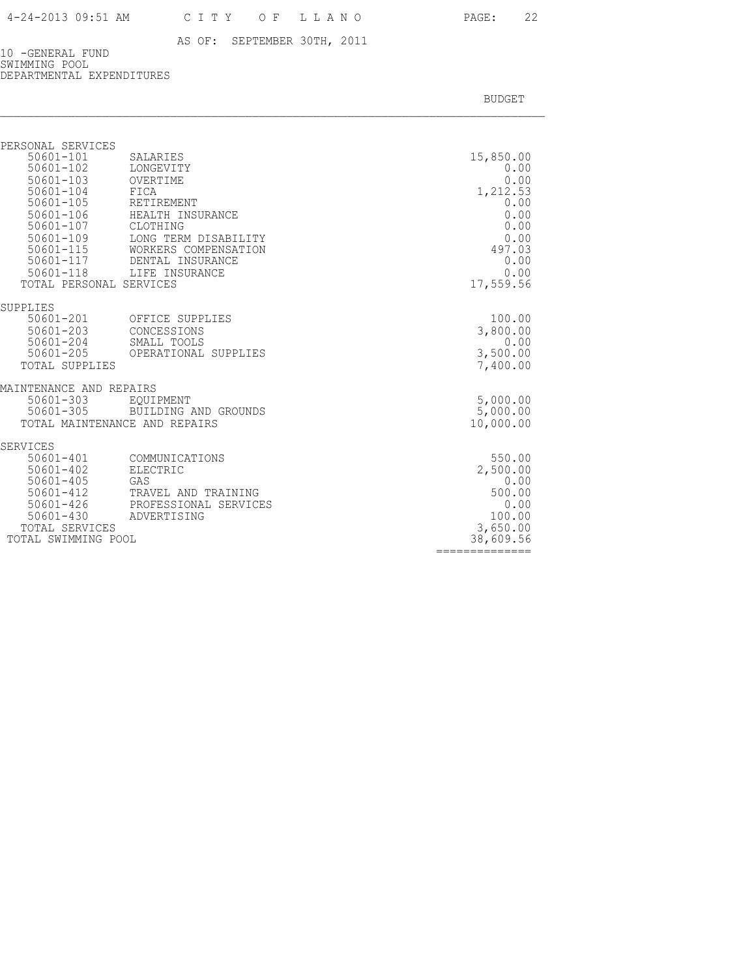10 -GENERAL FUND SWIMMING POOL DEPARTMENTAL EXPENDITURES

BUDGET AND RESERVE AND RESERVE AND RESERVE AND RESERVE AND RESERVE AND RESERVE AND RESERVE AND RESERVE AND RESERVE AND RESERVE AND RESERVE AND RESERVE AND RESERVE AND RESERVE AND RESPONDING A REPORT OF A REPORT OF A REPORT

==============

| PERSONAL SERVICES<br>$50601 - 101$<br>$50601 - 102$<br>$50601 - 103$<br>50601-104<br>$50601 - 105$<br>$50601 - 106$<br>50601-107<br>$50601 - 109$<br>50601-115<br>50601-117 | SALARIES<br>LONGEVITY<br>OVERTIME<br>FICA<br>RETIREMENT<br>HEALTH INSURANCE<br>CLOTHING<br>LONG TERM DISABILITY<br>WORKERS COMPENSATION<br>DENTAL INSURANCE | 15,850.00<br>0.00<br>0.00<br>1,212.53<br>0.00<br>0.00<br>0.00<br>0.00<br>497.03<br>0.00 |
|-----------------------------------------------------------------------------------------------------------------------------------------------------------------------------|-------------------------------------------------------------------------------------------------------------------------------------------------------------|-----------------------------------------------------------------------------------------|
| $50601 - 118$                                                                                                                                                               | LIFE INSURANCE                                                                                                                                              | 0.00                                                                                    |
| TOTAL PERSONAL SERVICES                                                                                                                                                     |                                                                                                                                                             | 17,559.56                                                                               |
| SUPPLIES                                                                                                                                                                    |                                                                                                                                                             |                                                                                         |
| 50601-201                                                                                                                                                                   | OFFICE SUPPLIES                                                                                                                                             | 100.00                                                                                  |
| 50601-203<br>50601-204                                                                                                                                                      | CONCESSIONS<br>SMALL TOOLS                                                                                                                                  | 3,800.00<br>0.00                                                                        |
| 50601-205                                                                                                                                                                   | OPERATIONAL SUPPLIES                                                                                                                                        | 3,500.00                                                                                |
| <b>TOTAL SUPPLIES</b>                                                                                                                                                       |                                                                                                                                                             | 7,400.00                                                                                |
| MAINTENANCE AND REPAIRS                                                                                                                                                     |                                                                                                                                                             |                                                                                         |
| 50601-303                                                                                                                                                                   | EOUIPMENT                                                                                                                                                   | 5,000.00                                                                                |
| 50601-305                                                                                                                                                                   | BUILDING AND GROUNDS                                                                                                                                        | 5,000.00                                                                                |
|                                                                                                                                                                             | TOTAL MAINTENANCE AND REPAIRS                                                                                                                               | 10,000.00                                                                               |
| SERVICES                                                                                                                                                                    |                                                                                                                                                             |                                                                                         |
| $50601 - 401$<br>$50601 - 402$                                                                                                                                              | COMMUNICATIONS<br><b>ELECTRIC</b>                                                                                                                           | 550.00<br>2,500.00                                                                      |
| $50601 - 405$                                                                                                                                                               | GAS                                                                                                                                                         | 0.00                                                                                    |
| $50601 - 412$                                                                                                                                                               | TRAVEL AND TRAINING                                                                                                                                         | 500.00                                                                                  |
| 50601-426                                                                                                                                                                   | PROFESSIONAL SERVICES                                                                                                                                       | 0.00                                                                                    |
| $50601 - 430$<br>TOTAL SERVICES                                                                                                                                             | ADVERTISING                                                                                                                                                 | 100.00                                                                                  |
| TOTAL SWIMMING POOL                                                                                                                                                         |                                                                                                                                                             | 3,650.00<br>38,609.56                                                                   |
|                                                                                                                                                                             |                                                                                                                                                             |                                                                                         |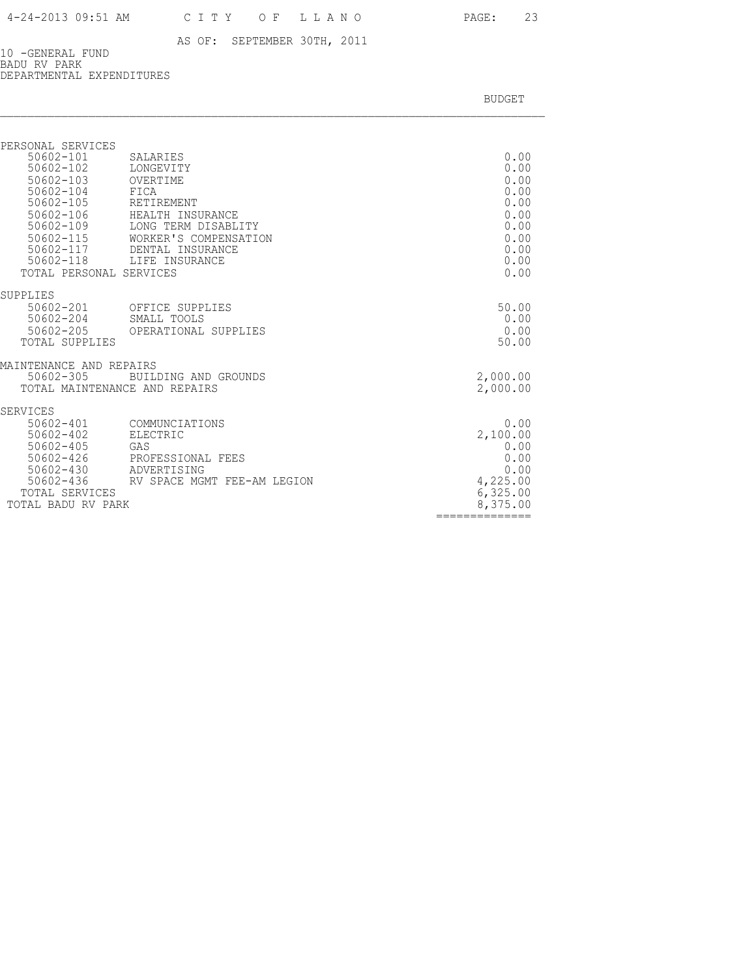10 -GENERAL FUND BADU RV PARK DEPARTMENTAL EXPENDITURES

| PERSONAL SERVICES<br>50602-101<br>50602-102<br>$50602 - 103$<br>$50602 - 104$<br>50602-105<br>$50602 - 106$<br>50602-109<br>$50602 - 115$<br>50602-117<br>50602-118<br>TOTAL PERSONAL SERVICES | SALARIES<br>LONGEVITY<br>OVERTIME<br>FICA<br>RETIREMENT<br>HEALTH INSURANCE<br>LONG TERM DISABLITY<br>WORKER'S COMPENSATION<br>DENTAL INSURANCE<br>LIFE INSURANCE | 0.00<br>0.00<br>0.00<br>0.00<br>0.00<br>0.00<br>0.00<br>0.00<br>0.00<br>0.00<br>0.00 |
|------------------------------------------------------------------------------------------------------------------------------------------------------------------------------------------------|-------------------------------------------------------------------------------------------------------------------------------------------------------------------|--------------------------------------------------------------------------------------|
| SUPPLIES<br>50602-201                                                                                                                                                                          | OFFICE SUPPLIES                                                                                                                                                   | 50.00                                                                                |
| 50602-204<br>50602-205<br>TOTAL SUPPLIES                                                                                                                                                       | SMALL TOOLS<br>OPERATIONAL SUPPLIES                                                                                                                               | 0.00<br>0.00<br>50.00                                                                |
| MAINTENANCE AND REPAIRS<br>$50602 - 305$<br>TOTAL MAINTENANCE AND REPAIRS                                                                                                                      | BUILDING AND GROUNDS                                                                                                                                              | 2,000.00<br>2,000.00                                                                 |
| <b>SERVICES</b><br>$50602 - 401$                                                                                                                                                               | COMMUNCIATIONS                                                                                                                                                    | 0.00                                                                                 |
| $50602 - 402$<br>50602-405                                                                                                                                                                     | <b>ELECTRIC</b><br>GAS                                                                                                                                            | 2,100.00<br>0.00                                                                     |
| 50602-426<br>$50602 - 430$<br>50602-436                                                                                                                                                        | PROFESSIONAL FEES<br>ADVERTISING<br>RV SPACE MGMT FEE-AM LEGION                                                                                                   | 0.00<br>0.00<br>4,225.00                                                             |
| TOTAL SERVICES<br>TOTAL BADU RV PARK                                                                                                                                                           |                                                                                                                                                                   | 6,325.00<br>8,375.00                                                                 |
|                                                                                                                                                                                                |                                                                                                                                                                   | ==============                                                                       |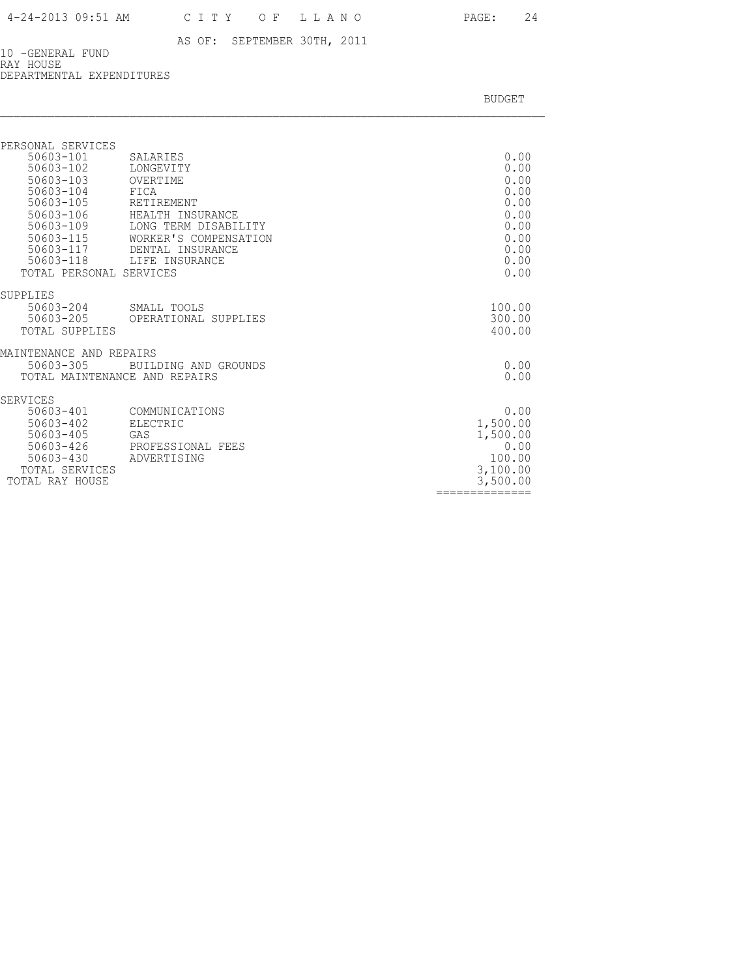10 -GENERAL FUND RAY HOUSE DEPARTMENTAL EXPENDITURES

| PERSONAL SERVICES<br>50603-101<br>50603-102<br>50603-103<br>50603-104<br>50603-105<br>50603-106<br>50603-109<br>50603-115<br>50603-117<br>50603-118<br>TOTAL PERSONAL SERVICES | SALARIES<br>LONGEVITY<br>OVERTIME<br>FICA<br>RETIREMENT<br>HEALTH INSURANCE<br>LONG TERM DISABILITY<br>WORKER'S COMPENSATION<br>DENTAL INSURANCE<br>LIFE INSURANCE | 0.00<br>0.00<br>0.00<br>0.00<br>0.00<br>0.00<br>0.00<br>0.00<br>0.00<br>0.00<br>0.00     |
|--------------------------------------------------------------------------------------------------------------------------------------------------------------------------------|--------------------------------------------------------------------------------------------------------------------------------------------------------------------|------------------------------------------------------------------------------------------|
| SUPPLIES<br>50603-204<br>50603-205<br>TOTAL SUPPLIES                                                                                                                           | SMALL TOOLS<br>OPERATIONAL SUPPLIES                                                                                                                                | 100.00<br>300.00<br>400.00                                                               |
| MAINTENANCE AND REPAIRS<br>50603-305<br>TOTAL MAINTENANCE AND REPAIRS                                                                                                          | BUILDING AND GROUNDS                                                                                                                                               | 0.00<br>0.00                                                                             |
| SERVICES<br>50603-401<br>50603-402<br>50603-405<br>50603-426<br>$50603 - 430$<br>TOTAL SERVICES<br>TOTAL RAY HOUSE                                                             | COMMUNICATIONS<br>ELECTRIC<br>GAS<br>PROFESSIONAL FEES<br>ADVERTISING                                                                                              | 0.00<br>1,500.00<br>1,500.00<br>0.00<br>100.00<br>3,100.00<br>3,500.00<br>============== |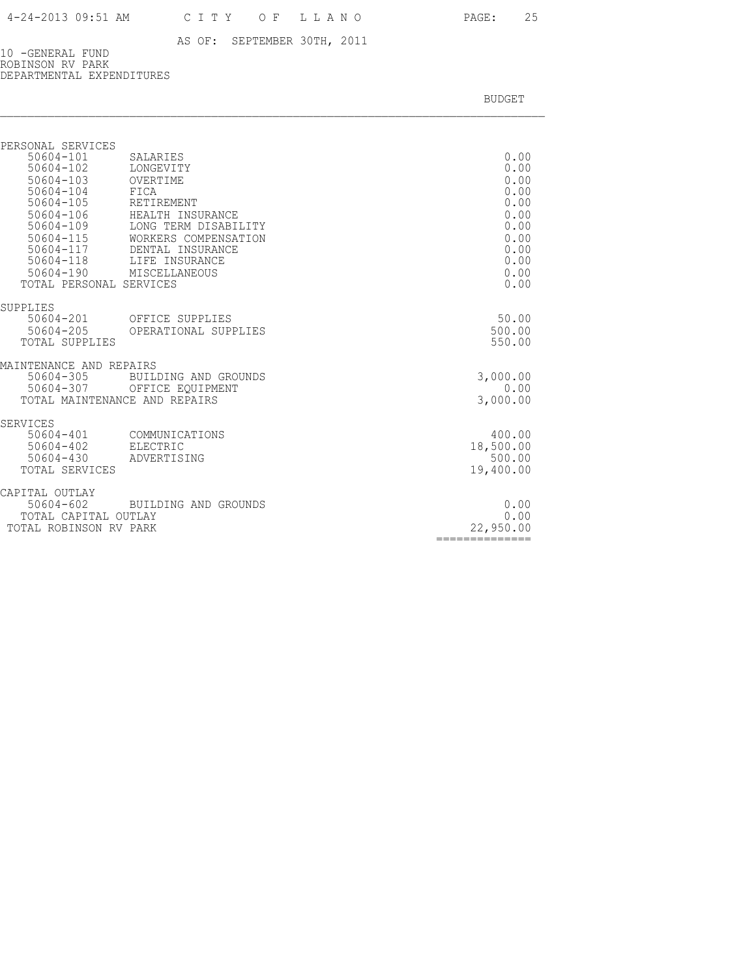10 -GENERAL FUND ROBINSON RV PARK DEPARTMENTAL EXPENDITURES

| PERSONAL SERVICES                              |                                          |                   |
|------------------------------------------------|------------------------------------------|-------------------|
| 50604-101                                      | SALARIES                                 | 0.00              |
| 50604-102                                      | LONGEVITY                                | 0.00              |
| 50604-103<br>50604-104                         | OVERTIME<br>FICA                         | 0.00<br>0.00      |
| 50604-105                                      | RETIREMENT                               | 0.00              |
| 50604-106                                      | HEALTH INSURANCE                         | 0.00              |
| 50604-109                                      | LONG TERM DISABILITY                     | 0.00              |
| 50604-115                                      | WORKERS COMPENSATION                     | 0.00              |
| 50604-117                                      | DENTAL INSURANCE                         | 0.00              |
| 50604-118<br>50604-190                         | LIFE INSURANCE<br>MISCELLANEOUS          | 0.00<br>0.00      |
| TOTAL PERSONAL SERVICES                        |                                          | 0.00              |
| SUPPLIES                                       |                                          |                   |
| 50604-201                                      | OFFICE SUPPLIES                          | 50.00             |
| 50604-205                                      | OPERATIONAL SUPPLIES                     | 500.00            |
| TOTAL SUPPLIES                                 |                                          | 550.00            |
| MAINTENANCE AND REPAIRS                        |                                          |                   |
| $50604 - 305$<br>50604-307                     | BUILDING AND GROUNDS<br>OFFICE EQUIPMENT | 3,000.00<br>0.00  |
| TOTAL MAINTENANCE AND REPAIRS                  |                                          | 3,000.00          |
|                                                |                                          |                   |
| <b>SERVICES</b><br>50604-401                   | COMMUNICATIONS                           | 400.00            |
| 50604-402                                      | ELECTRIC                                 | 18,500.00         |
| $50604 - 430$                                  | ADVERTISING                              | 500.00            |
| TOTAL SERVICES                                 |                                          | 19,400.00         |
| CAPITAL OUTLAY                                 |                                          |                   |
| 50604-602                                      | BUILDING AND GROUNDS                     | 0.00              |
| TOTAL CAPITAL OUTLAY<br>TOTAL ROBINSON RV PARK |                                          | 0.00<br>22,950.00 |
|                                                |                                          | ============      |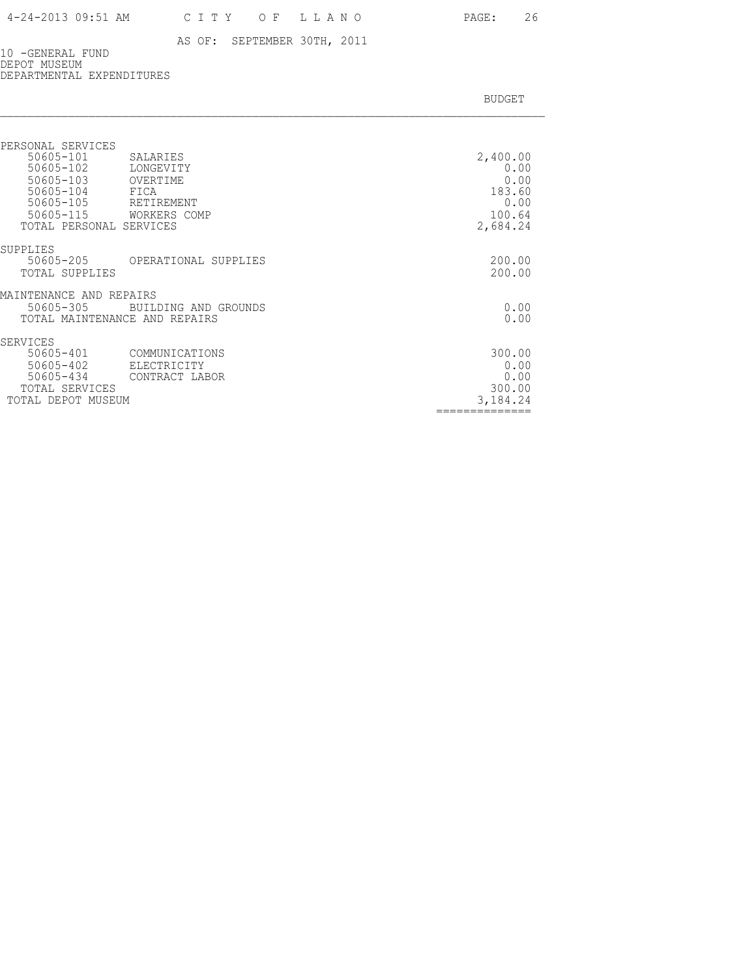BUDGET AND RESERVE AND RESERVE AND RESERVE AND RESERVE AND RESERVE AND RESERVE AND RESERVE AND RESERVE AND RESERVE AND RESERVE AND RESERVE AND RESERVE AND RESERVE AND RESERVE AND RESPONDING A REPORT OF A REPORT OF A REPORT

10 -GENERAL FUND DEPOT MUSEUM DEPARTMENTAL EXPENDITURES

| PERSONAL SERVICES<br>50605-101<br>50605-102<br>50605-103<br>50605-104 FICA<br>50605-105<br>50605-115 WORKERS COMP<br>TOTAL PERSONAL SERVICES | SALARIES<br>LONGEVITY<br>OVERTIME<br>RETIREMENT | 2,400.00<br>0.00<br>0.00<br>183.60<br>0.00<br>100.64<br>2,684.24 |
|----------------------------------------------------------------------------------------------------------------------------------------------|-------------------------------------------------|------------------------------------------------------------------|
| SUPPLIES<br>50605-205<br>TOTAL SUPPLIES                                                                                                      | OPERATIONAL SUPPLIES                            | 200.00<br>200.00                                                 |
| MAINTENANCE AND REPAIRS<br>$50605 - 305$<br>TOTAL MAINTENANCE AND REPAIRS                                                                    | BUILDING AND GROUNDS                            | 0.00<br>0.00                                                     |
| SERVICES<br>50605-401<br>50605-402<br>50605-434<br>TOTAL SERVICES<br>TOTAL DEPOT MUSEUM                                                      | COMMUNICATIONS<br>ELECTRICITY<br>CONTRACT LABOR | 300.00<br>0.00<br>0.00<br>300.00<br>3,184.24                     |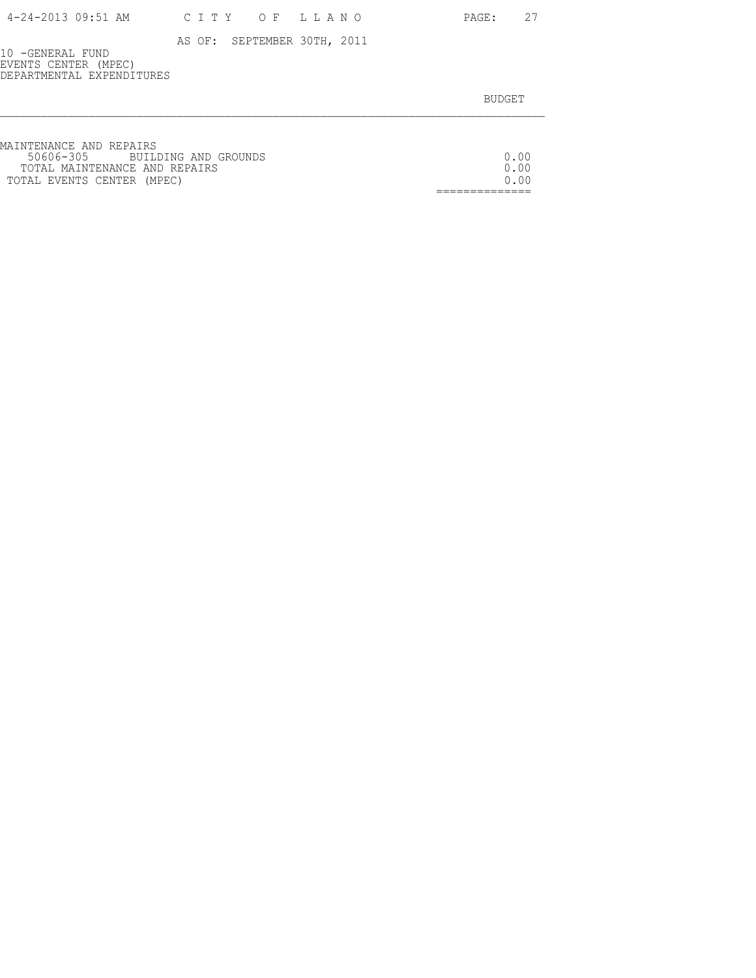| 4-24-2013 09:51 AM | CITY OF LLANO |  |  |  |  |
|--------------------|---------------|--|--|--|--|
|--------------------|---------------|--|--|--|--|

PAGE: 27

AS OF: SEPTEMBER 30TH, 2011

10 -GENERAL FUND EVENTS CENTER (MPEC) DEPARTMENTAL EXPENDITURES

| MAINTENANCE AND REPAIRS        |         |
|--------------------------------|---------|
| 50606-305 BUILDING AND GROUNDS | 0.00    |
| TOTAL MAINTENANCE AND REPAIRS  | 0.00    |
| TOTAL EVENTS CENTER (MPEC)     | 0 Q Q Q |
|                                |         |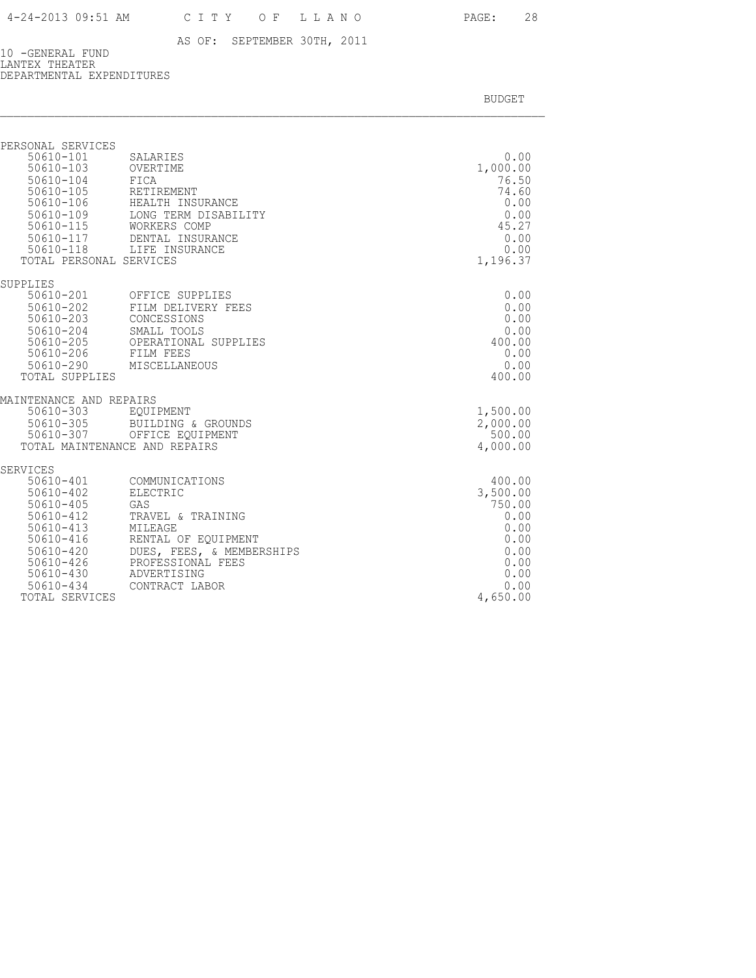10 -GENERAL FUND LANTEX THEATER DEPARTMENTAL EXPENDITURES

| PERSONAL SERVICES<br>$50610 - 101$<br>$50610 - 103$<br>$50610 - 104$<br>$50610 - 105$<br>50610-106<br>50610-109<br>$50610 - 115$<br>50610-117<br>50610-118                                              | SALARIES<br>OVERTIME<br>FICA<br>RETIREMENT<br>HEALTH INSURANCE<br>LONG TERM DISABILITY<br>WORKERS COMP<br>DENTAL INSURANCE<br>LIFE INSURANCE                                | 0.00<br>1,000.00<br>76.50<br>74.60<br>0.00<br>0.00<br>45.27<br>0.00<br>0.00                      |
|---------------------------------------------------------------------------------------------------------------------------------------------------------------------------------------------------------|-----------------------------------------------------------------------------------------------------------------------------------------------------------------------------|--------------------------------------------------------------------------------------------------|
| TOTAL PERSONAL SERVICES                                                                                                                                                                                 |                                                                                                                                                                             | 1,196.37                                                                                         |
| SUPPLIES<br>50610-201<br>50610-202<br>$50610 - 203$<br>$50610 - 204$<br>$50610 - 205$<br>$50610 - 206$<br>$50610 - 290$<br>TOTAL SUPPLIES                                                               | OFFICE SUPPLIES<br>FILM DELIVERY FEES<br>CONCESSIONS<br>SMALL TOOLS<br>OPERATIONAL SUPPLIES<br>FILM FEES<br>MISCELLANEOUS                                                   | 0.00<br>0.00<br>0.00<br>0.00<br>400.00<br>0.00<br>0.00<br>400.00                                 |
| MAINTENANCE AND REPAIRS<br>$50610 - 303$<br>$50610 - 305$<br>50610-307                                                                                                                                  | EOUIPMENT<br>BUILDING & GROUNDS<br>OFFICE EQUIPMENT<br>TOTAL MAINTENANCE AND REPAIRS                                                                                        | 1,500.00<br>2,000.00<br>500.00<br>4,000.00                                                       |
| <b>SERVICES</b><br>$50610 - 401$<br>$50610 - 402$<br>$50610 - 405$<br>50610-412<br>$50610 - 413$<br>$50610 - 416$<br>$50610 - 420$<br>$50610 - 426$<br>$50610 - 430$<br>$50610 - 434$<br>TOTAL SERVICES | COMMUNICATIONS<br>ELECTRIC<br>GAS<br>TRAVEL & TRAINING<br>MILEAGE<br>RENTAL OF EQUIPMENT<br>DUES, FEES, & MEMBERSHIPS<br>PROFESSIONAL FEES<br>ADVERTISING<br>CONTRACT LABOR | 400.00<br>3,500.00<br>750.00<br>0.00<br>0.00<br>0.00<br>0.00<br>0.00<br>0.00<br>0.00<br>4,650.00 |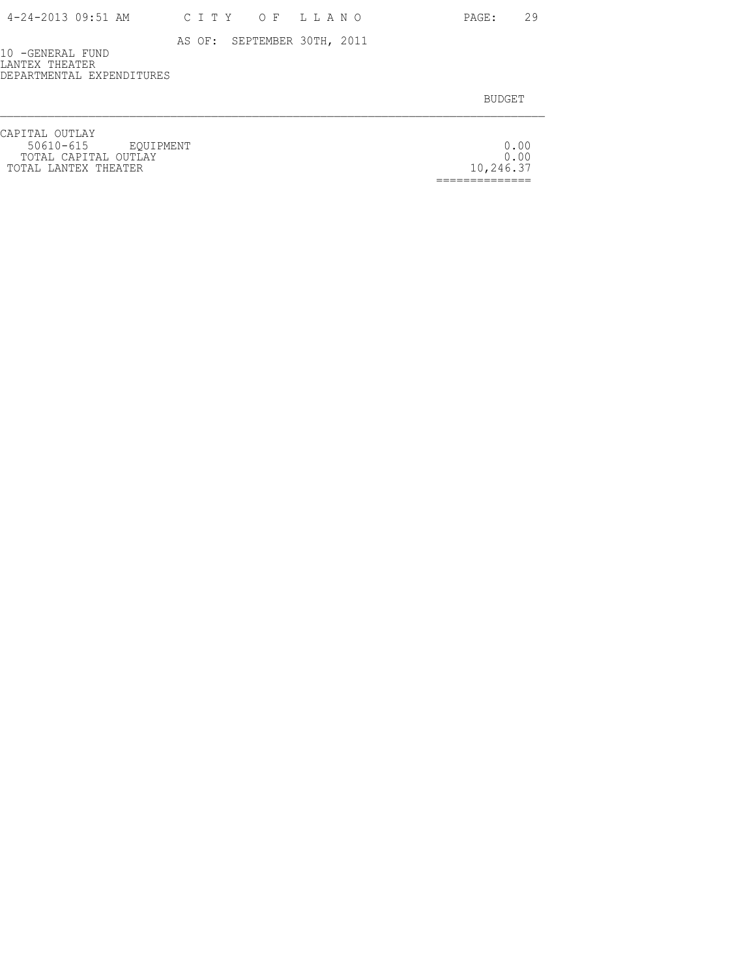PAGE: 29

AS OF: SEPTEMBER 30TH, 2011

10 -GENERAL FUND LANTEX THEATER DEPARTMENTAL EXPENDITURES

| CAPITAL OUTLAY       |           |
|----------------------|-----------|
| 50610-615 EOUIPMENT  | 0.00      |
| TOTAL CAPITAL OUTLAY |           |
| TOTAL LANTEX THEATER | 10,246.37 |
|                      |           |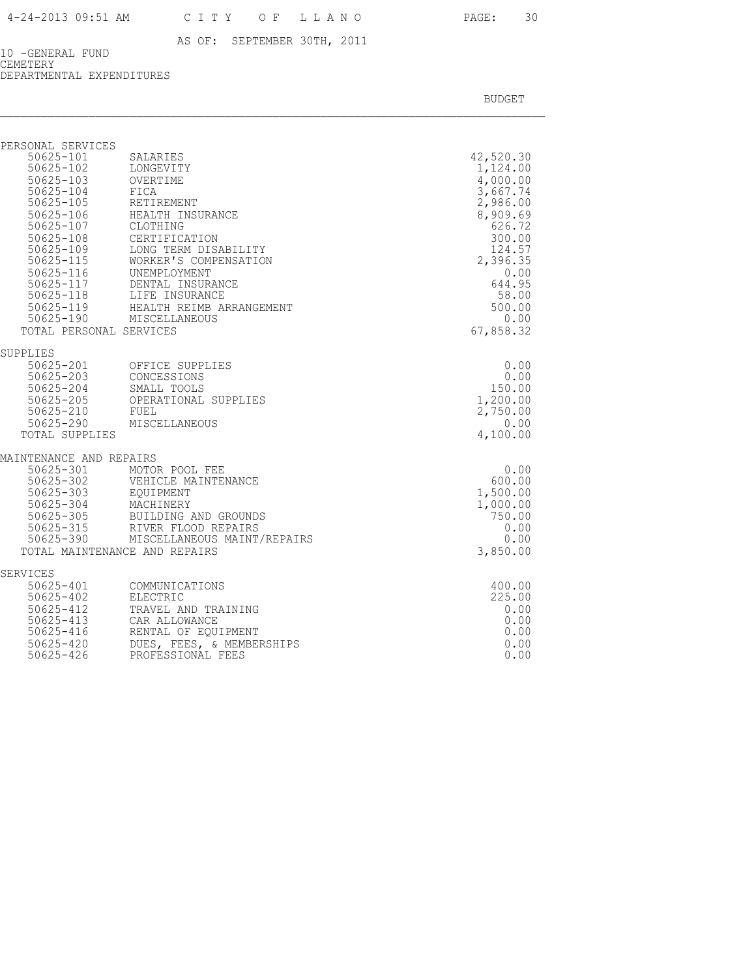10 -GENERAL FUND CEMETERY DEPARTMENTAL EXPENDITURES

| PERSONAL SERVICES                                                                                                                                                                                                                       |                                                                                                                                                                                                                                                                        |                                                                                                                                                                           |
|-----------------------------------------------------------------------------------------------------------------------------------------------------------------------------------------------------------------------------------------|------------------------------------------------------------------------------------------------------------------------------------------------------------------------------------------------------------------------------------------------------------------------|---------------------------------------------------------------------------------------------------------------------------------------------------------------------------|
| 50625-101<br>$50625 - 102$<br>50625-103 OVERTIME<br>50625-104 FICA<br>$50625 - 105$<br>50625-106<br>50625-107<br>$50625 - 108$<br>50625-108<br>50625-109<br>50625-115<br>50625-116<br>50625-117<br>50625-117<br>TOTAL PERSONAL SERVICES | SALARIES<br>LONGEVITY<br>RETIREMENT<br>HEALTH INSURANCE<br>CLOTHING<br>CERTIFICATION<br>LONG TERM DISABILITY<br>WORKER'S COMPENSATION<br>UNEMPLOYMENT<br>DENTAL INSURANCE<br>50625-118 LIFE INSURANCE<br>50625-119 HEALTH REIMB ARRANGEMENT<br>50625-190 MISCELLANEOUS | 42,520.30<br>1,124.00<br>4,000.00<br>3,667.74<br>2,986.00<br>8,909.69<br>626.72<br>300.00<br>124.57<br>2,396.35<br>0.00<br>644.95<br>58.00<br>500.00<br>0.00<br>67,858.32 |
|                                                                                                                                                                                                                                         |                                                                                                                                                                                                                                                                        |                                                                                                                                                                           |
| SUPPLIES<br>50625-205<br>$50625 - 210$<br>TOTAL SUPPLIES                                                                                                                                                                                | 50625-201 OFFICE SUPPLIES<br>50625-203 CONCESSIONS<br>50625-204 SMALL TOOLS<br>OPERATIONAL SUPPLIES<br>FUEL<br>50625-290 MISCELLANEOUS                                                                                                                                 | 0.00<br>0.00<br>150.00<br>1,200.00<br>2,750.00<br>0.00<br>4,100.00                                                                                                        |
| MAINTENANCE AND REPAIRS                                                                                                                                                                                                                 | 90625-301 MOTOR POOL FEE<br>50625-302 VEHICLE MAINTENANCE<br>50625-303 EQUIPMENT<br>50625-304 MACHINERY<br>50625-305 BUILDING AND GROUNDS<br>50625-315 RIVER FLOOD REPAIRS<br>50625-390 MISCELLANEOUS MAINT/REPAIRS<br>TOTAL MAINTENANCE AND REPAIRS                   | 0.00<br>600.00<br>1,500.00<br>1,000.00<br>750.00<br>0.00<br>0.00<br>3,850.00                                                                                              |
| SERVICES<br>50625-401<br>50625-402<br>50625-412<br>50625-413<br>50625-416<br>$50625 - 420$<br>$50625 - 426$                                                                                                                             | COMMUNICATIONS<br>ELECTRIC<br>TRAVEL AND TRAINING<br>CAR ALLOWANCE<br>RENTAL OF EOUIPMENT<br>DUES, FEES, & MEMBERSHIPS<br>PROFESSIONAL FEES                                                                                                                            | 400.00<br>225.00<br>0.00<br>0.00<br>0.00<br>0.00<br>0.00                                                                                                                  |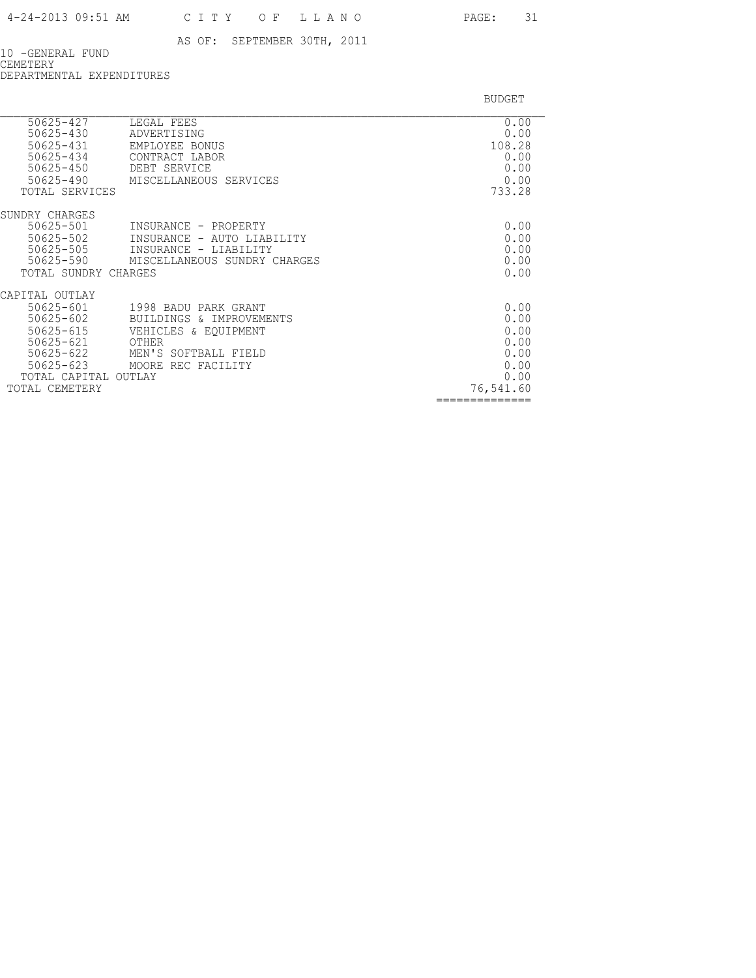10 -GENERAL FUND CEMETERY DEPARTMENTAL EXPENDITURES

| 50625-427<br>$50625 - 430$        | LEGAL FEES<br>ADVERTISING                           | 0.00<br>0.00      |
|-----------------------------------|-----------------------------------------------------|-------------------|
| 50625-431<br>50625-434            | EMPLOYEE BONUS<br>CONTRACT LABOR                    | 108.28<br>0.00    |
| $50625 - 450$<br>$50625 - 490$    | DEBT SERVICE<br>MISCELLANEOUS SERVICES              | 0.00<br>0.00      |
| TOTAL SERVICES                    |                                                     | 733.28            |
| SUNDRY CHARGES                    |                                                     |                   |
| 50625-501<br>50625-502            | INSURANCE - PROPERTY<br>INSURANCE - AUTO LIABILITY  | 0.00<br>0.00      |
| $50625 - 505$                     | INSURANCE - LIABILITY                               | 0.00              |
| 50625-590<br>TOTAL SUNDRY CHARGES | MISCELLANEOUS SUNDRY CHARGES                        | 0.00<br>0.00      |
| CAPITAL OUTLAY                    |                                                     |                   |
| 50625-601<br>$50625 - 602$        | 1998 BADU PARK GRANT<br>BUILDINGS<br>& IMPROVEMENTS | 0.00<br>0.00      |
| $50625 - 615$                     | VEHICLES & EOUIPMENT                                | 0.00              |
| $50625 - 621$<br>$50625 - 622$    | OTHER<br>MEN'S SOFTBALL FIELD                       | 0.00<br>0.00      |
| $50625 - 623$                     | MOORE REC FACILITY                                  | 0.00              |
| TOTAL CAPITAL<br>TOTAL CEMETERY   | OUTLAY                                              | 0.00<br>76,541.60 |
|                                   |                                                     | ==============    |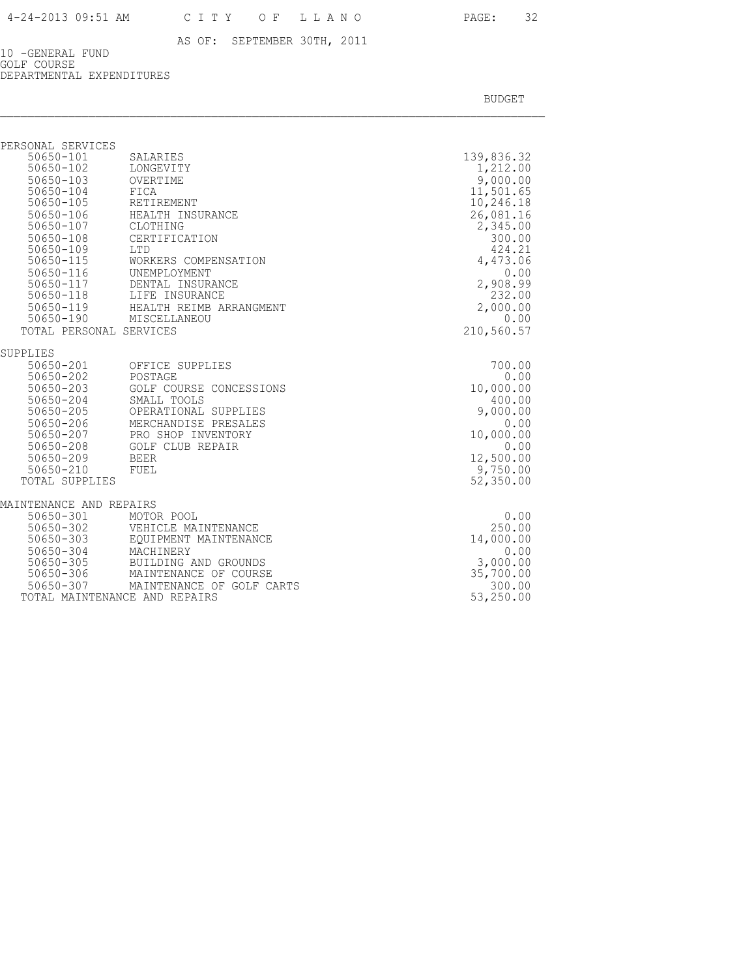10 -GENERAL FUND GOLF COURSE DEPARTMENTAL EXPENDITURES

| PERSONAL SERVICES          |                                                                            |                       |
|----------------------------|----------------------------------------------------------------------------|-----------------------|
| 50650-101                  | SALARIES                                                                   | 139,836.32            |
| $50650 - 102$              | LONGEVITY                                                                  | 1,212.00              |
| 50650-103                  | OVERTIME                                                                   | 9,000.00              |
| 50650-104                  | FICA                                                                       | 11,501.65             |
| 50650-105                  | RETIREMENT                                                                 | 10,246.18             |
| 50650-106                  | HEALTH INSURANCE                                                           | 26,081.16             |
| 50650-107                  | CLOTHING                                                                   | 2,345.00              |
| $50650 - 108$              | CERTIFICATION                                                              | 300.00                |
| 50650-109<br>$50650 - 115$ | <b>LTD</b>                                                                 | 424.21                |
|                            | WORKERS COMPENSATION                                                       | 4,473.06              |
|                            | 50650-116 UNEMPLOYMENT                                                     | 0.00                  |
|                            | 50650-117 DENTAL INSURANCE                                                 | 2,908.99              |
|                            | 50650-118 LIFE INSURANCE                                                   | 232.00                |
|                            | 50650-119 HEALTH REIMB ARRANGMENT                                          | 2,000.00<br>0.00      |
|                            | 50650-190 MISCELLANEOU                                                     |                       |
| TOTAL PERSONAL SERVICES    |                                                                            | 210,560.57            |
| SUPPLIES                   |                                                                            |                       |
| 50650-201                  | OFFICE SUPPLIES                                                            | 700.00                |
| 50650-202                  | POSTAGE                                                                    | 0.00                  |
| 50650-203                  | GOLF COURSE CONCESSIONS                                                    | 10,000.00             |
| 50650-204                  | SMALL TOOLS                                                                | 400.00                |
| 50650-205                  | OPERATIONAL SUPPLIES                                                       | 9,000.00              |
| 50650-206                  | MERCHANDISE PRESALES<br>MERCHANDISE FREDAL<br>PRO SHOP INVENTORY<br>------ | 0.00                  |
| 50650-207                  |                                                                            | 10,000.00             |
| 50650-208                  | <b>GOLF CLUB REPAIR</b>                                                    | 0.00                  |
| 50650-209                  | BEER                                                                       | 12,500.00             |
| 50650-210                  | FUEL                                                                       | 9,750.00<br>52,350.00 |
| TOTAL SUPPLIES             |                                                                            |                       |
| MAINTENANCE AND REPAIRS    |                                                                            |                       |
| 50650-301                  | MOTOR POOL                                                                 | 0.00                  |
| $50650 - 302$              | VEHICLE MAINTENANCE                                                        | 250.00                |
| 50650-303                  | EQUIPMENT MAINTENANCE                                                      | 14,000.00             |
| 50650-304                  | MACHINERY                                                                  | 0.00                  |
| 50650-305                  | BUILDING AND GROUNDS                                                       | 3,000.00              |
| $50650 - 306$              | MAINTENANCE OF COURSE                                                      | 35,700.00             |
| 50650-307                  | MAINTENANCE OF GOLF CARTS                                                  | 300.00                |
|                            | TOTAL MAINTENANCE AND REPAIRS                                              | 53,250.00             |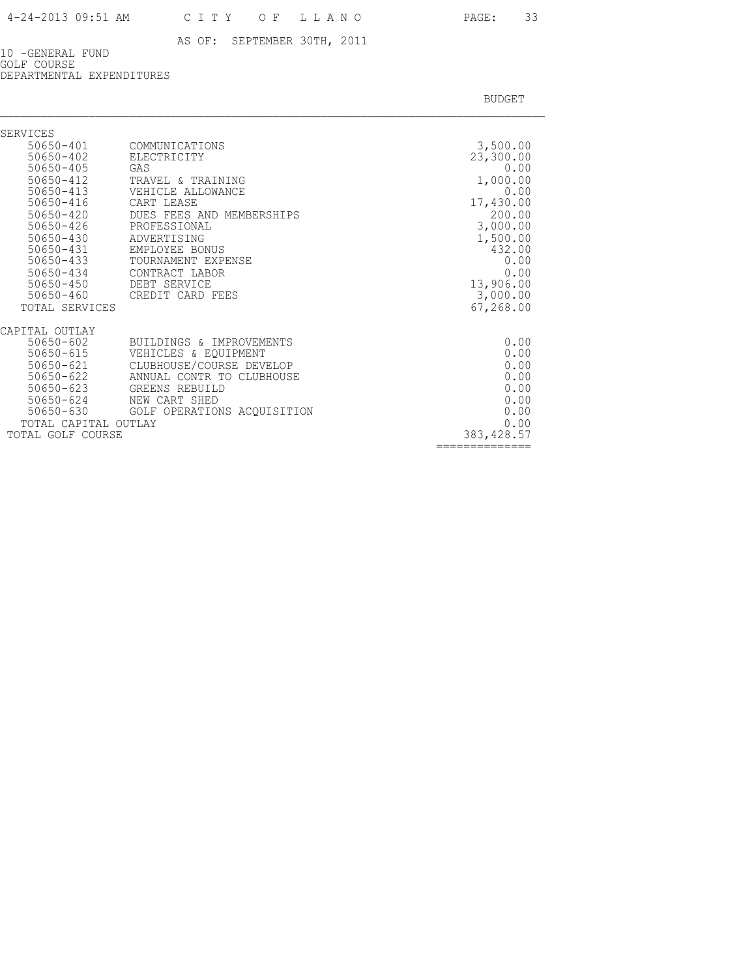10 -GENERAL FUND GOLF COURSE DEPARTMENTAL EXPENDITURES

| SERVICES                       |                                             |                       |
|--------------------------------|---------------------------------------------|-----------------------|
| $50650 - 401$<br>$50650 - 402$ | COMMUNICATIONS<br>ELECTRICITY               | 3,500.00<br>23,300.00 |
| $50650 - 405$                  | GAS                                         | 0.00                  |
| $50650 - 412$                  | TRAVEL & TRAINING                           | 1,000.00              |
| $50650 - 413$                  | VEHICLE ALLOWANCE                           | 0.00                  |
| 50650-416                      | CART LEASE                                  | 17,430.00             |
| $50650 - 420$                  | DUES FEES AND MEMBERSHIPS                   | 200.00                |
| $50650 - 426$                  | PROFESSIONAL                                | 3,000.00              |
| $50650 - 430$                  | ADVERTISING                                 | 1,500.00              |
| 50650-431                      | EMPLOYEE BONUS                              | 432.00                |
| $50650 - 433$                  | TOURNAMENT EXPENSE                          | 0.00                  |
| $50650 - 434$<br>$50650 - 450$ | CONTRACT LABOR<br>DEBT SERVICE              | 0.00<br>13,906.00     |
| $50650 - 460$                  | CREDIT CARD FEES                            | 3,000.00              |
| TOTAL SERVICES                 |                                             | 67,268.00             |
| CAPITAL OUTLAY                 |                                             |                       |
| $50650 - 602$                  | BUILDINGS & IMPROVEMENTS                    | 0.00                  |
| $50650 - 615$                  | VEHICLES & EQUIPMENT                        | 0.00                  |
| $50650 - 621$                  | CLUBHOUSE/COURSE DEVELOP                    | 0.00                  |
| $50650 - 622$<br>$50650 - 623$ | ANNUAL CONTR TO CLUBHOUSE<br>GREENS REBUILD | 0.00<br>0.00          |
| 50650-624                      | NEW CART SHED                               | 0.00                  |
| $50650 - 630$                  | GOLF OPERATIONS ACQUISITION                 | 0.00                  |
| TOTAL CAPITAL OUTLAY           |                                             | 0.00                  |
| TOTAL GOLF COURSE              |                                             | 383, 428.57           |
|                                |                                             | --------------        |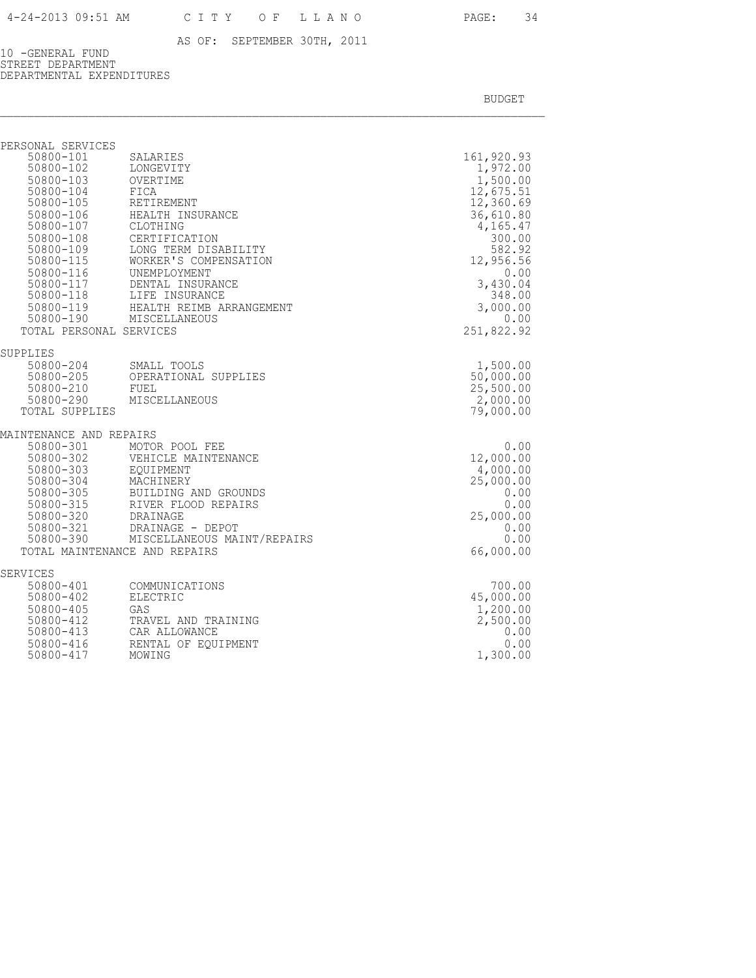10 -GENERAL FUND STREET DEPARTMENT DEPARTMENTAL EXPENDITURES

| PERSONAL SERVICES               |                                                  |                        |
|---------------------------------|--------------------------------------------------|------------------------|
| 50800-101                       | SALARIES                                         | 161,920.93             |
| 50800-102                       | LONGEVITY                                        | 1,972.00               |
| 50800-103<br>$50800 - 104$      | OVERTIME                                         | 1,500.00               |
| 50800-105                       | FICA<br>RETIREMENT                               | 12,675.51<br>12,360.69 |
| 50800-106                       | HEALTH INSURANCE                                 | 36,610.80              |
| 50800-107                       | CLOTHING                                         | 4,165.47               |
| 50800-108                       | CERTIFICATION                                    | 300.00                 |
| 50800-109                       | LONG TERM DISABILITY                             | 582.92                 |
| $50800 - 115$                   | WORKER'S COMPENSATION                            | 12,956.56              |
| 50800-116                       | UNEMPLOYMENT                                     | 0.00                   |
| 50800-117                       | DENTAL INSURANCE                                 | 3,430.04               |
|                                 | 50800-118 LIFE INSURANCE                         | 348.00                 |
|                                 | 50800-119 HEALTH REIMB ARRANGEMENT               | 3,000.00               |
|                                 | 50800-190 MISCELLANEOUS                          | 0.00                   |
| TOTAL PERSONAL SERVICES         |                                                  | 251,822.92             |
| SUPPLIES                        |                                                  |                        |
| 50800-204 SMALL TOOLS           |                                                  | 1,500.00               |
|                                 | 50800-205 OPERATIONAL SUPPLIES<br>50800-210 FUEL | 50,000.00              |
|                                 |                                                  | 25,500.00              |
|                                 | 50800-290 MISCELLANEOUS                          | 2,000.00               |
| TOTAL SUPPLIES                  |                                                  | 79,000.00              |
| MAINTENANCE AND REPAIRS         |                                                  |                        |
| 50800-301<br>50800-302          | MOTOR POOL FEE                                   | 0.00                   |
|                                 | VEHICLE MAINTENANCE                              | 12,000.00              |
| 50800-303                       | EOUIPMENT                                        | 4,000.00               |
| 50800-304<br>50800-305          | MACHINERY                                        | 25,000.00              |
| $50800 - 315$                   | BUILDING AND GROUNDS                             | 0.00                   |
|                                 | RIVER FLOOD REPAIRS                              | 0.00<br>25,000.00      |
| 50800-320 DRAINAGE<br>50800-321 | DRAINAGE - DEPOT                                 | 0.00                   |
| 50800-390                       | MISCELLANEOUS MAINT/REPAIRS                      | 0.00                   |
|                                 | TOTAL MAINTENANCE AND REPAIRS                    | 66,000.00              |
|                                 |                                                  |                        |
| SERVICES                        |                                                  |                        |
| 50800-401<br>50800-402          | COMMUNICATIONS<br>ELECTRIC                       | 700.00<br>45,000.00    |
| 50800-405                       | GAS                                              | 1,200.00               |
| 50800-412                       | TRAVEL AND TRAINING                              | 2,500.00               |
| 50800-413                       | CAR ALLOWANCE                                    | 0.00                   |
| 50800-416                       | RENTAL OF EOUIPMENT                              | 0.00                   |
| 50800-417                       | MOWING                                           | 1,300.00               |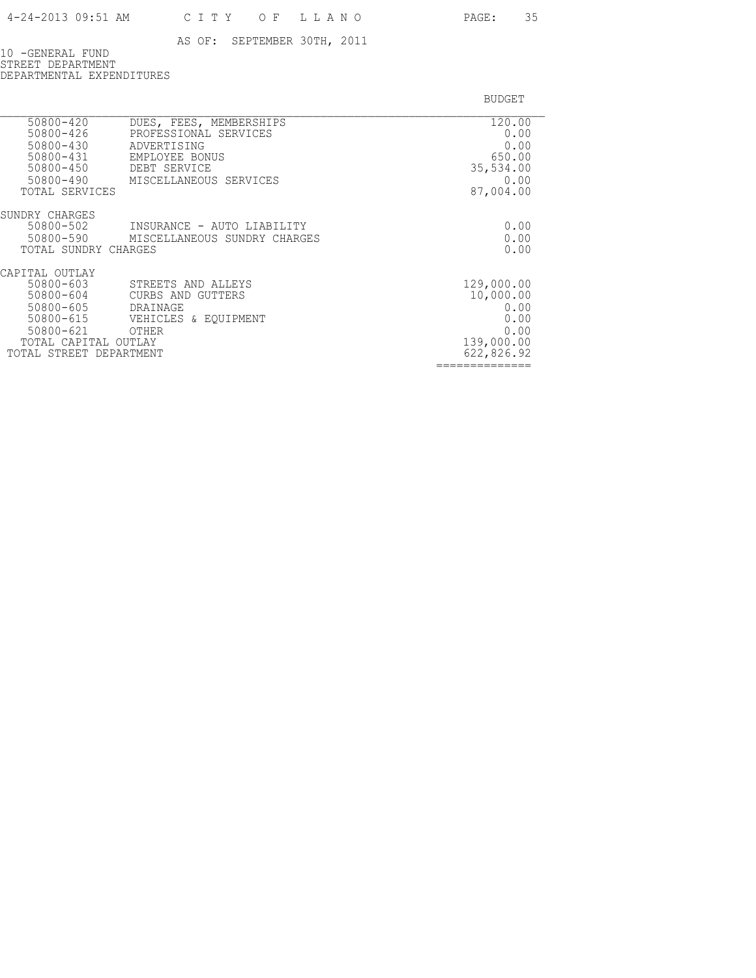10 -GENERAL FUND STREET DEPARTMENT DEPARTMENTAL EXPENDITURES

| 50800-420<br>50800-426<br>50800-430<br>$50800 - 431$<br>50800-450<br>50800-490<br>TOTAL SERVICES                                           | DUES, FEES, MEMBERSHIPS<br>PROFESSIONAL SERVICES<br>ADVERTISING<br>EMPLOYEE BONUS<br>DEBT SERVICE<br>MISCELLANEOUS SERVICES | 120.00<br>0.00<br>0.00<br>650.00<br>35,534.00<br>0.00<br>87,004.00          |
|--------------------------------------------------------------------------------------------------------------------------------------------|-----------------------------------------------------------------------------------------------------------------------------|-----------------------------------------------------------------------------|
| SUNDRY CHARGES<br>50800-502<br>50800-590<br>TOTAL SUNDRY CHARGES                                                                           | INSURANCE - AUTO LIABILITY<br>MISCELLANEOUS SUNDRY CHARGES                                                                  | 0.00<br>0.00<br>0.00                                                        |
| CAPITAL OUTLAY<br>50800-603<br>50800-604<br>50800-605<br>$50800 - 615$<br>$50800 - 621$<br>TOTAL CAPITAL OUTLAY<br>TOTAL STREET DEPARTMENT | STREETS AND ALLEYS<br>CURBS AND GUTTERS<br>DRAINAGE<br>VEHICLES & EOUIPMENT<br>OTHER                                        | 129,000.00<br>10,000.00<br>0.00<br>0.00<br>0.00<br>139,000.00<br>622,826.92 |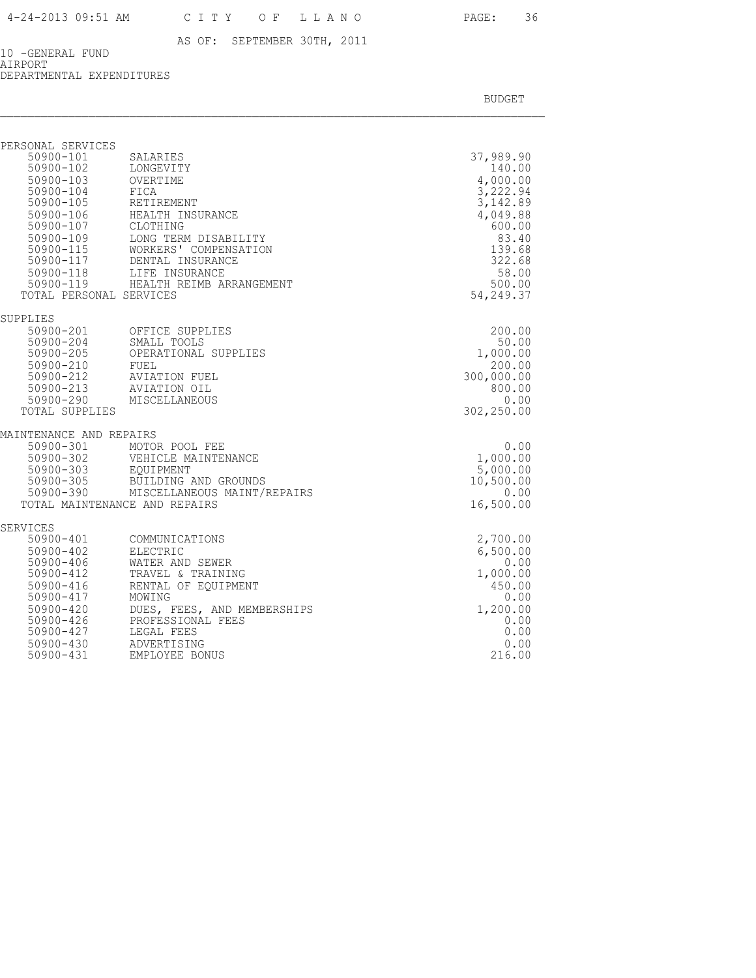10 -GENERAL FUND AIRPORT DEPARTMENTAL EXPENDITURES

| PERSONAL SERVICES<br>TOTAL PERSONAL SERVICES                                                                                                                | 50900-101 SALARIES<br>50900-102 LONGEVITY<br>50900-103 OVERTIME<br>50900-104 FICA<br>50900-105 RETIREMENT<br>19900-106<br>19900-106<br>19900-107<br>19900-109<br>19900-115<br>19900-115<br>19900-117<br>19900-117<br>19900-117<br>19900-118<br>19900-118<br>19900-118<br>19900-119<br>19900-119<br>19900-119<br>19900-119<br>19900-119<br>19900-119<br>19900-119<br>19900-119<br>19 | 37,989.90<br>140.00<br>4,000.00<br>3,222.94<br>3,142.89<br>4,049.88<br>600.00<br>83.40<br>139.68<br>322.68<br>58.00<br>500.00<br>54,249.37 |
|-------------------------------------------------------------------------------------------------------------------------------------------------------------|-------------------------------------------------------------------------------------------------------------------------------------------------------------------------------------------------------------------------------------------------------------------------------------------------------------------------------------------------------------------------------------|--------------------------------------------------------------------------------------------------------------------------------------------|
|                                                                                                                                                             |                                                                                                                                                                                                                                                                                                                                                                                     |                                                                                                                                            |
| SUPPLIES<br>50900-213<br>50900-290<br>TOTAL SUPPLIES                                                                                                        | - 10000-201<br>50900-204<br>50900-205<br>50900-205<br>50900-210<br>50900-212<br>50900-212<br>50900-212<br>AVIATION FUEL<br>THE AVIATION FUEL<br>AVIATION OIL<br>MISCELLANEOUS                                                                                                                                                                                                       | 200.00<br>50.00<br>1,000.00<br>200.00<br>300,000.00<br>800.00<br>0.00<br>302,250.00                                                        |
| MAINTENANCE AND REPAIRS                                                                                                                                     |                                                                                                                                                                                                                                                                                                                                                                                     |                                                                                                                                            |
| 50900-301<br>50900-390                                                                                                                                      | MOTOR POOL FEE<br>50900-302 VEHICLE M<br>50900-303 EQUIPMENT<br>50900-305 BUILDING<br>VEHICLE MAINTENANCE<br>BUILDING AND GROUNDS<br>MISCELLANEOUS MAINT/REPAIRS<br>TOTAL MAINTENANCE AND REPAIRS                                                                                                                                                                                   | 0.00<br>1,000.00<br>5,000.00<br>10,500.00<br>0.00<br>16,500.00                                                                             |
| SERVICES                                                                                                                                                    |                                                                                                                                                                                                                                                                                                                                                                                     |                                                                                                                                            |
| 50900-401<br>$50900 - 402$<br>50900-406<br>50900-412<br>$50900 - 416$<br>50900-417<br>$50900 - 420$<br>50900-426<br>50900-427<br>$50900 - 430$<br>50900-431 | COMMUNICATIONS<br>ELECTRIC<br>WATER AND SEWER<br>TRAVEL & TRAINING<br>RENTAL OF EQUIPMENT<br>MOWING<br>DUES, FEES, AND MEMBERSHIPS<br>PROFESSIONAL FEES<br>LEGAL FEES<br>ADVERTISING<br>EMPLOYEE BONUS                                                                                                                                                                              | 2,700.00<br>6,500.00<br>0.00<br>1,000.00<br>450.00<br>0.00<br>1,200.00<br>0.00<br>0.00<br>0.00<br>216.00                                   |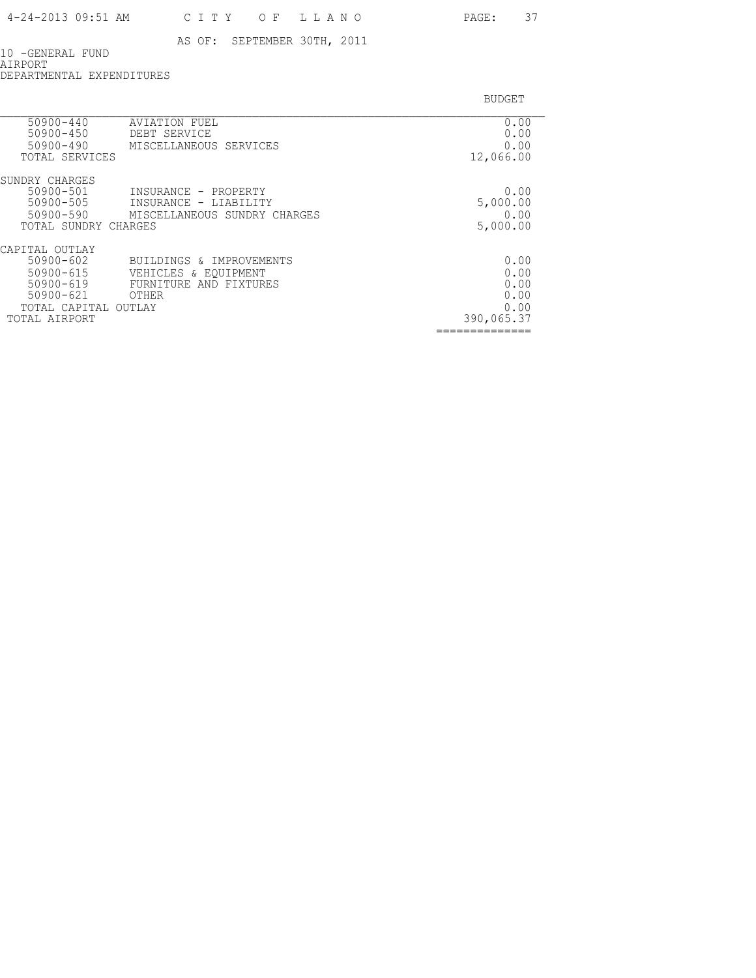10 -GENERAL FUND AIRPORT DEPARTMENTAL EXPENDITURES

| 50900-440<br>50900-450<br>50900-490      | AVIATION FUEL<br>DEBT SERVICE<br>MISCELLANEOUS SERVICES | 0.00<br>0.00<br>0.00 |
|------------------------------------------|---------------------------------------------------------|----------------------|
| TOTAL SERVICES                           |                                                         | 12,066.00            |
| SUNDRY CHARGES<br>50900-501<br>50900-505 | INSURANCE - PROPERTY                                    | 0.00                 |
|                                          | INSURANCE - LIABILITY                                   | 5,000.00             |
| 50900-590<br>TOTAL SUNDRY CHARGES        | MISCELLANEOUS SUNDRY CHARGES                            | 0.00                 |
|                                          |                                                         | 5,000.00             |
| CAPITAL OUTLAY<br>50900-602              | BUILDINGS & IMPROVEMENTS                                | 0.00                 |
| $50900 - 615$                            |                                                         | 0.00                 |
| 50900-619                                | VEHICLES & EQUIPMENT<br>FURNITURE AND FIXTURES          | 0.00                 |
| $50900 - 621$                            | OTHER                                                   | 0.00                 |
| TOTAL CAPITAL                            | OUTLAY                                                  | 0.00                 |
| TOTAL AIRPORT                            |                                                         | 390,065.37           |
|                                          |                                                         |                      |
|                                          |                                                         |                      |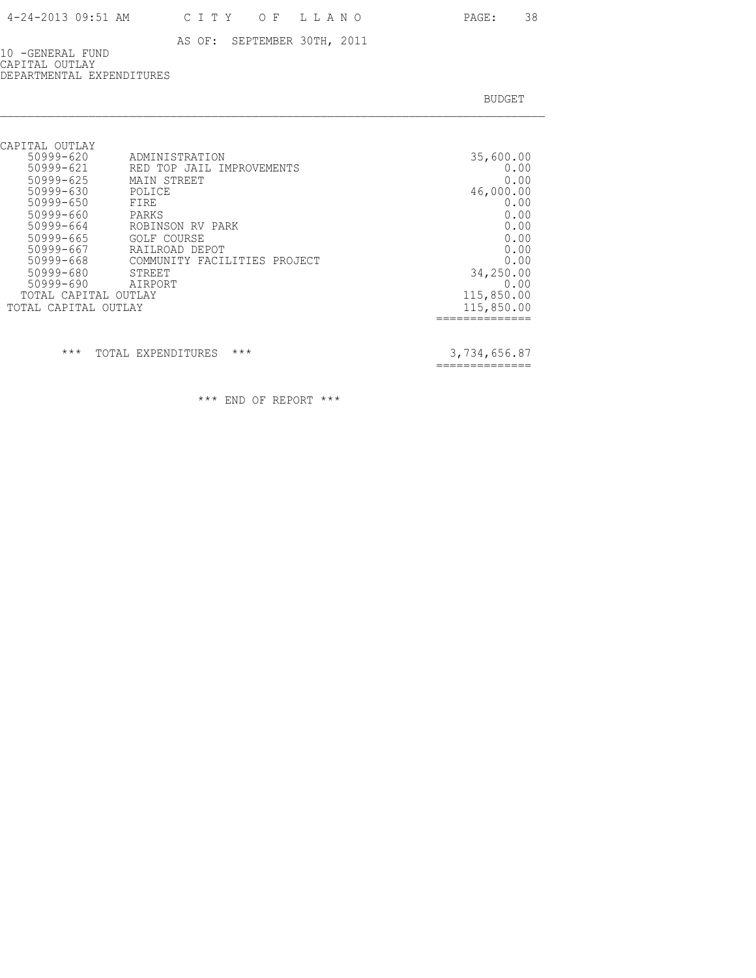10 -GENERAL FUND CAPITAL OUTLAY DEPARTMENTAL EXPENDITURES

BUDGET AND RESERVE AND RESERVE AND RESERVE AND RESERVE AND RESERVE AND RESERVE AND RESERVE AND RESERVE AND RESERVE AND RESERVE AND RESERVE AND RESERVE AND RESERVE AND RESERVE AND RESPONDING A REPORT OF A REPORT OF A REPORT

| CAPITAL OUTLAY       |                              |            |
|----------------------|------------------------------|------------|
| 50999-620            | ADMINISTRATION               | 35,600.00  |
| 50999-621            | RED TOP JAIL IMPROVEMENTS    | 0.00       |
| 50999-625            | MAIN STREET                  | 0.00       |
| 50999-630            | POLICE                       | 46,000.00  |
| 50999-650            | FIRE                         | 0.00       |
| 50999-660            | PARKS                        | 0.00       |
| 50999-664            | ROBINSON RV PARK             | 0.00       |
| 50999-665            | <b>GOLF COURSE</b>           | 0.00       |
| 50999-667            | RAILROAD DEPOT               | 0.00       |
| 50999-668            | COMMUNITY FACILITIES PROJECT | 0.00       |
| 50999-680            | STREET                       | 34,250.00  |
| 50999-690            | AIRPORT                      | 0.00       |
| TOTAL CAPITAL OUTLAY |                              | 115,850.00 |
| TOTAL CAPITAL OUTLAY |                              | 115,850.00 |
|                      |                              |            |

\*\*\* TOTAL EXPENDITURES \*\*\* 3,734,656.87

==============

\*\*\* END OF REPORT \*\*\*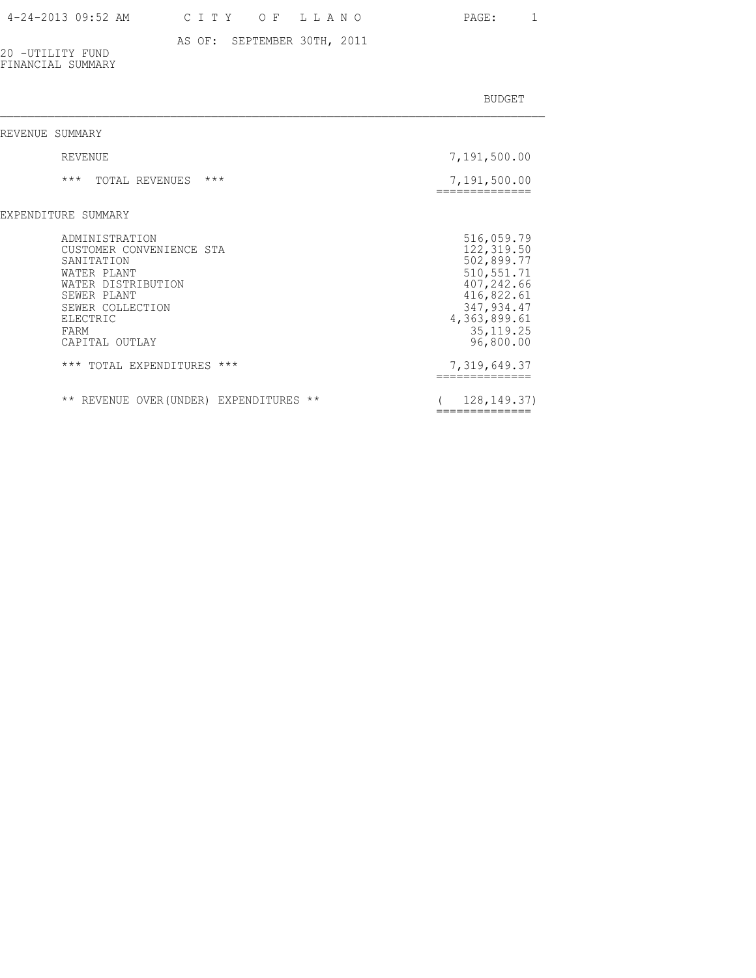### AS OF: SEPTEMBER 30TH, 2011

20 -UTILITY FUND FINANCIAL SUMMARY

| REVENUE SUMMARY                                                                                                                                                        |                                                                                                                                             |
|------------------------------------------------------------------------------------------------------------------------------------------------------------------------|---------------------------------------------------------------------------------------------------------------------------------------------|
| REVENUE                                                                                                                                                                | 7,191,500.00                                                                                                                                |
| $***$<br>$***$<br>TOTAL REVENUES                                                                                                                                       | 7,191,500.00                                                                                                                                |
| EXPENDITURE SUMMARY                                                                                                                                                    |                                                                                                                                             |
| ADMINISTRATION<br>CUSTOMER CONVENIENCE STA<br>SANITATION<br>WATER PLANT<br>WATER DISTRIBUTION<br>SEWER PLANT<br>SEWER COLLECTION<br>ELECTRIC<br>FARM<br>CAPITAL OUTLAY | 516,059.79<br>122, 319.50<br>502,899.77<br>510, 551.71<br>407,242.66<br>416,822.61<br>347,934.47<br>4,363,899.61<br>35, 119.25<br>96,800.00 |
| *** TOTAL EXPENDITURES ***                                                                                                                                             | 7,319,649.37                                                                                                                                |
| ** REVENUE OVER (UNDER) EXPENDITURES<br>$\star\star$                                                                                                                   | 128, 149, 37)                                                                                                                               |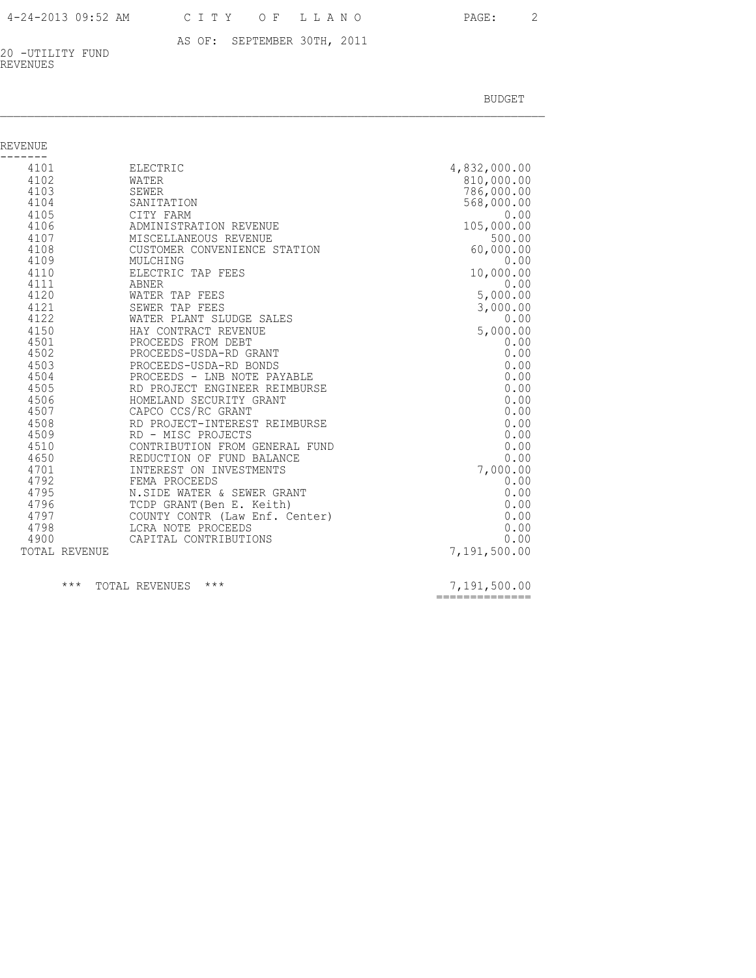AS OF: SEPTEMBER 30TH, 2011 20 -UTILITY FUND REVENUES

BUDGET AND RESERVE AND RESERVE AND RESERVE AND RESERVE AND RESERVE AND RESERVE AND RESERVE AND RESERVE AND RESERVE AND RESERVE AND RESERVE AND RESERVE AND RESERVE AND RESERVE AND RESPONDING A REPORT OF A REPORT OF A REPORT

| REVENUE       |                                |              |
|---------------|--------------------------------|--------------|
| 4101          | ELECTRIC                       | 4,832,000.00 |
| 4102          | WATER                          | 810,000.00   |
| 4103          | SEWER                          | 786,000.00   |
| 4104          | SANITATION                     | 568,000.00   |
| 4105          | CITY FARM                      | 0.00         |
| 4106          | ADMINISTRATION REVENUE         | 105,000.00   |
| 4107          | MISCELLANEOUS REVENUE          | 500.00       |
| 4108          | CUSTOMER CONVENIENCE STATION   | 60,000.00    |
| 4109          | MULCHING                       | 0.00         |
| 4110          | ELECTRIC TAP FEES              | 10,000.00    |
| 4111          | ABNER                          | 0.00         |
| 4120          | WATER TAP FEES                 | 5,000.00     |
| 4121          | SEWER TAP FEES                 | 3,000.00     |
| 4122          | WATER PLANT SLUDGE SALES       | 0.00         |
| 4150          | HAY CONTRACT REVENUE           | 5,000.00     |
| 4501          | PROCEEDS FROM DEBT             | 0.00         |
| 4502          | PROCEEDS-USDA-RD GRANT         | 0.00         |
| 4503          | PROCEEDS-USDA-RD BONDS         | 0.00         |
| 4504          | PROCEEDS - LNB NOTE PAYABLE    | 0.00         |
| 4505          | RD PROJECT ENGINEER REIMBURSE  | 0.00         |
| 4506          | HOMELAND SECURITY GRANT        | 0.00         |
| 4507          | CAPCO CCS/RC GRANT             | 0.00         |
| 4508          | RD PROJECT-INTEREST REIMBURSE  | 0.00         |
| 4509          | RD - MISC PROJECTS             | 0.00         |
| 4510          | CONTRIBUTION FROM GENERAL FUND | 0.00         |
| 4650          | REDUCTION OF FUND BALANCE      | 0.00         |
| 4701          | INTEREST ON INVESTMENTS        | 7,000.00     |
| 4792          | FEMA PROCEEDS                  | 0.00         |
| 4795          | N.SIDE WATER & SEWER GRANT     | 0.00         |
| 4796          | TCDP GRANT (Ben E. Keith)      | 0.00         |
| 4797          | COUNTY CONTR (Law Enf. Center) | 0.00         |
| 4798          | LCRA NOTE PROCEEDS             | 0.00         |
| 4900          | CAPITAL CONTRIBUTIONS          | 0.00         |
| TOTAL REVENUE |                                | 7,191,500.00 |
|               |                                |              |

\*\*\* TOTAL REVENUES \*\*\* 2.2000 2.191,500.00

==============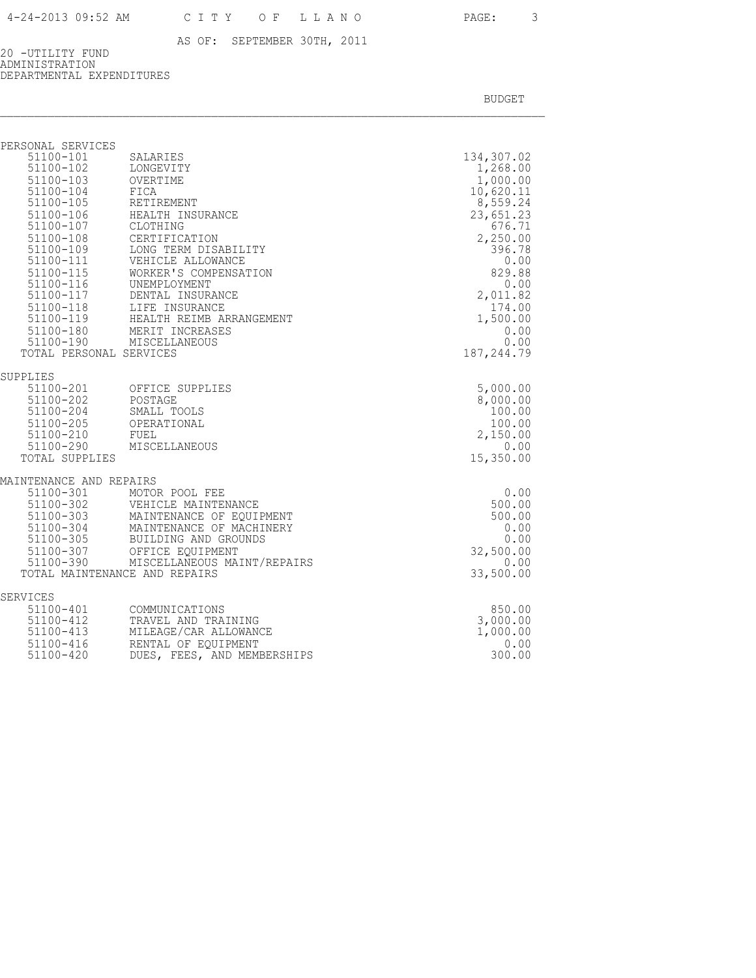20 -UTILITY FUND ADMINISTRATION DEPARTMENTAL EXPENDITURES

| PERSONAL SERVICES                    |                                                                                              |                                    |
|--------------------------------------|----------------------------------------------------------------------------------------------|------------------------------------|
| 51100-101<br>51100-102<br>51100-103  | SALARIES<br>LONGEVITY<br>OVERTIME                                                            | 134,307.02<br>1,268.00<br>1,000.00 |
| 51100-104<br>51100-105               | FICA<br>RETIREMENT                                                                           | 10,620.11<br>8,559.24              |
| 51100-106<br>51100-107               | HEALTH INSURANCE<br>CLOTHING                                                                 | 23,651.23<br>676.71                |
| 51100-108<br>51100-109               | CERTIFICATION<br>LONG TERM DISABILITY                                                        | 2,250.00<br>396.78                 |
| 51100-111                            | VEHICLE ALLOWANCE                                                                            | 0.00                               |
| 51100-115<br>$51100 - 116$           | WORKER'S COMPENSATION<br>UNEMPLOYMENT                                                        | 829.88<br>0.00                     |
|                                      | 51100-117 DENTAL INSURANCE<br>51100-118 LIFE INSURANCE<br>51100-119 HEALTH REIMB ARRANGEMENT | 2,011.82<br>174.00                 |
|                                      | 51100-180 MERIT INCREASES                                                                    | 1,500.00<br>0.00                   |
| 51100-190<br>TOTAL PERSONAL SERVICES | MISCELLANEOUS                                                                                | 0.00<br>187, 244.79                |
| SUPPLIES                             |                                                                                              |                                    |
| 51100-201<br>51100-202               | OFFICE SUPPLIES<br>POSTAGE                                                                   | 5,000.00<br>8,000.00               |
| 51100-204<br>51100-205               | SMALL TOOLS<br>OPERATIONAL                                                                   | 100.00<br>100.00                   |
| 51100-210<br>51100-290               | FUEL<br>MISCELLANEOUS                                                                        | 2,150.00<br>0.00                   |
| TOTAL SUPPLIES                       |                                                                                              | 15,350.00                          |
| MAINTENANCE AND REPAIRS              |                                                                                              |                                    |
| 51100-301<br>51100-302<br>51100-303  | MOTOR POOL FEE<br>VEHICLE MAINTENANCE                                                        | 0.00<br>500.00                     |
| 51100-304<br>51100-305               | MAINTENANCE OF EQUIPMENT<br>MAINTENANCE OF MACHINERY                                         | 500.00<br>0.00                     |
| 51100-305<br>51100-307               | BUILDING AND GROUNDS<br>OFFICE EOUIPMENT                                                     | 0.00<br>32,500.00                  |
| TOTAL MAINTENANCE AND REPAIRS        | 51100-390 MISCELLANEOUS MAINT/REPAIRS                                                        | 0.00<br>33,500.00                  |
| SERVICES                             |                                                                                              |                                    |
| 51100-401                            | COMMUNICATIONS                                                                               | 850.00                             |
| 51100-412<br>51100-413               | TRAVEL AND TRAINING<br>MILEAGE/CAR ALLOWANCE                                                 | 3,000.00<br>1,000.00               |
| 51100-416<br>51100-420               | RENTAL OF EQUIPMENT<br>DUES, FEES, AND MEMBERSHIPS                                           | 0.00<br>300.00                     |
|                                      |                                                                                              |                                    |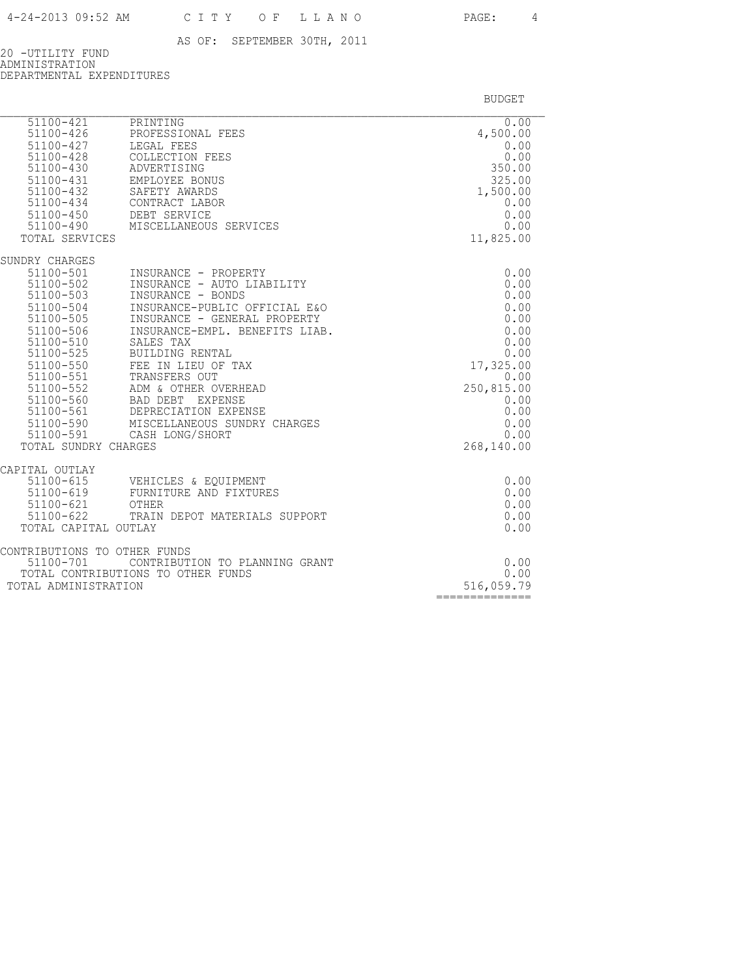20 -UTILITY FUND ADMINISTRATION DEPARTMENTAL EXPENDITURES

| $51100 - 421$<br>51100-426<br>51100-427<br>51100-428<br>51100-430<br>$51100 - 431$<br>51100-432<br>$51100 - 434$<br>51100-450<br>TOTAL SERVICES                                                    | PRINTING<br>PROFESSIONAL FEES<br>LEGAL FEES<br>COLLECTION FEES<br>ADVERTISING<br>EMPLOYEE BONUS<br>SAFETY AWARDS<br>CONTRACT LABOR<br>CONTRACT سمط<br>DEBT SERVICE<br>51100-490 MISCELLANEOUS SERVICES                                                                                                                                                                                                 | 0.00<br>4,500.00<br>0.00<br>0.00<br>350.00<br>325.00<br>1,500.00<br>0.00<br>0.00<br>0.00<br>11,825.00                                         |
|----------------------------------------------------------------------------------------------------------------------------------------------------------------------------------------------------|--------------------------------------------------------------------------------------------------------------------------------------------------------------------------------------------------------------------------------------------------------------------------------------------------------------------------------------------------------------------------------------------------------|-----------------------------------------------------------------------------------------------------------------------------------------------|
| SUNDRY CHARGES<br>51100-501<br>51100-502<br>51100-503<br>51100-504<br>51100-505<br>51100-506<br>51100-510<br>51100-525<br>51100-550<br>51100-551<br>51100-552<br>51100-590<br>TOTAL SUNDRY CHARGES | INSURANCE - PROPERTY<br>INSURANCE - AUTO LIABILITY<br>INSURANCE - BONDS<br>INSURANCE-PUBLIC OFFICIAL E&O<br>INSURANCE - GENERAL PROPERTY<br>INSURANCE-EMPL. BENEFITS LIAB.<br>SALES TAX<br>BUILDING RENTAL<br>FEE IN LIEU OF TAX<br>TRANSFERS OUT<br>ADM & OTHER OVERHEAD<br>51100-560 BAD DEBT EXPENSE<br>51100-561 DEPRECIATION EXPENSE<br>MISCELLANEOUS SUNDRY CHARGES<br>51100-591 CASH LONG/SHORT | 0.00<br>0.00<br>0.00<br>0.00<br>0.00<br>0.00<br>0.00<br>0.00<br>17,325.00<br>0.00<br>250,815.00<br>0.00<br>0.00<br>0.00<br>0.00<br>268,140.00 |
| CAPITAL OUTLAY<br>51100-615<br>51100-619<br>51100-621<br>51100-622<br>TOTAL CAPITAL OUTLAY                                                                                                         | VEHICLES & EQUIPMENT<br>FURNITURE AND FIXTURES<br>OTHER<br>TRAIN DEPOT MATERIALS SUPPORT                                                                                                                                                                                                                                                                                                               | 0.00<br>0.00<br>0.00<br>0.00<br>0.00                                                                                                          |
| CONTRIBUTIONS TO OTHER FUNDS<br>51100-701<br>TOTAL ADMINISTRATION                                                                                                                                  | CONTRIBUTION TO PLANNING GRANT<br>TOTAL CONTRIBUTIONS TO OTHER FUNDS                                                                                                                                                                                                                                                                                                                                   | 0.00<br>0.00<br>516,059.79<br>==============                                                                                                  |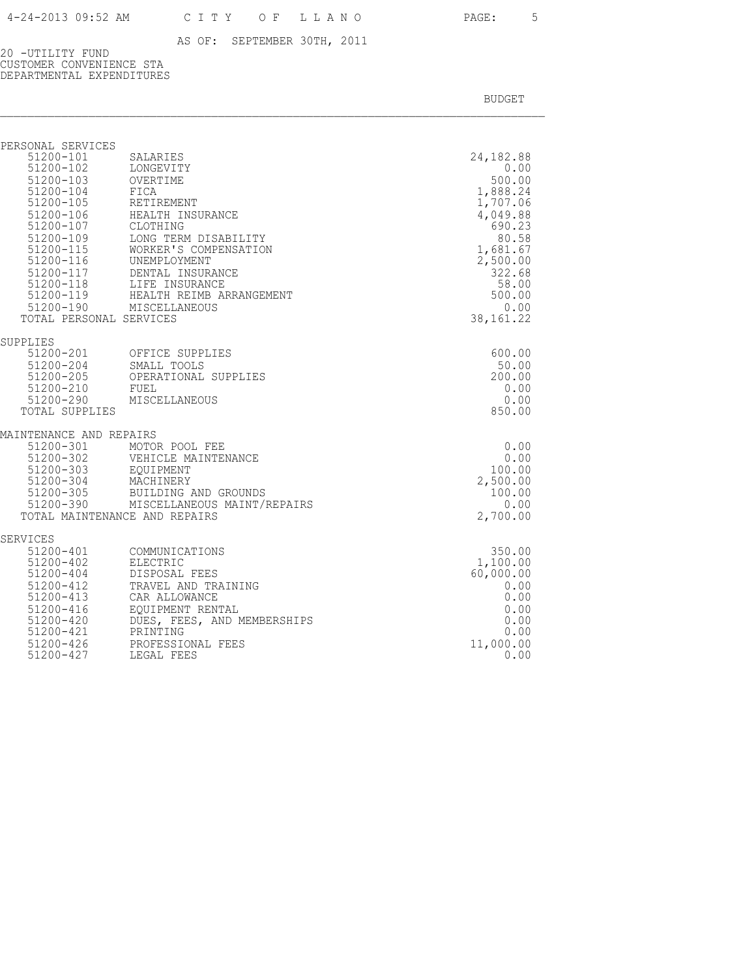20 -UTILITY FUND CUSTOMER CONVENIENCE STA DEPARTMENTAL EXPENDITURES

| PERSONAL SERVICES<br>51200-101<br>51200-102<br>51200-103<br>TOTAL PERSONAL SERVICES                                           | SALARIES<br>LONGEVITY<br>OVERTIME<br>51200-104 FICA<br>51200-105 RETIREMENT<br>51200-106 HEALTH INSURANCE<br>51200-107 CLOTHING<br>51200-109 LONG TERM DISABII<br>LONG TERM DISABILITY<br>51200-115<br>51200-115<br>WORKER'S COMPENS.<br>51200-117<br>DENTAL INSURANCE<br>WORKER'S COMPENSATION<br>51200-118<br>51200-119 LIFE INSURANCE<br>51200-119 HEALTH REIMB ARRANGEMENT<br>51200-190 MISCELLANEOUS | 24, 182.88<br>0.00<br>500.00<br>1,888.24<br>1,707.06<br>4,049.88<br>690.23<br>80.58<br>1,681.67<br>2,500.00<br>322.68<br>58.00<br>500.00<br>0.00<br>38,161.22 |
|-------------------------------------------------------------------------------------------------------------------------------|-----------------------------------------------------------------------------------------------------------------------------------------------------------------------------------------------------------------------------------------------------------------------------------------------------------------------------------------------------------------------------------------------------------|---------------------------------------------------------------------------------------------------------------------------------------------------------------|
| SUPPLIES<br>$51200 - 210$<br>TOTAL SUPPLIES                                                                                   | 51200-201 OFFICE SUPPLIES<br>51200-204 SMALL TOOLS<br>51200-205 OPERATIONAL SUPPLIES<br>FUEL<br>51200-290 MISCELLANEOUS                                                                                                                                                                                                                                                                                   | 600.00<br>50.00<br>200.00<br>0.00<br>0.00<br>850.00                                                                                                           |
| MAINTENANCE AND REPAIRS                                                                                                       | 51200-301 MOTOR POOL FEE<br>VEHICLE MAINTENANCE<br>51200-304 MACHINERY<br>51200-305 BUILDING AND GROUNDS<br>51200-390 MISCELLANEOUS MAINT/REPAIRS<br>TOTAL MAINTENANCE AND REPAIRS                                                                                                                                                                                                                        | 0.00<br>0.00<br>100.00<br>2,500.00<br>100.00<br>0.00<br>2,700.00                                                                                              |
| SERVICES<br>51200-402<br>51200-404<br>51200-412<br>51200-413<br>51200-416<br>51200-420<br>51200-421<br>51200-426<br>51200-427 | 51200-401 COMMUNICATIONS<br>ELECTRIC<br>DISPOSAL FEES<br>TRAVEL AND TRAINING<br>CAR ALLOWANCE<br>EOUIPMENT RENTAL<br>DUES, FEES, AND MEMBERSHIPS<br>DULL,<br>PRINTING<br>PROFESSIONAL FEES<br>LEGAL FEES                                                                                                                                                                                                  | 350.00<br>1,100.00<br>60,000.00<br>0.00<br>0.00<br>0.00<br>0.00<br>0.00<br>11,000.00<br>0.00                                                                  |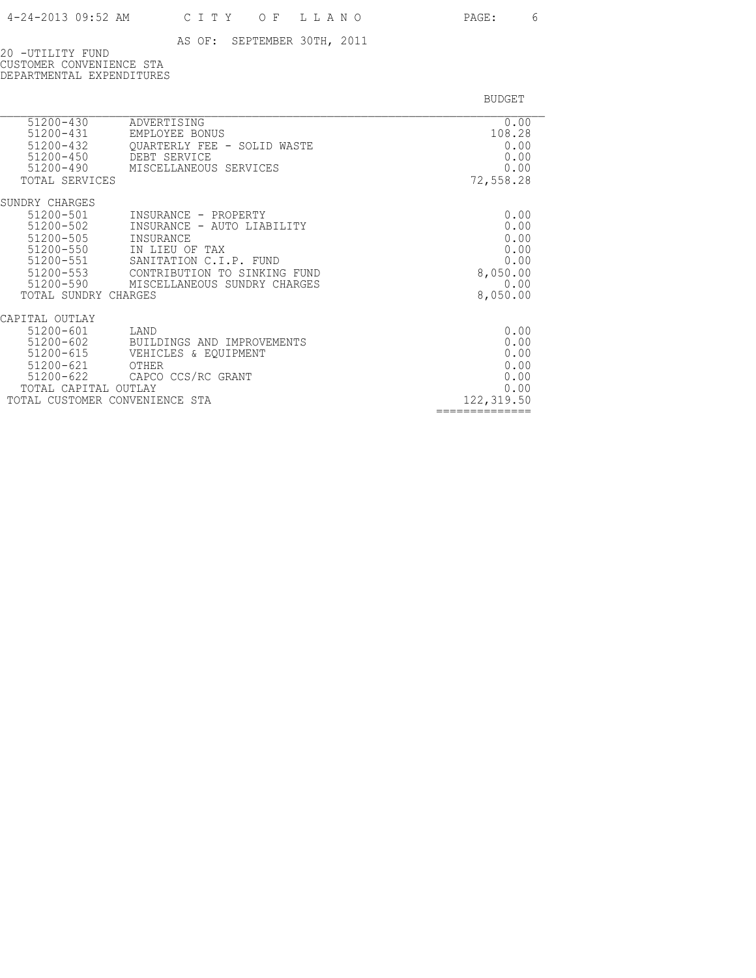20 -UTILITY FUND CUSTOMER CONVENIENCE STA DEPARTMENTAL EXPENDITURES

| 51200-430<br>51200-431<br>51200-432<br>51200-450<br>51200-490<br>TOTAL SERVICES                                                       | ADVERTISING<br>EMPLOYEE BONUS<br>OUARTERLY FEE - SOLID WASTE<br>DEBT SERVICE<br>MISCELLANEOUS SERVICES                                                                      | 0.00<br>108.28<br>0.00<br>0.00<br>0.00<br>72,558.28                  |
|---------------------------------------------------------------------------------------------------------------------------------------|-----------------------------------------------------------------------------------------------------------------------------------------------------------------------------|----------------------------------------------------------------------|
| SUNDRY CHARGES<br>51200-501<br>51200-502<br>$51200 - 505$<br>51200-550<br>51200-551<br>51200-553<br>51200-590<br>TOTAL SUNDRY CHARGES | INSURANCE - PROPERTY<br>INSURANCE - AUTO LIABILITY<br>INSURANCE<br>IN LIEU OF TAX<br>SANITATION C.I.P. FUND<br>CONTRIBUTION TO SINKING FUND<br>MISCELLANEOUS SUNDRY CHARGES | 0.00<br>0.00<br>0.00<br>0.00<br>0.00<br>8,050.00<br>0.00<br>8,050.00 |
| CAPITAL OUTLAY<br>51200-601<br>51200-602<br>$51200 - 615$<br>51200-621<br>TOTAL CAPITAL                                               | LAND<br>BUILDINGS AND IMPROVEMENTS<br>VEHICLES & EOUIPMENT<br>OTHER<br>51200-622 CAPCO CCS/RC GRANT<br>OUTLAY<br>TOTAL CUSTOMER CONVENIENCE STA                             | 0.00<br>0.00<br>0.00<br>0.00<br>0.00<br>0.00<br>122, 319.50          |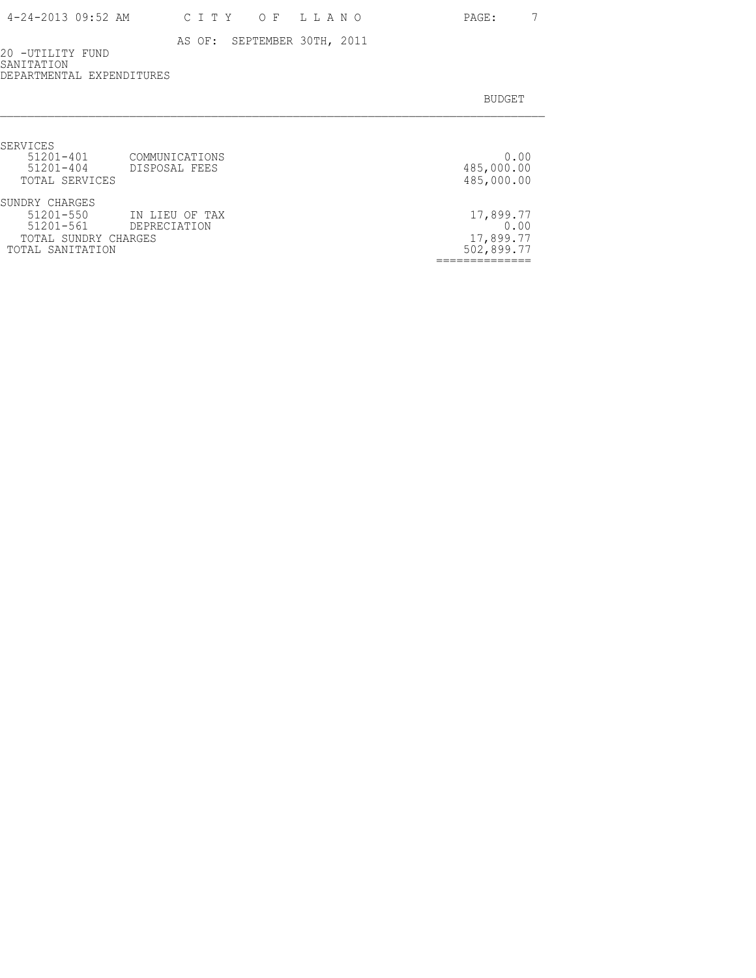20 -UTILITY FUND SANITATION DEPARTMENTAL EXPENDITURES

| SERVICES             |                |            |
|----------------------|----------------|------------|
| $51201 - 401$        | COMMUNICATIONS | 0.00       |
| $51201 - 404$        | DISPOSAL FEES  | 485,000.00 |
| TOTAL SERVICES       |                | 485,000.00 |
| SUNDRY CHARGES       |                |            |
| $51201 - 550$        | IN LIEU OF TAX | 17,899.77  |
| 51201-561            | DEPRECIATION   | 0.00       |
| TOTAL SUNDRY CHARGES |                | 17,899.77  |
| TOTAL SANITATION     |                | 502,899.77 |
|                      |                |            |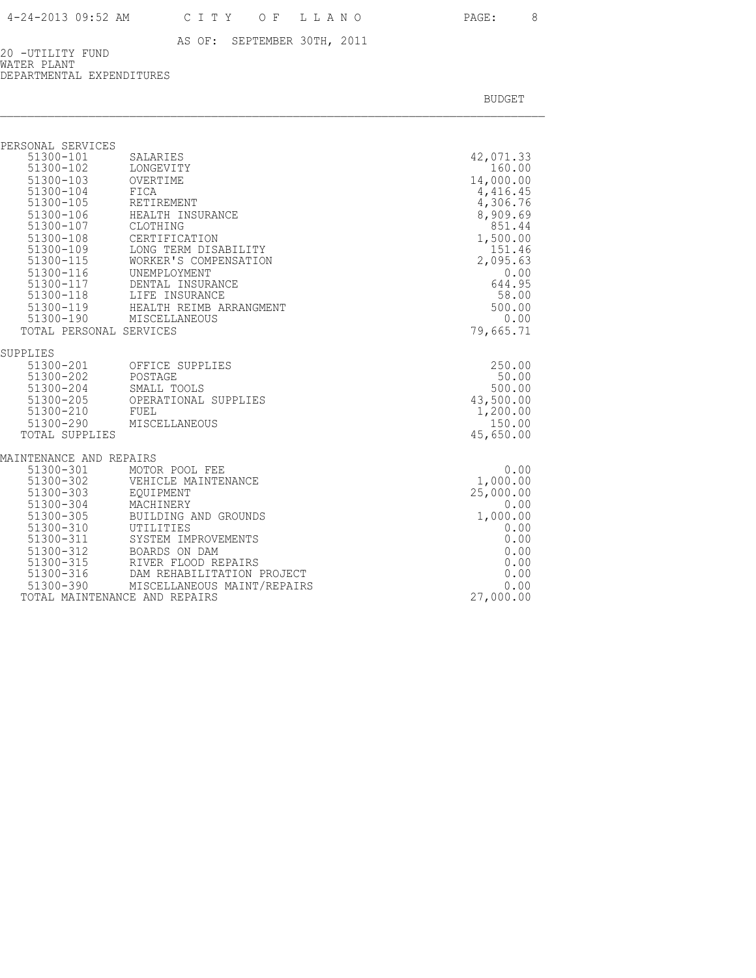20 -UTILITY FUND WATER PLANT DEPARTMENTAL EXPENDITURES

| PERSONAL SERVICES       |                                                              |                 |
|-------------------------|--------------------------------------------------------------|-----------------|
| 51300-101               | SALARIES                                                     | 42,071.33       |
| 51300-102               | LONGEVITY                                                    | 160.00          |
| 51300-103               | OVERTIME                                                     | 14,000.00       |
| 51300-104               | FICA                                                         | 4,416.45        |
| 51300-105               | RETIREMENT                                                   | 4,306.76        |
| 51300-106               | HEALTH INSURANCE                                             | 8,909.69        |
| 51300-107               | CLOTHING                                                     | 851.44          |
| 51300-108               | CERTIFICATION                                                | 1,500.00        |
| 51300-109               | LONG TERM DISABILITY                                         | 151.46          |
| 51300-115               | WORKER'S COMPENSATION                                        | 2,095.63        |
| 51300-116               | UNEMPLOYMENT                                                 | 0.00            |
| 51300-117               | DENTAL INSURANCE                                             | 644.95<br>58.00 |
|                         | 51300-118 LIFE INSURANCE                                     | 500.00          |
|                         | 51300-119 HEALTH REIMB ARRANGMENT<br>51300-190 MISCELLANEOUS | 0.00            |
| TOTAL PERSONAL SERVICES |                                                              | 79,665.71       |
|                         |                                                              |                 |
| SUPPLIES                |                                                              |                 |
| 51300-201               | OFFICE SUPPLIES                                              | 250.00          |
| 51300-202 POSTAGE       |                                                              | 50.00           |
| 51300-204               | SMALL TOOLS                                                  | 500.00          |
| 51300-205               | OPERATIONAL SUPPLIES                                         | 43,500.00       |
| 51300-210               | FUEL                                                         | 1,200.00        |
| 51300-290               | MISCELLANEOUS                                                | 150.00          |
| TOTAL SUPPLIES          |                                                              | 45,650.00       |
| MAINTENANCE AND REPAIRS |                                                              |                 |
| 51300-301               | MOTOR POOL FEE                                               | 0.00            |
| 51300-302               | VEHICLE MAINTENANCE                                          | 1,000.00        |
| 51300-303               | EOUIPMENT                                                    | 25,000.00       |
| 51300-304               | MACHINERY                                                    | 0.00            |
| 51300-305               | BUILDING AND GROUNDS                                         | 1,000.00        |
| 51300-310               | UTILITIES                                                    | 0.00            |
| 51300-311               | SYSTEM IMPROVEMENTS                                          | 0.00            |
| 51300-312               | BOARDS ON DAM                                                | 0.00            |
| 51300-315               | RIVER FLOOD REPAIRS                                          | 0.00            |
| $51300 - 316$           | DAM REHABILITATION PROJECT                                   | 0.00            |
|                         | 51300-390 MISCELLANEOUS MAINT/REPAIRS                        | 0.00            |
|                         | TOTAL MAINTENANCE AND REPAIRS                                | 27,000.00       |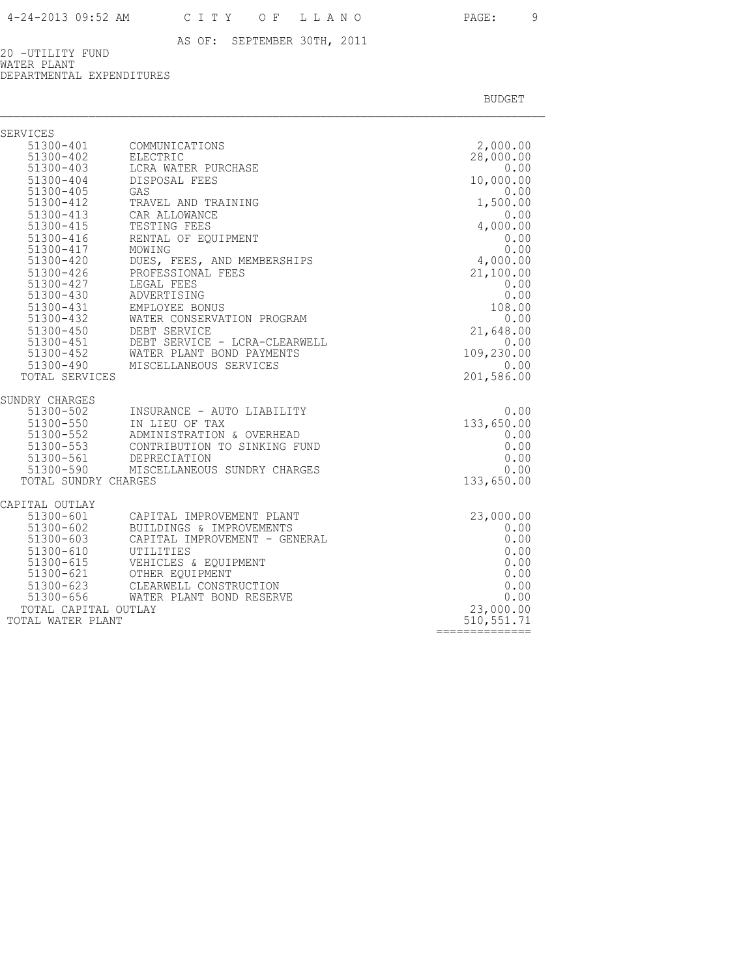20 -UTILITY FUND WATER PLANT DEPARTMENTAL EXPENDITURES

| SERVICES                                                                                                                                                                                                                                                    |                                                                                                                                                                                                                                                                                                                                                                                   |                                                                                                                                                                                                  |
|-------------------------------------------------------------------------------------------------------------------------------------------------------------------------------------------------------------------------------------------------------------|-----------------------------------------------------------------------------------------------------------------------------------------------------------------------------------------------------------------------------------------------------------------------------------------------------------------------------------------------------------------------------------|--------------------------------------------------------------------------------------------------------------------------------------------------------------------------------------------------|
| 51300-401<br>51300-402<br>51300-403<br>51300-404<br>51300-405<br>51300-412<br>$51300 - 413$<br>51300-415<br>51300-416<br>51300-417<br>51300-420<br>51300-426<br>51300-427<br>51300-430<br>51300-431<br>$51300 - 432$<br>51300-450<br>51300-451<br>51300-452 | COMMUNICATIONS<br>ELECTRIC<br>LCRA WATER PURCHASE<br>DISPOSAL FEES<br>GAS<br>TRAVEL AND TRAINING<br>CAR ALLOWANCE<br>TESTING FEES<br>RENTAL OF EQUIPMENT<br>MOWING<br>DUES, FEES, AND MEMBERSHIPS<br>PROFESSIONAL FEES<br>LEGAL FEES<br>ADVERTISING<br>EMPLOYEE BONUS<br>WATER CONSERVATION PROGRAM<br>DEBT SERVICE<br>DEBT SERVICE - LCRA-CLEARWELL<br>WATER PLANT BOND PAYMENTS | 2,000.00<br>28,000.00<br>0.00<br>10,000.00<br>0.00<br>1,500.00<br>0.00<br>4,000.00<br>0.00<br>0.00<br>4,000.00<br>21,100.00<br>0.00<br>0.00<br>108.00<br>0.00<br>21,648.00<br>0.00<br>109,230.00 |
| 51300-490                                                                                                                                                                                                                                                   | MISCELLANEOUS SERVICES                                                                                                                                                                                                                                                                                                                                                            | 0.00                                                                                                                                                                                             |
| TOTAL SERVICES<br>SUNDRY CHARGES<br>51300-502<br>51300-550<br>$51300 - 552$<br>51300-553<br>51300-561 DEPRECIATION<br>TOTAL SUNDRY CHARGES                                                                                                                  | INSURANCE - AUTO LIABILITY<br>IN LIEU OF TAX<br>ADMINISTRATION & OVERHEAD<br>CONTRIBUTION TO SINKING FUND<br>51300-590 MISCELLANEOUS SUNDRY CHARGES                                                                                                                                                                                                                               | 201,586.00<br>0.00<br>133,650.00<br>0.00<br>0.00<br>0.00<br>0.00<br>133,650.00                                                                                                                   |
| CAPITAL OUTLAY<br>51300-601<br>51300-602<br>51300-603<br>51300-610<br>51300-615<br>$51300 - 621$<br>51300-623<br>51300-656<br>TOTAL CAPITAL OUTLAY<br>TOTAL WATER PLANT                                                                                     | CAPITAL IMPROVEMENT PLANT<br>BUILDINGS & IMPROVEMENTS<br>CAPITAL IMPROVEMENT - GENERAL<br>UTILITIES<br>VEHICLES & EQUIPMENT<br>OTHER EQUIPMENT<br>CLEARWELL CONSTRUCTION<br>WATER PLANT BOND RESERVE                                                                                                                                                                              | 23,000.00<br>0.00<br>0.00<br>0.00<br>0.00<br>0.00<br>0.00<br>0.00<br>23,000.00<br>510, 551.71<br>==============                                                                                  |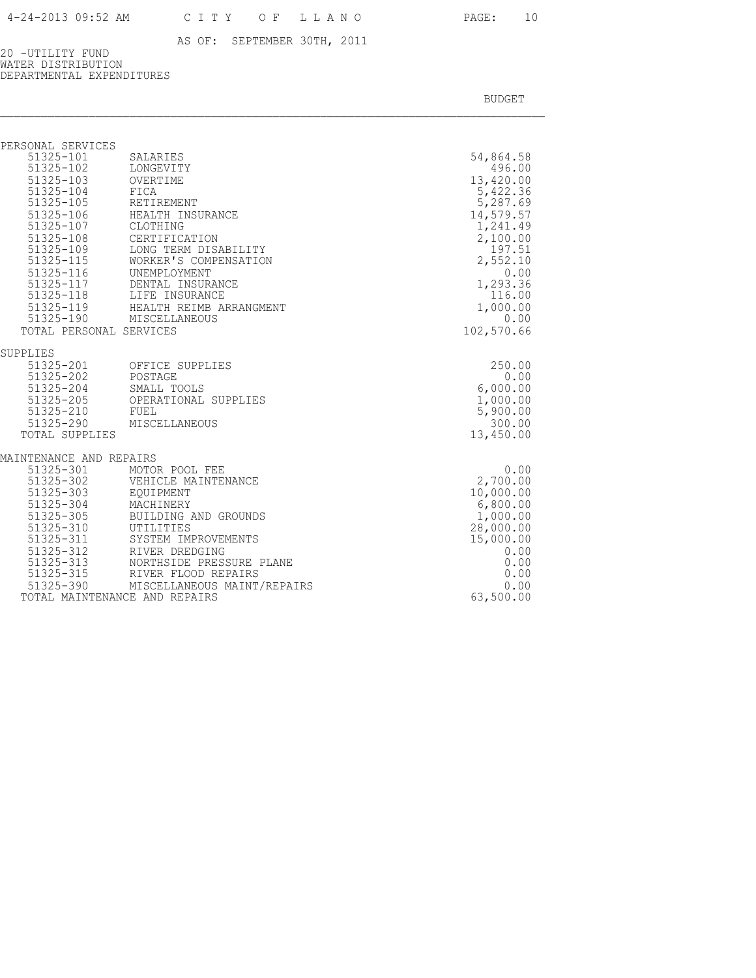20 -UTILITY FUND WATER DISTRIBUTION DEPARTMENTAL EXPENDITURES

| PERSONAL SERVICES             |                                                    |                  |
|-------------------------------|----------------------------------------------------|------------------|
| 51325-101                     | SALARIES                                           | 54,864.58        |
| 51325-102                     | LONGEVITY                                          | 496.00           |
| 51325-103                     | OVERTIME                                           | 13,420.00        |
| 51325-104                     | FICA                                               | 5,422.36         |
| 51325-105                     | RETIREMENT                                         | 5,287.69         |
| 51325-106                     | HEALTH INSURANCE                                   | 14,579.57        |
| 51325-107                     | CLOTHING                                           | 1,241.49         |
| 51325-108                     | CERTIFICATION                                      | 2,100.00         |
| 51325-109<br>51325-115        | LONG TERM DISABILITY                               | 197.51           |
|                               | WORKER'S COMPENSATION                              | 2,552.10         |
| 51325-116                     | UNEMPLOYMENT<br>DENTAL INSURANCE                   | 0.00<br>1,293.36 |
| 51325-117                     |                                                    | 116.00           |
|                               | 51325-118 LIFE INSURANCE                           | 1,000.00         |
| 51325-190                     | 51325-119 HEALTH REIMB ARRANGMENT<br>MISCELLANEOUS | 0.00             |
| TOTAL PERSONAL SERVICES       |                                                    | 102,570.66       |
|                               |                                                    |                  |
| SUPPLIES                      |                                                    |                  |
| 51325-201                     | OFFICE SUPPLIES                                    | 250.00           |
| 51325-202                     | POSTAGE                                            | 0.00             |
| $51325 - 204$                 | SMALL TOOLS                                        | 6,000.00         |
| 51325-205                     | OPERATIONAL SUPPLIES                               | 1,000.00         |
| 51325-210                     | FUEL                                               | 5,900.00         |
|                               | 51325-290 MISCELLANEOUS                            | 300.00           |
| TOTAL SUPPLIES                |                                                    | 13,450.00        |
| MAINTENANCE AND REPAIRS       |                                                    |                  |
|                               | MOTOR POOL FEE                                     | 0.00             |
| 51325-301<br>51325-302        | VEHICLE MAINTENANCE                                | 2,700.00         |
| 51325-303                     | EQUIPMENT                                          | 10,000.00        |
| 51325-304                     | MÃCHINERY                                          | 6,800.00         |
| $51325 - 305$                 | BUILDING AND GROUNDS                               | 1,000.00         |
| 51325-310                     | UTILITIES                                          | 28,000.00        |
| 51325-311                     | SYSTEM IMPROVEMENTS                                | 15,000.00        |
| 51325-312                     | RIVER DREDGING                                     | 0.00             |
| 51325-313<br>51325-315        | NORTHSIDE PRESSURE PLANE                           | 0.00             |
|                               | RIVER FLOOD REPAIRS                                | 0.00             |
|                               | 51325-390 MISCELLANEOUS MAINT/REPAIRS              | 0.00             |
| TOTAL MAINTENANCE AND REPAIRS |                                                    | 63,500.00        |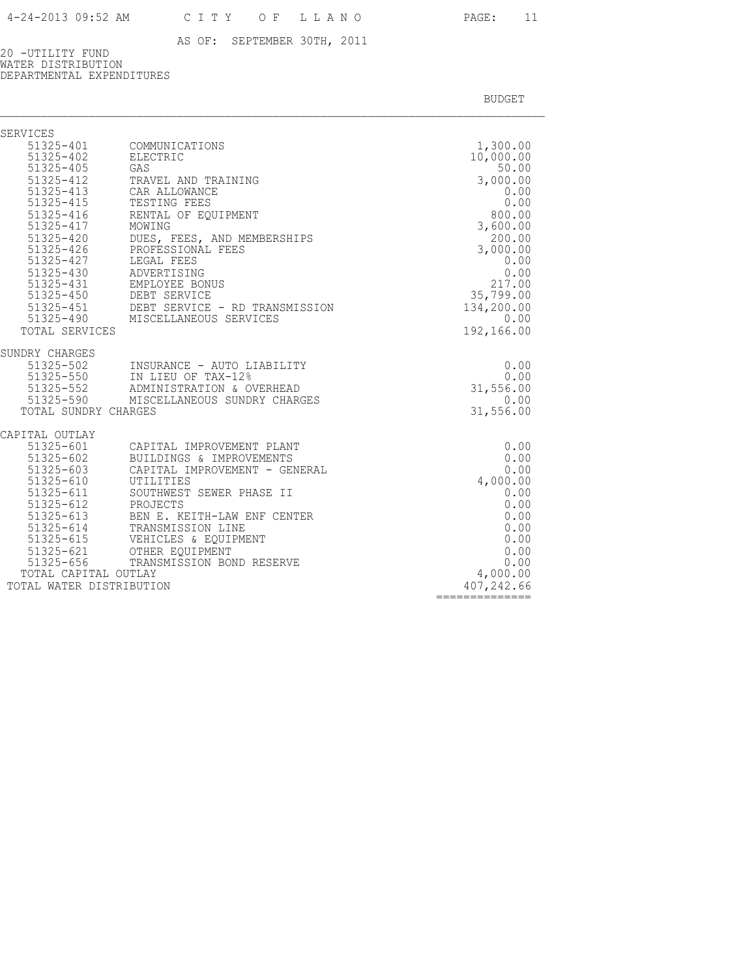20 -UTILITY FUND WATER DISTRIBUTION DEPARTMENTAL EXPENDITURES

| <b>SERVICES</b>                           |                                                                                                                                      |                         |
|-------------------------------------------|--------------------------------------------------------------------------------------------------------------------------------------|-------------------------|
|                                           | 51325-401 COMMUNICATIONS                                                                                                             | 1,300.00                |
| 51325-402                                 | ELECTRIC                                                                                                                             | 10,000.00               |
| 51325-405                                 | GAS                                                                                                                                  | 50.00                   |
| $51325 - 412$<br>51325-413                | TRAVEL AND TRAINING                                                                                                                  | 3,000.00                |
| 51325-415                                 | CAR ALLOWANCE<br>TESTING FEES                                                                                                        | 0.00<br>0.00            |
| 51325-416                                 | RENTAL OF EOUIPMENT                                                                                                                  | 800.00                  |
| 51325-417                                 | MOWING                                                                                                                               | 3,600.00                |
| 51325-420                                 | DUES, FEES, AND MEMBERSHIPS                                                                                                          | 200.00                  |
| 51325-426                                 | PROFESSIONAL FEES                                                                                                                    | 3,000.00                |
| 51325-427                                 | LEGAL FEES                                                                                                                           | 0.00                    |
| 51325-430                                 | ADVERTISING                                                                                                                          | 0.00                    |
|                                           |                                                                                                                                      | 217.00                  |
|                                           | 51325-431 EMPLOYEE BONUS<br>51325-431 EMPLOYEE BONUS<br>51325-451 DEBT SERVICE - RD TRANSMISSION<br>51325-490 MISCELLANEOUS SERVICES | 35,799.00<br>134,200.00 |
|                                           |                                                                                                                                      | 0.00                    |
| TOTAL SERVICES                            |                                                                                                                                      | 192,166.00              |
|                                           |                                                                                                                                      |                         |
| SUNDRY CHARGES                            |                                                                                                                                      |                         |
|                                           | 51325-502 INSURANCE - AUTO L<br>51325-550 IN LIEU OF TAX-12%<br>INSURANCE - AUTO LIABILITY                                           | 0.00                    |
|                                           |                                                                                                                                      | 0.00                    |
|                                           | 51325-552 ADMINISTRATION & OVERHEAD<br>51325-590 MISCELLANEOUS SUNDRY CHARGES                                                        | 31,556.00               |
| TOTAL SUNDRY CHARGES                      |                                                                                                                                      | 0.00<br>31,556.00       |
|                                           |                                                                                                                                      |                         |
| CAPITAL OUTLAY                            |                                                                                                                                      |                         |
|                                           | 51325-601 CAPITAL IMPROVEMENT PLANT                                                                                                  | 0.00                    |
|                                           | 51325-602 BUILDINGS & IMPROVEMENTS                                                                                                   | 0.00                    |
| 51325-603<br>51325-610                    | CAPITAL IMPROVEMENT - GENERAL<br>UTILITIES                                                                                           | 0.00<br>4,000.00        |
| 51325-611                                 | SOUTHWEST SEWER PHASE II                                                                                                             | 0.00                    |
| 51325-611 SOUTHWES!<br>51325-612 PROJECTS |                                                                                                                                      | 0.00                    |
| 51325-613                                 | BEN E. KEITH-LAW ENF CENTER                                                                                                          | 0.00                    |
| 51325-614                                 | TRANSMISSION LINE                                                                                                                    | 0.00                    |
| 51325-615                                 | VEHICLES & EQUIPMENT                                                                                                                 | 0.00                    |
|                                           | 51325-621 OTHER EQUIPMENT<br>51325-656 TRANSMISSION BOI                                                                              | 0.00                    |
| TOTAL CAPITAL OUTLAY                      | TRANSMISSION BOND RESERVE                                                                                                            | 0.00<br>4,000.00        |
| TOTAL WATER DISTRIBUTION                  |                                                                                                                                      | 407,242.66              |
|                                           |                                                                                                                                      |                         |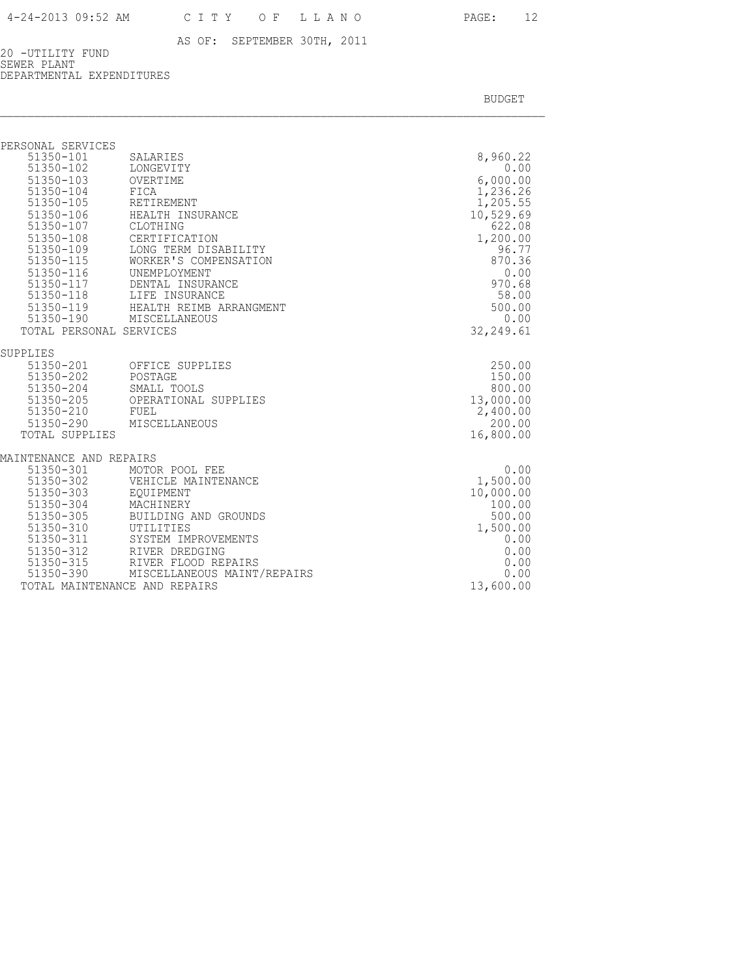20 -UTILITY FUND SEWER PLANT DEPARTMENTAL EXPENDITURES

| PERSONAL SERVICES             |                                                                                                                        |            |
|-------------------------------|------------------------------------------------------------------------------------------------------------------------|------------|
| 51350-101                     | SALARIES                                                                                                               | 8,960.22   |
| $51350 - 102$                 | LONGEVITY                                                                                                              | 0.00       |
| 51350-103                     | OVERTIME                                                                                                               | 6,000.00   |
| 51350-104                     | FICA                                                                                                                   | 1,236.26   |
| 51350-105                     | RETIREMENT                                                                                                             | 1,205.55   |
| 51350-106                     | HEALTH INSURANCE                                                                                                       | 10,529.69  |
| 51350-107                     | CLOTHING                                                                                                               | 622.08     |
| 51350-108                     | CERTIFICATION                                                                                                          | 1,200.00   |
| 51350-109                     | LONG TERM DISABILITY                                                                                                   | 96.77      |
| 51350-115                     | WORKER'S COMPENSATION                                                                                                  | 870.36     |
| 51350-116                     | UNEMPLOYMENT                                                                                                           | 0.00       |
|                               |                                                                                                                        | 970.68     |
|                               |                                                                                                                        | 58.00      |
|                               | 51350-117 DENTAL INSURANCE<br>51350-118 LIFE INSURANCE<br>51350-119 HEALTH REIMB ARRANGMENT<br>51350-190 MISCELLANEOUS | 500.00     |
|                               |                                                                                                                        | 0.00       |
| TOTAL PERSONAL SERVICES       |                                                                                                                        | 32, 249.61 |
| SUPPLIES                      |                                                                                                                        |            |
|                               | 51350-201 OFFICE SUPPLIES                                                                                              | 250.00     |
| 51350-202                     | POSTAGE                                                                                                                | 150.00     |
| 51350-204                     | SMALL TOOLS                                                                                                            | 800.00     |
| 51350-205                     | OPERATIONAL SUPPLIES                                                                                                   | 13,000.00  |
| 51350-210                     | FUEL                                                                                                                   | 2,400.00   |
| 51350-290                     | MISCELLANEOUS                                                                                                          | 200.00     |
| TOTAL SUPPLIES                |                                                                                                                        | 16,800.00  |
| MAINTENANCE AND REPAIRS       |                                                                                                                        |            |
| 51350-301                     | MOTOR POOL FEE                                                                                                         | 0.00       |
| 51350-302                     | VEHICLE MAINTENANCE                                                                                                    | 1,500.00   |
| 51350-303                     | EOUIPMENT                                                                                                              | 10,000.00  |
| 51350-304                     | MACHINERY                                                                                                              | 100.00     |
| 51350-305                     | BUILDING AND GROUNDS                                                                                                   | 500.00     |
| 51350-310                     | UTILITIES                                                                                                              | 1,500.00   |
| 51350-311                     | SYSTEM IMPROVEMENTS                                                                                                    | 0.00       |
| 51350-312                     | RIVER DREDGING                                                                                                         | 0.00       |
| 51350-315                     | RIVER FLOOD REPAIRS                                                                                                    | 0.00       |
|                               | 51350-390 MISCELLANEOUS MAINT/REPAIRS                                                                                  | 0.00       |
| TOTAL MAINTENANCE AND REPAIRS |                                                                                                                        | 13,600.00  |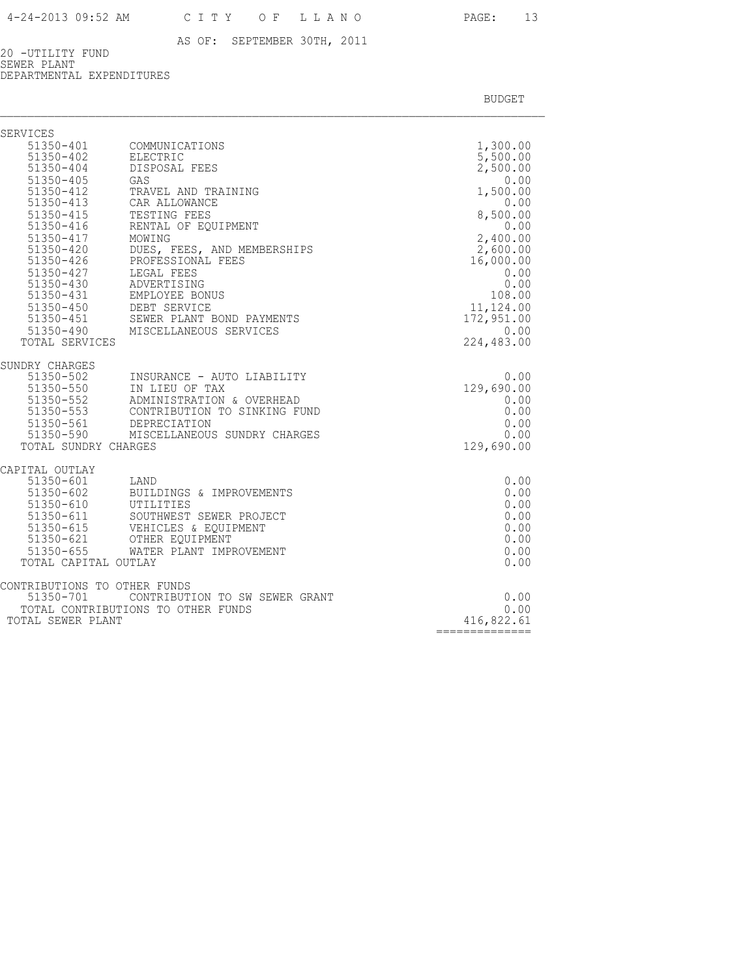20 -UTILITY FUND SEWER PLANT DEPARTMENTAL EXPENDITURES

| SERVICES                                                                                                                                                                      |                                                                                                                                                                                                                                                                                                                                                                                   |                                                                                                                                                                                                  |
|-------------------------------------------------------------------------------------------------------------------------------------------------------------------------------|-----------------------------------------------------------------------------------------------------------------------------------------------------------------------------------------------------------------------------------------------------------------------------------------------------------------------------------------------------------------------------------|--------------------------------------------------------------------------------------------------------------------------------------------------------------------------------------------------|
| 51350-402<br>$51350 - 404$<br>51350-405<br>$51350 - 412$<br>51350-413<br>51350-415<br>$51350 - 416$<br>51350-417<br>51350-420<br>$51350 - 426$<br>51350-427<br>TOTAL SERVICES | 51350-401 COMMUNICATIONS<br>ELECTRIC<br>DISPOSAL FEES<br>GAS<br>TRAVEL AND TRAINING<br>CAR ALLOWANCE<br>TESTING FEES<br>RENTAL OF EOUIPMENT<br>MOWING<br>DUES, FEES, AND MEMBERSHIPS<br>PROFESSIONAL FEES<br>LEGAL FEES<br>51350-430 ADVERTISING<br>51350-431 EMPLOYEE BONUS<br>51350-450 DEBT SERVICE<br>51350-451 SEWER PLANT BOND PAYMENTS<br>51350-490 MISCELLANEOUS SERVICES | 1,300.00<br>5,500.00<br>2,500.00<br>0.00<br>1,500.00<br>0.00<br>8,500.00<br>0.00<br>2,400.00<br>2,600.00<br>16,000.00<br>0.00<br>0.00<br>108.00<br>11,124.00<br>172,951.00<br>0.00<br>224,483.00 |
| SUNDRY CHARGES<br>51350-502<br>51350-550<br>51350-590<br>TOTAL SUNDRY CHARGES                                                                                                 | INSURANCE - AUTO LIABILITY<br>IN LIEU OF TAX<br>51350-552 ADMINISTRATION & OVERHEAD<br>51350-553 CONTRIBUTION TO SINKING FUND<br>51350-561 DEPRECIATION<br>MISCELLANEOUS SUNDRY CHARGES                                                                                                                                                                                           | 0.00<br>129,690.00<br>0.00<br>0.00<br>0.00<br>0.00<br>129,690.00                                                                                                                                 |
| CAPITAL OUTLAY<br>51350-610 UTILITIES<br>51350-611<br>TOTAL CAPITAL OUTLAY                                                                                                    | 51350-601 LAND<br>51350-602 BUILDINGS & IMPROVEMENTS<br>SOUTHWEST SEWER PROJECT<br>51350-615    VEHICLES & EQUI<br>51350-621    OTHER EQUIPMENT<br>VEHICLES & EQUIPMENT<br>51350-655 WATER PLANT IMPROVEMENT                                                                                                                                                                      | 0.00<br>0.00<br>0.00<br>0.00<br>0.00<br>0.00<br>0.00<br>0.00                                                                                                                                     |
| CONTRIBUTIONS TO OTHER FUNDS<br>51350-701<br>TOTAL SEWER PLANT                                                                                                                | CONTRIBUTION TO SW SEWER GRANT<br>TOTAL CONTRIBUTIONS TO OTHER FUNDS                                                                                                                                                                                                                                                                                                              | 0.00<br>0.00<br>416,822.61<br>$=$ ==============                                                                                                                                                 |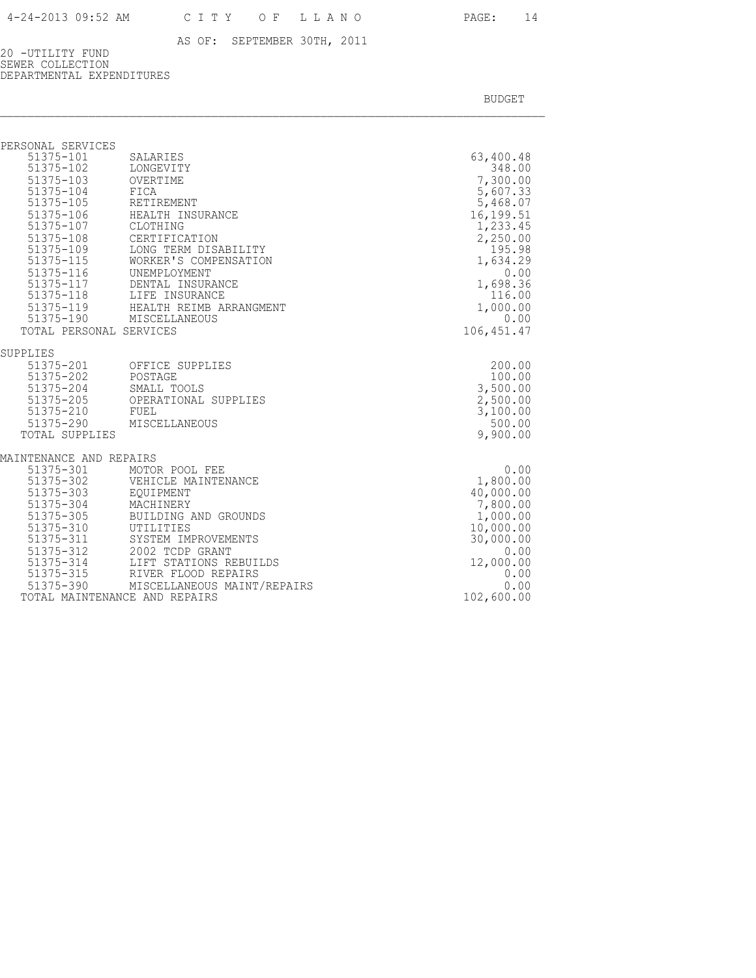20 -UTILITY FUND SEWER COLLECTION DEPARTMENTAL EXPENDITURES

| PERSONAL SERVICES                                                                                                                                   |                                                                                                                                                           |                                                                                                                    |
|-----------------------------------------------------------------------------------------------------------------------------------------------------|-----------------------------------------------------------------------------------------------------------------------------------------------------------|--------------------------------------------------------------------------------------------------------------------|
| 51375-101<br>$51375 - 102$<br>51375-103<br>51375-104<br>$51375 - 105$<br>51375-106<br>51375-107<br>51375-108<br>51375-109<br>51375-115<br>51375-115 | SALARIES<br>LONGEVITY<br>OVERTIME<br>FICA<br>RETIREMENT<br>HEALTH INSURANCE<br>CLOTHING<br>CERTIFICATION<br>LONG TERM DISABILITY<br>WORKER'S COMPENSATION | 63,400.48<br>348.00<br>7,300.00<br>5,607.33<br>5,468.07<br>16,199.51<br>1,233.45<br>2,250.00<br>195.98<br>1,634.29 |
| 51375-116<br>51375-117                                                                                                                              | UNEMPLOYMENT<br>DENTAL INSURANCE                                                                                                                          | 0.00<br>1,698.36                                                                                                   |
|                                                                                                                                                     | 51375-118 LIFE INSURANCE                                                                                                                                  | 116.00                                                                                                             |
|                                                                                                                                                     | 51375-119 HEALTH REIMB ARRANGMENT                                                                                                                         | 1,000.00                                                                                                           |
|                                                                                                                                                     | 51375-190 MISCELLANEOUS                                                                                                                                   | 0.00                                                                                                               |
| TOTAL PERSONAL SERVICES                                                                                                                             |                                                                                                                                                           | 106, 451.47                                                                                                        |
| SUPPLIES                                                                                                                                            |                                                                                                                                                           |                                                                                                                    |
| 51375-201<br>51375-202<br>51375-204<br>51375-205<br>51375-210<br>TOTAL SUPPLIES                                                                     | OFFICE SUPPLIES<br>POSTAGE<br>SMALL TOOLS<br>OPERATIONAL SUPPLIES<br>FUEL<br>51375-290 MISCELLANEOUS                                                      | 200.00<br>100.00<br>3,500.00<br>2,500.00<br>3,100.00<br>500.00<br>9,900.00                                         |
| MAINTENANCE AND REPAIRS                                                                                                                             |                                                                                                                                                           |                                                                                                                    |
| 51375-301<br>51375-302<br>51375-303<br>51375-304<br>51375-305<br>51375-310<br>$51375 - 311$<br>51375-312                                            | MOTOR POOL FEE<br>VEHICLE MAINTENANCE<br>EOUIPMENT<br>MACHINERY<br>BUILDING AND GROUNDS<br>UTILITIES<br>SYSTEM IMPROVEMENTS<br>2002 TCDP GRANT            | 0.00<br>1,800.00<br>40,000.00<br>7,800.00<br>1,000.00<br>10,000.00<br>30,000.00<br>0.00                            |
| 51375-314                                                                                                                                           | LIFT STATIONS REBUILDS                                                                                                                                    | 12,000.00                                                                                                          |
| 51375-315                                                                                                                                           | RIVER FLOOD REPAIRS                                                                                                                                       | 0.00                                                                                                               |
|                                                                                                                                                     | 51375-390 MISCELLANEOUS MAINT/REPAIRS                                                                                                                     | 0.00                                                                                                               |
|                                                                                                                                                     | TOTAL MAINTENANCE AND REPAIRS                                                                                                                             | 102,600.00                                                                                                         |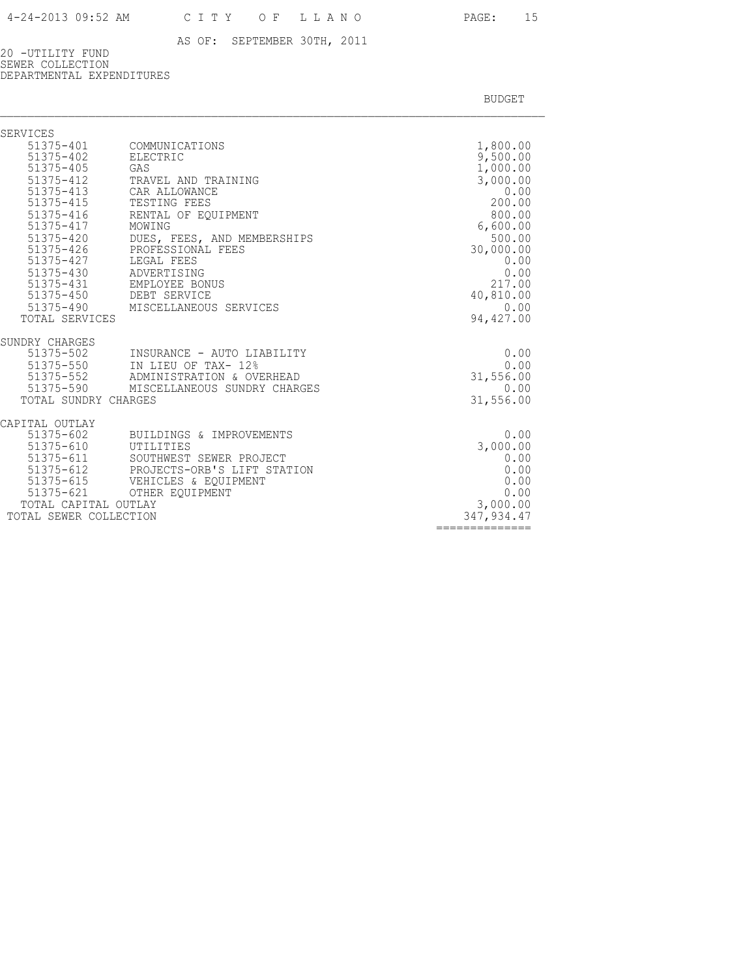20 -UTILITY FUND SEWER COLLECTION DEPARTMENTAL EXPENDITURES

| <b>SERVICES</b>                                                                                                                                                                   |                                                                                                                                                                                                                                                                                                  |                                                                                                                                                                         |
|-----------------------------------------------------------------------------------------------------------------------------------------------------------------------------------|--------------------------------------------------------------------------------------------------------------------------------------------------------------------------------------------------------------------------------------------------------------------------------------------------|-------------------------------------------------------------------------------------------------------------------------------------------------------------------------|
| 51375-402<br>51375-405<br>51375-412<br>51375-413<br>51375-415<br>51375-416<br>51375-417<br>$51375 - 420$<br>$51375 - 426$<br>51375-427<br>51375-430 ADVERTISING<br>TOTAL SERVICES | 51375-401 COMMUNICATIONS<br>ELECTRIC<br>GAS<br>TRAVEL AND TRAINING<br>CAR ALLOWANCE<br>TESTING FEES<br>RENTAL OF EOUIPMENT<br>MOWING<br>DUES, FEES, AND MEMBERSHIPS<br>PROFESSIONAL FEES<br>LEGAL FEES<br>51375-431 EMPLOYEE BONUS<br>51375-450 DEBT SERVICE<br>51375-490 MISCELLANEOUS SERVICES | 1,800.00<br>9,500.00<br>1,000.00<br>3,000.00<br>0.00<br>200.00<br>800.00<br>6,600.00<br>500.00<br>30,000.00<br>0.00<br>0.00<br>217.00<br>40,810.00<br>0.00<br>94,427.00 |
|                                                                                                                                                                                   |                                                                                                                                                                                                                                                                                                  |                                                                                                                                                                         |
| SUNDRY CHARGES<br>51375-502<br>51375-550<br>51375-552<br>51375-590<br>TOTAL SUNDRY CHARGES                                                                                        | INSURANCE - AUTO LIABILITY<br>IN LIEU OF TAX- 12%<br>ADMINISTRATION & OVERHEAD<br>MISCELLANEOUS SUNDRY CHARGES                                                                                                                                                                                   | 0.00<br>0.00<br>31,556.00<br>0.00<br>31,556.00                                                                                                                          |
| CAPITAL OUTLAY<br>51375-602<br>51375-610<br>51375-611<br>51375-612<br>51375-615<br>TOTAL CAPITAL OUTLAY<br>TOTAL SEWER COLLECTION                                                 | BUILDINGS & IMPROVEMENTS<br>UTILITIES<br>SOUTHWEST SEWER PROJECT<br>PROJECTS-ORB'S LIFT STATION<br>VEHICLES & EOUIPMENT<br>51375-621 OTHER EQUIPMENT                                                                                                                                             | 0.00<br>3,000.00<br>0.00<br>0.00<br>0.00<br>0.00<br>3,000.00<br>347, 934.47<br>==============                                                                           |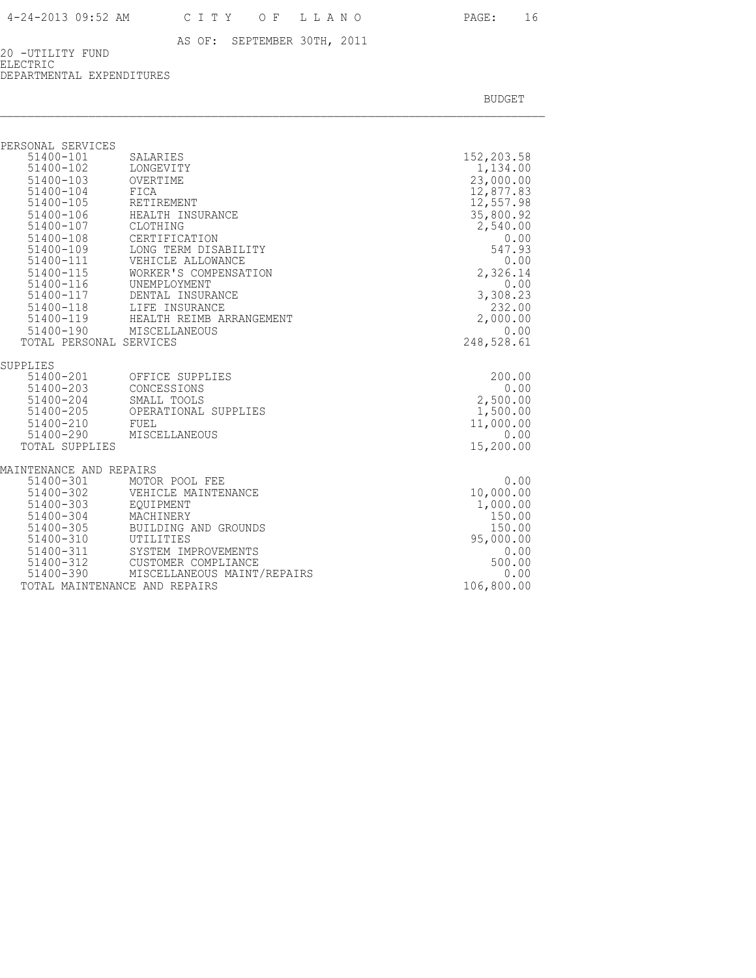20 -UTILITY FUND ELECTRIC DEPARTMENTAL EXPENDITURES

| 51400-101<br>SALARIES  | 152,203.58                                                                                                                                                                                                                                                                                                                                                                                                                                                                                                                              |
|------------------------|-----------------------------------------------------------------------------------------------------------------------------------------------------------------------------------------------------------------------------------------------------------------------------------------------------------------------------------------------------------------------------------------------------------------------------------------------------------------------------------------------------------------------------------------|
| 51400-102<br>LONGEVITY | 1,134.00                                                                                                                                                                                                                                                                                                                                                                                                                                                                                                                                |
| 51400-103<br>OVERTIME  | 23,000.00                                                                                                                                                                                                                                                                                                                                                                                                                                                                                                                               |
| FICA                   | 12,877.83                                                                                                                                                                                                                                                                                                                                                                                                                                                                                                                               |
| RETIREMENT             | 12,557.98                                                                                                                                                                                                                                                                                                                                                                                                                                                                                                                               |
| HEALTH INSURANCE       | 35,800.92                                                                                                                                                                                                                                                                                                                                                                                                                                                                                                                               |
| CLOTHING               | 2,540.00                                                                                                                                                                                                                                                                                                                                                                                                                                                                                                                                |
| CERTIFICATION          | 0.00                                                                                                                                                                                                                                                                                                                                                                                                                                                                                                                                    |
| LONG TERM DISABILITY   | 547.93                                                                                                                                                                                                                                                                                                                                                                                                                                                                                                                                  |
|                        | 0.00                                                                                                                                                                                                                                                                                                                                                                                                                                                                                                                                    |
|                        | 2,326.14                                                                                                                                                                                                                                                                                                                                                                                                                                                                                                                                |
|                        | 0.00                                                                                                                                                                                                                                                                                                                                                                                                                                                                                                                                    |
|                        | 3,308.23                                                                                                                                                                                                                                                                                                                                                                                                                                                                                                                                |
|                        | 232.00                                                                                                                                                                                                                                                                                                                                                                                                                                                                                                                                  |
|                        | 2,000.00                                                                                                                                                                                                                                                                                                                                                                                                                                                                                                                                |
|                        | 0.00                                                                                                                                                                                                                                                                                                                                                                                                                                                                                                                                    |
|                        | 248,528.61                                                                                                                                                                                                                                                                                                                                                                                                                                                                                                                              |
|                        |                                                                                                                                                                                                                                                                                                                                                                                                                                                                                                                                         |
| OFFICE SUPPLIES        | 200.00                                                                                                                                                                                                                                                                                                                                                                                                                                                                                                                                  |
| CONCESSIONS            | 0.00                                                                                                                                                                                                                                                                                                                                                                                                                                                                                                                                    |
| SMALL TOOLS            | 2,500.00                                                                                                                                                                                                                                                                                                                                                                                                                                                                                                                                |
| OPERATIONAL SUPPLIES   | 1,500.00                                                                                                                                                                                                                                                                                                                                                                                                                                                                                                                                |
|                        | 11,000.00                                                                                                                                                                                                                                                                                                                                                                                                                                                                                                                               |
| MISCELLANEOUS          | 0.00                                                                                                                                                                                                                                                                                                                                                                                                                                                                                                                                    |
|                        | 15,200.00                                                                                                                                                                                                                                                                                                                                                                                                                                                                                                                               |
|                        |                                                                                                                                                                                                                                                                                                                                                                                                                                                                                                                                         |
|                        | 0.00                                                                                                                                                                                                                                                                                                                                                                                                                                                                                                                                    |
|                        | 10,000.00                                                                                                                                                                                                                                                                                                                                                                                                                                                                                                                               |
| 51400-303              | 1,000.00                                                                                                                                                                                                                                                                                                                                                                                                                                                                                                                                |
|                        | 150.00                                                                                                                                                                                                                                                                                                                                                                                                                                                                                                                                  |
|                        | 150.00                                                                                                                                                                                                                                                                                                                                                                                                                                                                                                                                  |
|                        | 95,000.00                                                                                                                                                                                                                                                                                                                                                                                                                                                                                                                               |
|                        | 0.00                                                                                                                                                                                                                                                                                                                                                                                                                                                                                                                                    |
|                        | 500.00                                                                                                                                                                                                                                                                                                                                                                                                                                                                                                                                  |
|                        | 0.00                                                                                                                                                                                                                                                                                                                                                                                                                                                                                                                                    |
|                        | 106,800.00                                                                                                                                                                                                                                                                                                                                                                                                                                                                                                                              |
|                        | VEHICLE ALLOWANCE<br>WORKER'S COMPENSATION<br>UNEMPLOYMENT<br>51400-117 DENTAL INSURANCE<br>51400-118 LIFE INSURANCE<br>51400-119 HEALTH REIMB ARRANGEMENT<br>51400-190 MISCELLANEOUS<br>TOTAL PERSONAL SERVICES<br>FUEL<br>MAINTENANCE AND REPAIRS<br>51400-301<br>MOTOR POOL FEE<br>51400-302<br>VEHICLE MAINTENANCE<br>EOUIPMENT<br>MACHINERY<br>BUILDING AND GROUNDS<br>UTILITIES<br>51400-311<br>SYSTEM IMPROVEMENTS<br>51400-312<br>CUSTOMER COMPLIANCE<br>51400-390 MISCELLANEOUS MAINT/REPAIRS<br>TOTAL MAINTENANCE AND REPAIRS |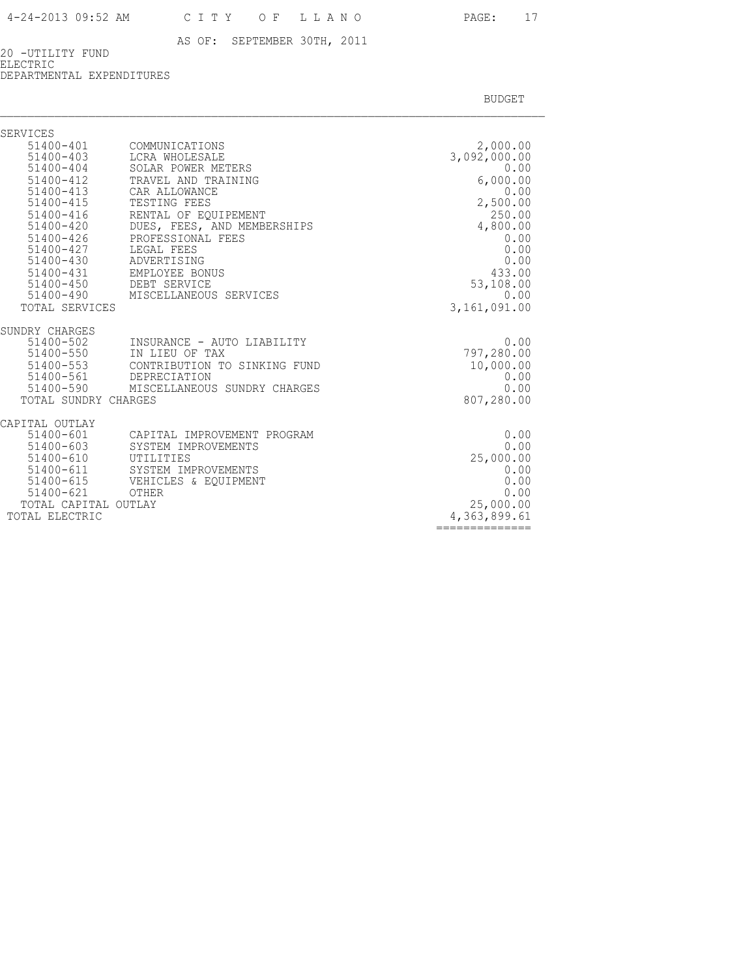20 -UTILITY FUND ELECTRIC

DEPARTMENTAL EXPENDITURES

| SERVICES                                                                                                                                                                                                                                     |                                                                                                                                                                                                                                                                                     |                                                                                                                                                               |
|----------------------------------------------------------------------------------------------------------------------------------------------------------------------------------------------------------------------------------------------|-------------------------------------------------------------------------------------------------------------------------------------------------------------------------------------------------------------------------------------------------------------------------------------|---------------------------------------------------------------------------------------------------------------------------------------------------------------|
| $51400 - 401$<br>$51400 - 403$<br>$51400 - 404$<br>$51400 - 412$<br>$51400 - 413$<br>51400-415<br>$51400 - 416$<br>$51400 - 420$<br>$51400 - 426$<br>$51400 - 427$<br>51400-430<br>51400-431<br>$51400 - 450$<br>51400-490<br>TOTAL SERVICES | COMMUNICATIONS<br>LCRA WHOLESALE<br>SOLAR POWER METERS<br>TRAVEL AND TRAINING<br>CAR ALLOWANCE<br>TESTING FEES<br>RENTAL OF EQUIPEMENT<br>DUES, FEES, AND MEMBERSHIPS<br>PROFESSIONAL FEES<br>LEGAL FEES<br>ADVERTISING<br>EMPLOYEE BONUS<br>DEBT SERVICE<br>MISCELLANEOUS SERVICES | 2,000.00<br>3,092,000.00<br>0.00<br>6,000.00<br>0.00<br>2,500.00<br>250.00<br>4,800.00<br>0.00<br>0.00<br>0.00<br>433.00<br>53,108.00<br>0.00<br>3,161,091.00 |
| SUNDRY CHARGES<br>51400-502<br>51400-550<br>51400-553<br>51400-561<br>51400-590<br>TOTAL SUNDRY CHARGES                                                                                                                                      | INSURANCE - AUTO LIABILITY<br>IN LIEU OF TAX<br>CONTRIBUTION TO SINKING FUND<br>DEPRECIATION<br>MISCELLANEOUS SUNDRY CHARGES                                                                                                                                                        | 0.00<br>797,280.00<br>10,000.00<br>0.00<br>0.00<br>807,280.00                                                                                                 |
| CAPITAL OUTLAY<br>51400-601<br>$51400 - 603$<br>51400-610<br>51400-611<br>51400-615<br>$51400 - 621$<br>TOTAL CAPITAL OUTLAY<br>TOTAL ELECTRIC                                                                                               | CAPITAL IMPROVEMENT PROGRAM<br>SYSTEM IMPROVEMENTS<br>UTILITIES<br>SYSTEM IMPROVEMENTS<br>VEHICLES & EQUIPMENT<br>OTHER                                                                                                                                                             | 0.00<br>0.00<br>25,000.00<br>0.00<br>0.00<br>0.00<br>25,000.00<br>4,363,899.61<br>============                                                                |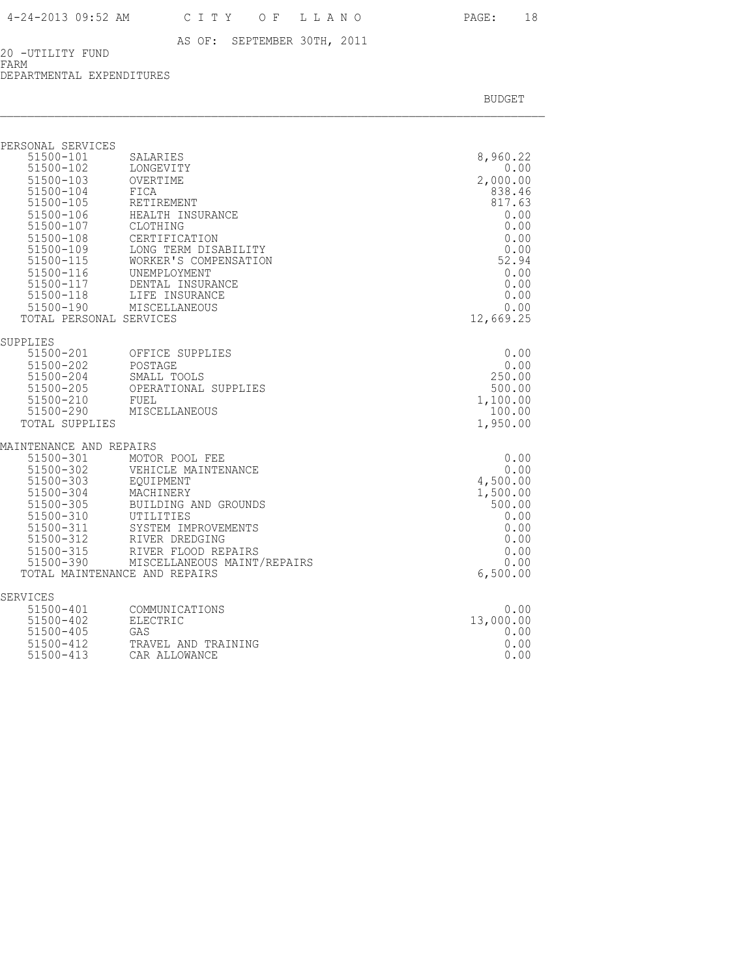20 -UTILITY FUND FARM

DEPARTMENTAL EXPENDITURES

| PERSONAL SERVICES<br>51500-101<br>51500-102<br>$51500 - 103$<br>51500-104<br>51500-105<br>51500-106<br>51500-107<br>$51500 - 108$<br>51500-109<br>51500-115<br>51500-116<br>51500-117<br>51500-118<br>TOTAL PERSONAL SERVICES | SALARIES<br>LONGEVITY<br>OVERTIME<br>FICA<br>RETIREMENT<br>HEALTH INSURANCE<br>CLOTHING<br>CERTIFICATION<br>LONG TERM DISABILITY<br>WORKER'S COMPENSATION<br>UNEMPLOYMENT<br>DENTAL INSURANCE<br>LIFE INSURANCE<br>51500-190 MISCELLANEOUS | 8,960.22<br>0.00<br>2,000.00<br>838.46<br>817.63<br>0.00<br>0.00<br>0.00<br>0.00<br>52.94<br>0.00<br>0.00<br>0.00<br>0.00<br>12,669.25 |
|-------------------------------------------------------------------------------------------------------------------------------------------------------------------------------------------------------------------------------|--------------------------------------------------------------------------------------------------------------------------------------------------------------------------------------------------------------------------------------------|----------------------------------------------------------------------------------------------------------------------------------------|
| SUPPLIES<br>51500-201<br>$51500 - 202$<br>51500-204<br>51500-205<br>51500-210<br>51500-290<br>TOTAL SUPPLIES                                                                                                                  | OFFICE SUPPLIES<br>POSTAGE<br>SMALL TOOLS<br>OPERATIONAL SUPPLIES<br>FUEL<br>MISCELLANEOUS                                                                                                                                                 | 0.00<br>0.00<br>250.00<br>500.00<br>1,100.00<br>100.00<br>1,950.00                                                                     |
| MAINTENANCE AND REPAIRS<br>51500-301<br>51500-302<br>51500-303<br>51500-304<br>51500-305<br>51500-310<br>51500-311<br>51500-312<br>51500-315<br>$51500 - 390$                                                                 | MOTOR POOL FEE<br>VEHICLE MAINTENANCE<br>EOUIPMENT<br>MACHINERY<br>BUILDING AND GROUNDS<br>UTILITIES<br>SYSTEM IMPROVEMENTS<br>RIVER DREDGING<br>RIVER FLOOD REPAIRS<br>MISCELLANEOUS MAINT/REPAIRS<br>TOTAL MAINTENANCE AND REPAIRS       | 0.00<br>0.00<br>4,500.00<br>1,500.00<br>500.00<br>0.00<br>0.00<br>0.00<br>0.00<br>0.00<br>6,500.00                                     |
| SERVICES<br>51500-401<br>51500-402<br>$51500 - 405$<br>51500-412<br>51500-413                                                                                                                                                 | COMMUNICATIONS<br>ELECTRIC<br>GAS<br>TRAVEL AND TRAINING<br>CAR ALLOWANCE                                                                                                                                                                  | 0.00<br>13,000.00<br>0.00<br>0.00<br>0.00                                                                                              |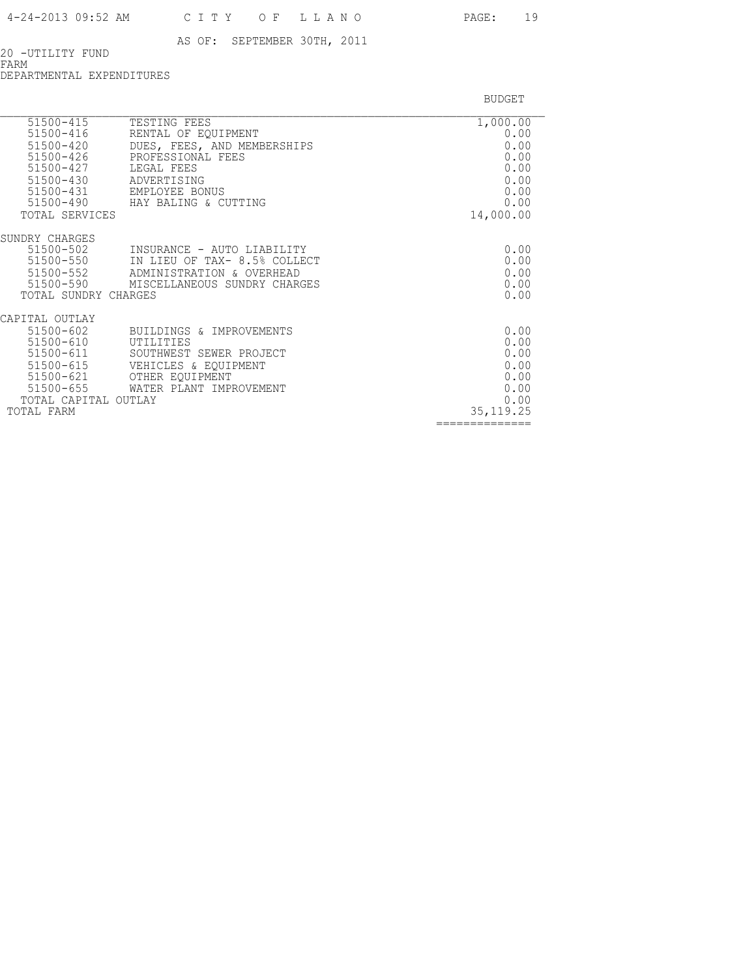20 -UTILITY FUND FARM

DEPARTMENTAL EXPENDITURES

| $51500 - 415$           | TESTING FEES                        | 1,000.00       |
|-------------------------|-------------------------------------|----------------|
| 51500-416               | RENTAL OF EQUIPMENT                 | 0.00           |
| $51500 - 420$           | DUES, FEES, AND MEMBERSHIPS         | 0.00           |
| $51500 - 426$           | PROFESSIONAL FEES                   | 0.00           |
| 51500-427               | LEGAL FEES                          | 0.00           |
| 51500-430               | ADVERTISING                         | 0.00           |
| 51500-431               | EMPLOYEE BONUS                      | 0.00           |
|                         | 51500-490 HAY BALING & CUTTING      | 0.00           |
| TOTAL SERVICES          |                                     | 14,000.00      |
| SUNDRY CHARGES          |                                     |                |
| 51500-502               | INSURANCE - AUTO LIABILITY          | 0.00           |
| 51500-550               | IN LIEU OF TAX- 8.5% COLLECT        | 0.00           |
|                         | 51500-552 ADMINISTRATION & OVERHEAD | 0.00           |
| 51500-590               | MISCELLANEOUS SUNDRY CHARGES        | 0.00           |
| TOTAL SUNDRY CHARGES    |                                     | 0.00           |
| CAPITAL OUTLAY          |                                     |                |
| $51500 - 602$           | BUILDINGS & IMPROVEMENTS            | 0.00           |
| 51500-610               | UTILITIES                           | 0.00           |
| 51500-611               | SOUTHWEST SEWER PROJECT             | 0.00           |
| 51500-615               | VEHICLES & EQUIPMENT                | 0.00           |
| 51500-621               | OTHER EOUIPMENT                     | 0.00           |
| 51500-655               | WATER PLANT IMPROVEMENT             | 0.00           |
| TOTAL CAPITAL<br>OUTLAY | 0.00                                |                |
| TOTAL FARM              |                                     | 35, 119.25     |
|                         |                                     | -------------- |